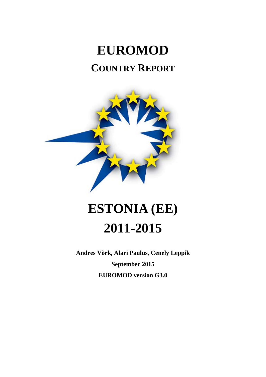# **EUROMOD COUNTRY REPORT**



# **ESTONIA (EE) 2011-2015**

**Andres Võrk, Alari Paulus, Cenely Leppik September 2015 EUROMOD version G3.0**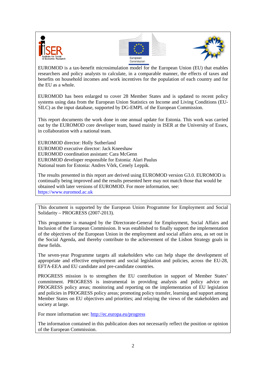





EUROMOD is a tax-benefit microsimulation model for the European Union (EU) that enables researchers and policy analysts to calculate, in a comparable manner, the effects of taxes and benefits on household incomes and work incentives for the population of each country and for the EU as a whole.

EUROMOD has been enlarged to cover 28 Member States and is updated to recent policy systems using data from the European Union Statistics on Income and Living Conditions (EU-SILC) as the input database, supported by DG-EMPL of the European Commission.

This report documents the work done in one annual update for Estonia. This work was carried out by the EUROMOD core developer team, based mainly in ISER at the University of Essex, in collaboration with a national team.

EUROMOD director: Holly Sutherland EUROMOD executive director: Jack Kneeshaw EUROMOD coordination assistant: Cara McGenn EUROMOD developer responsible for Estonia: Alari Paulus National team for Estonia: Andres Võrk, Cenely Leppik.

The results presented in this report are derived using EUROMOD version G3.0. EUROMOD is continually being improved and the results presented here may not match those that would be obtained with later versions of EUROMOD. For more information, see: https://www.euromod.ac.uk

This document is supported by the European Union Programme for Employment and Social Solidarity – PROGRESS (2007-2013).

This programme is managed by the Directorate-General for Employment, Social Affairs and Inclusion of the European Commission. It was established to finally support the implementation of the objectives of the European Union in the employment and social affairs area, as set out in the Social Agenda, and thereby contribute to the achievement of the Lisbon Strategy goals in these fields.

The seven-year Programme targets all stakeholders who can help shape the development of appropriate and effective employment and social legislation and policies, across the EU-28, EFTA-EEA and EU candidate and pre-candidate countries.

PROGRESS mission is to strengthen the EU contribution in support of Member States' commitment. PROGRESS is instrumental in providing analysis and policy advice on PROGRESS policy areas; monitoring and reporting on the implementation of EU legislation and policies in PROGRESS policy areas; promoting policy transfer, learning and support among Member States on EU objectives and priorities; and relaying the views of the stakeholders and society at large.

For more information see:<http://ec.europa.eu/progress>

The information contained in this publication does not necessarily reflect the position or opinion of the European Commission.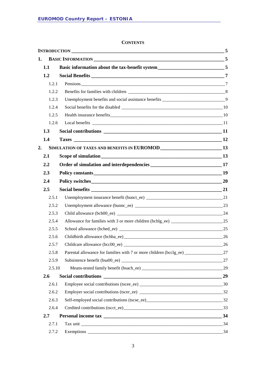#### **CONTENTS**

| 1.     |                                                                                             |    |
|--------|---------------------------------------------------------------------------------------------|----|
| 1.1    | Basic information about the tax-benefit system_________________________________5            |    |
| 1.2    |                                                                                             |    |
| 1.2.1  |                                                                                             |    |
| 1.2.2  |                                                                                             |    |
| 1.2.3  | Unemployment benefits and social assistance benefits ______________________________9        |    |
| 1.2.4  |                                                                                             |    |
| 1.2.5  |                                                                                             |    |
| 1.2.6  |                                                                                             |    |
| 1.3    |                                                                                             |    |
| 1.4    |                                                                                             |    |
| 2.     | SIMULATION OF TAXES AND BENEFITS IN EUROMOD<br>13                                           |    |
| 2.1    |                                                                                             |    |
| 2.2    |                                                                                             |    |
| 2.3    | Policy constants 19                                                                         |    |
| 2.4    |                                                                                             |    |
| 2.5    |                                                                                             |    |
| 2.5.1  |                                                                                             |    |
| 2.5.2  |                                                                                             |    |
| 2.5.3  |                                                                                             |    |
| 2.5.4  |                                                                                             |    |
| 2.5.5  |                                                                                             |    |
| 2.5.6  |                                                                                             |    |
| 2.5.7  |                                                                                             |    |
| 2.5.8  | Parental allowance for families with 7 or more children (bcclg_ee) ______________________27 |    |
| 2.5.9  |                                                                                             | 27 |
| 2.5.10 |                                                                                             |    |
| 2.6    |                                                                                             |    |
| 2.6.1  |                                                                                             |    |
| 2.6.2  |                                                                                             |    |
| 2.6.3  |                                                                                             |    |
| 2.6.4  |                                                                                             |    |
| 2.7    |                                                                                             |    |
| 2.7.1  |                                                                                             |    |
| 2.7.2  |                                                                                             | 34 |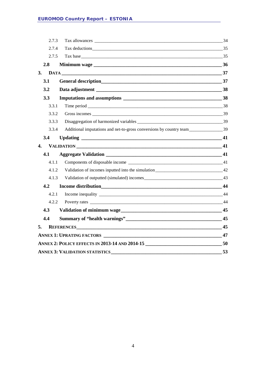|    | 2.7.3 |                                                                                                                                                                                                                                | 34 |
|----|-------|--------------------------------------------------------------------------------------------------------------------------------------------------------------------------------------------------------------------------------|----|
|    | 2.7.4 |                                                                                                                                                                                                                                |    |
|    | 2.7.5 |                                                                                                                                                                                                                                |    |
|    | 2.8   |                                                                                                                                                                                                                                |    |
| 3. |       | $DATA$ 37                                                                                                                                                                                                                      |    |
|    | 3.1   |                                                                                                                                                                                                                                |    |
|    | 3.2   |                                                                                                                                                                                                                                |    |
|    | 3.3   |                                                                                                                                                                                                                                |    |
|    | 3.3.1 |                                                                                                                                                                                                                                |    |
|    | 3.3.2 |                                                                                                                                                                                                                                |    |
|    | 3.3.3 |                                                                                                                                                                                                                                |    |
|    | 3.3.4 | Additional imputations and net-to-gross conversions by country team________________________39                                                                                                                                  |    |
|    | 3.4   |                                                                                                                                                                                                                                |    |
| 4. |       | VALIDATION 41                                                                                                                                                                                                                  |    |
|    | 4.1   |                                                                                                                                                                                                                                |    |
|    | 4.1.1 |                                                                                                                                                                                                                                |    |
|    | 4.1.2 | Validation of incomes inputted into the simulation________________________________42                                                                                                                                           |    |
|    | 4.1.3 |                                                                                                                                                                                                                                |    |
|    | 4.2   |                                                                                                                                                                                                                                |    |
|    | 4.2.1 |                                                                                                                                                                                                                                |    |
|    | 4.2.2 |                                                                                                                                                                                                                                |    |
|    | 4.3   | Validation of minimum wage example and the set of the set of the set of the set of the set of the set of the set of the set of the set of the set of the set of the set of the set of the set of the set of the set of the set |    |
|    | 4.4   |                                                                                                                                                                                                                                |    |
| 5. |       | REFERENCES 45                                                                                                                                                                                                                  |    |
|    |       |                                                                                                                                                                                                                                | 47 |
|    |       | ANNEX 2: POLICY EFFECTS IN 2013-14 AND 2014-15                                                                                                                                                                                 | 50 |
|    |       | <b>ANNEX 3: VALIDATION STATISTICS</b>                                                                                                                                                                                          | 53 |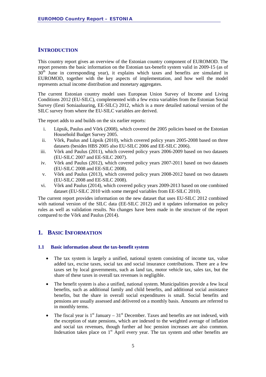#### <span id="page-4-0"></span>**INTRODUCTION**

This country report gives an overview of the Estonian country component of EUROMOD. The report presents the basic information on the Estonian tax-benefit system valid in 2009-15 (as of 30<sup>th</sup> June in corresponding year), it explains which taxes and benefits are simulated in EUROMOD, together with the key aspects of implementation, and how well the model represents actual income distribution and monetary aggregates.

The current Estonian country model uses European Union Survey of Income and Living Conditions 2012 (EU-SILC), complemented with a few extra variables from the Estonian Social Survey (Eesti Sotsiaaluuring, EE-SILC) 2012, which is a more detailed national version of the SILC survey from where the EU-SILC variables are derived.

The report adds to and builds on the six earlier reports:

- i. Lüpsik, Paulus and Võrk (2008), which covered the 2005 policies based on the Estonian Household Budget Survey 2005.
- ii. Võrk, Paulus and Lüpsik (2010), which covered policy years 2005-2008 based on three datasets (besides HBS 2005 also EU-SILC 2006 and EE-SILC 2006).
- iii. Võrk and Paulus (2011), which covered policy years 2006-2009 based on two datasets (EU-SILC 2007 and EE-SILC 2007).
- iv. Võrk and Paulus (2012), which covered policy years 2007-2011 based on two datasets (EU-SILC 2008 and EE-SILC 2008).
- v. Võrk and Paulus (2013), which covered policy years 2008-2012 based on two datasets (EU-SILC 2008 and EE-SILC 2008).
- vi. Võrk and Paulus (2014), which covered policy years 2009-2013 based on one combined dataset (EU-SILC 2010 with some merged variables from EE-SILC 2010).

The current report provides information on the new dataset that uses EU-SILC 2012 combined with national version of the SILC data (EE-SILC 2012) and it updates information on policy rules as well as validation results. No changes have been made in the structure of the report compared to the Võrk and Paulus (2014).

#### <span id="page-4-1"></span>**1. BASIC INFORMATION**

#### <span id="page-4-2"></span>**1.1 Basic information about the tax-benefit system**

- The tax system is largely a unified, national system consisting of income tax, value added tax, excise taxes, social tax and social insurance contributions. There are a few taxes set by local governments, such as land tax*,* motor vehicle tax*,* sales tax, but the share of these taxes in overall tax revenues is negligible.
- The benefit system is also a unified, national system. Municipalities provide a few local benefits, such as additional family and child benefits, and additional social assistance benefits*,* but the share in overall social expenditures is small. Social benefits and pensions are usually assessed and delivered on a monthly basis. Amounts are referred to in monthly terms.
- The fiscal year is  $1<sup>st</sup>$  January  $31<sup>st</sup>$  December. Taxes and benefits are not indexed, with the exception of state pensions, which are indexed to the weighted average of inflation and social tax revenues, though further ad hoc pension increases are also common. Indexation takes place on  $1<sup>st</sup>$  April every year. The tax system and other benefits are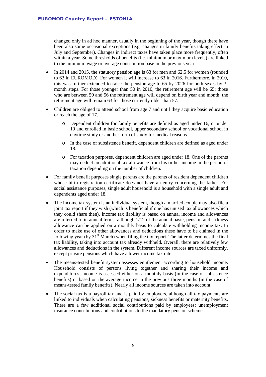changed only in ad hoc manner, usually in the beginning of the year, though there have been also some occasional exceptions (e.g. changes in family benefits taking effect in July and September). Changes in indirect taxes have taken place more frequently, often within a year. Some thresholds of benefits (i.e. minimum or maximum levels) are linked to the minimum wage or average contribution base in the previous year.

- In 2014 and 2015, the statutory pension age is 63 for men and 62.5 for women (rounded to 63 in EUROMOD). For women it will increase to 63 in 2016. Furthermore, in 2010, this was further extended to raise the pension age to 65 by 2026 for both sexes by 3 month steps. For those younger than 50 in 2010, the retirement age will be 65; those who are between 50 and 56 the retirement age will depend on birth year and month; the retirement age will remain 63 for those currently older than 57.
- Children are obliged to attend school from age 7 and until they acquire basic education or reach the age of 17.
	- o Dependent children for family benefits are defined as aged under 16, or under 19 and enrolled in basic school, upper secondary school or vocational school in daytime study or another form of study for medical reasons.
	- o In the case of subsistence benefit, dependent children are defined as aged under 18.
	- o For taxation purposes, dependent children are aged under 18. One of the parents may deduct an additional tax allowance from his or her income in the period of taxation depending on the number of children.
- For family benefit purposes single parents are the parents of resident dependent children whose birth registration certificate does not have an entry concerning the father. For social assistance purposes, single adult household is a household with a single adult and dependents aged under 18.
- The income tax system is an individual system, though a married couple may also file a joint tax report if they wish (which is beneficial if one has unused tax allowances which they could share then). Income tax liability is based on annual income and allowances are referred to in annual terms, although 1/12 of the annual basic, pension and sickness allowance can be applied on a monthly basis to calculate withholding income tax. In order to make use of other allowances and deductions these have to be claimed in the following year (by  $31<sup>st</sup>$  March) when filing the tax report. The latter determines the final tax liability, taking into account tax already withheld. Overall, there are relatively few allowances and deductions in the system. Different income sources are taxed uniformly, except private pensions which have a lower income tax rate.
- The means-tested benefit system assesses entitlement according to household income. Household consists of persons living together and sharing their income and expenditures. Income is assessed either on a monthly basis (in the case of subsistence benefits) or based on the average income in the previous three months (in the case of means-tested family benefits). Nearly all income sources are taken into account.
- The social tax is a payroll tax and is paid by employers, although all tax payments are linked to individuals when calculating pensions, sickness benefits or maternity benefits. There are a few additional social contributions paid by employees: unemployment insurance contributions and contributions to the mandatory pension scheme.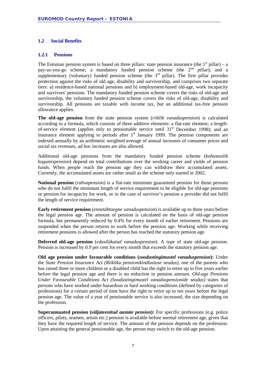#### <span id="page-6-0"></span>**1.2 Social Benefits**

#### <span id="page-6-1"></span>**1.2.1 Pensions**

The Estonian pension system is based on three pillars: state pension insurance (the  $1<sup>st</sup>$  pillar) – a pay-as-you-go scheme; a mandatory funded pension scheme (the  $2<sup>nd</sup>$  pillar); and a supplementary (voluntary) funded pension scheme (the  $3<sup>rd</sup>$  pillar). The first pillar provides protection against the risks of old age, disability and survivorship, and comprises two separate tiers: a) residence-based national pensions and b) employment-based old-age, work incapacity and survivors' pensions. The mandatory funded pension scheme covers the risks of old-age and survivorship, the voluntary funded pension scheme covers the risks of old-age, disability and survivorship. All pensions are taxable with income tax, but an additional tax-free pension allowance applies.

**The old-age pension** from the state pension system (*riiklik vanaduspension*) is calculated according to a formula, which consists of three additive elements: a flat-rate element; a lengthof-service element (applies only to pensionable service until  $31<sup>st</sup>$  December 1998); and an insurance element applying to periods after  $1<sup>st</sup>$  January 1999. The pension components are indexed annually by an arithmetic weighted average of annual increases of consumer prices and social tax revenues, ad hoc increases are also allowed.

Additional old-age pensions from the mandatory funded pension scheme (*kohustuslik kogumispension*) depend on total contributions over the working career and yields of pension funds. When people reach the pension age they can withdraw their accumulated assets. Currently, the accumulated assets are rather small as the scheme only started in 2002.

**National pension** (*rahvapension)* is a flat-rate minimum guaranteed pension for those persons who do not fulfil the minimum length of service requirement to be eligible for old-age pensions or pension for incapacity for work, or in the case of survivor's pension a provider did not fulfil the length of service requirement.

**Early retirement pension** (*ennetähtaegne vanaduspension*) is available up to three years before the legal pension age. The amount of pension is calculated on the basis of old-age pension formula, but permanently reduced by 0.4% for every month of earlier retirement. Pensions are suspended when the person returns to work before the pension age. Working while receiving retirement pensions is allowed after the person has reached the statutory pension age.

**Deferred old-age pension** (*edasilükatud vanaduspension*): A type of state old-age pension. Pension is increased by 0.9 per cent for every month that exceeds the statutory pension age.

**Old age pension under favourable conditions (***soodustingimustel vanaduspension***):** Under the *State Pension Insurance Act (Riikliku pensionikindlustuse seadus)*, one of the parents who has raised three or more children or a disabled child has the right to retire up to five years earlier before the legal pension age and there is no reduction in pension amount. *Old-age Pensions Under Favourable Conditions Act (Soodustingimustel vanaduspensionide seadus)* states that persons who have worked under hazardous or hard working conditions (defined by categories of professions) for a certain period of time have the right to retire up to ten years before the legal pension age. The value of a year of pensionable service is also increased, the size depending on the profession.

**Superannuated pension (***väljateenitud aastate pension***):** For specific professions (e.g. police officers, pilots, seamen, artists etc.) pension is available before normal retirement age, given that they have the required length of service. The amount of the pension depends on the profession. Upon attaining the general pensionable age, the person may switch to the old-age pension.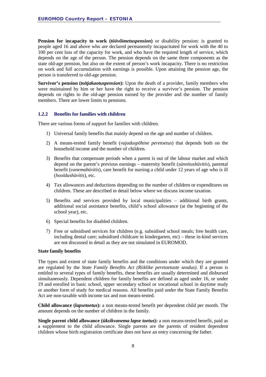**Pension for incapacity to work** *(töövõimetuspension)* or disability pension: is granted to people aged 16 and above who are declared permanently incapacitated for work with the 40 to 100 per cent loss of the capacity for work, and who have the required length of service, which depends on the age of the person. The pension depends on the same three components as the state old-age pension, but also on the extent of person's work incapacity. There is no restriction on work and full accumulation with earnings is possible. Upon attaining the pension age, the person is transferred to old-age pension.

**Survivor's pension** *(toitjakaotuspension)***:** Upon the death of a provider, family members who were maintained by him or her have the right to receive a survivor's pension. The pension depends on rights to the old-age pension earned by the provider and the number of family members. There are lower limits to pensions.

#### <span id="page-7-0"></span>**1.2.2 Benefits for families with children**

There are various forms of support for families with children.

- 1) Universal family benefits that mainly depend on the age and number of children.
- 2) A means-tested family benefit (*vajaduspõhine peretoetus*) that depends both on the household income and the number of children.
- 3) Benefits that compensate periods when a parent is out of the labour market and which depend on the parent's previous earnings – maternity benefit (*sünnitushüvitis*), parental benefit (*vanemahüvitis*), care benefit for nursing a child under 12 years of age who is ill (*hooldushüvitis*), etc.
- 4) Tax allowances and deductions depending on the number of children or expenditures on children. These are described in detail below where we discuss income taxation.
- 5) Benefits and services provided by local municipalities additional birth grants, additional social assistance benefits, child's school allowance (at the beginning of the school year), etc.
- 6) Special benefits for disabled children.
- 7) Free or subsidised services for children (e.g. subsidised school meals; free health care, including dental care; subsidised childcare in kindergarten, etc) – these in-kind services are not discussed in detail as they are not simulated in EUROMOD.

#### **State family benefits**

The types and extent of state family benefits and the conditions under which they are granted are regulated by the *State Family Benefits Act (Riiklike peretoetuste seadus)*. If a person is entitled to several types of family benefits, these benefits are usually determined and disbursed simultaneously. Dependent children for family benefits are defined as aged under 16, or under 19 and enrolled in basic school, upper secondary school or vocational school in daytime study or another form of study for medical reasons. All benefits paid under the State Family Benefits Act are non-taxable with income tax and non means-tested.

**Child allowance (***lapsetoetus***):** a non means-tested benefit per dependent child per month. The amount depends on the number of children in the family.

**Single parent child allowance (***üksikvanema lapse toetus***):** a non means-tested benefit, paid as a supplement to the child allowance. Single parents are the parents of resident dependent children whose birth registration certificate does not have an entry concerning the father.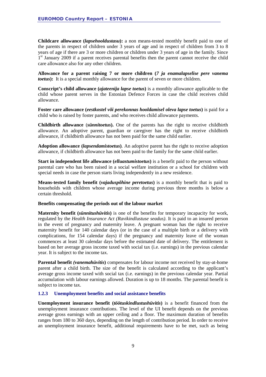**Childcare allowance (***lapsehooldustasu***):** a non means-tested monthly benefit paid to one of the parents in respect of children under 3 years of age and in respect of children from 3 to 8 years of age if there are 3 or more children or children under 3 years of age in the family. Since  $1<sup>st</sup>$  January 2009 if a parent receives parental benefits then the parent cannot receive the child care allowance also for any other children.

**Allowance for a parent raising 7 or more children (***7 ja enamalapselise pere vanema toetus*): It is a special monthly allowance for the parent of seven or more children.

**Conscript's child allowance (***ajateenija lapse toetus***)** is a monthly allowance applicable to the child whose parent serves in the Estonian Defence Forces in case the child receives child allowance.

**Foster care allowance (***eestkostel või perekonnas hooldamisel oleva lapse toetus***)** is paid for a child who is raised by foster parents, and who receives child allowance payments.

**Childbirth allowance** (*sünnitoetus***).** One of the parents has the right to receive childbirth allowance. An adoptive parent, guardian or caregiver has the right to receive childbirth allowance, if childbirth allowance has not been paid for the same child earlier.

**Adoption allowance (***lapsendamistoetus***)***.* An adoptive parent has the right to receive adoption allowance, if childbirth allowance has not been paid to the family for the same child earlier.

**Start in independent life allowance (***elluastumistoetus***)** is a benefit paid to the person without parental care who has been raised in a social welfare institution or a school for children with special needs in case the person starts living independently in a new residence.

**Means-tested family benefit (***vajaduspõhine peretoetus***)** is a monthly benefit that is paid to households with children whose average income during previous three months is below a certain threshold.

#### **Benefits compensating the periods out of the labour market**

**Maternity benefit (***sünnitushüvitis***)** is one of the benefits for temporary incapacity for work, regulated by the *Health Insurance Act (Ravikindlustuse seadus)*. It is paid to an insured person in the event of pregnancy and maternity leave. A pregnant woman has the right to receive maternity benefit for 140 calendar days (or in the case of a multiple birth or a delivery with complications, for 154 calendar days) if the pregnancy and maternity leave of the woman commences at least 30 calendar days before the estimated date of delivery. The entitlement is based on her average gross income taxed with social tax (i.e. earnings) in the previous calendar year. It is subject to the income tax.

**Parental benefit** *(vanemahüvitis***)** compensates for labour income not received by stay-at-home parent after a child birth. The size of the benefit is calculated according to the applicant's average gross income taxed with social tax (i.e. earnings) in the previous calendar year. Partial accumulation with labour earnings allowed. Duration is up to 18 months. The parental benefit is subject to income tax.

#### <span id="page-8-0"></span>**1.2.3 Unemployment benefits and social assistance benefits**

**Unemployment insurance benefit (***töötuskindlustushüvitis***)** is a benefit financed from the unemployment insurance contributions. The level of the UI benefit depends on the previous average gross earnings with an upper ceiling and a floor. The maximum duration of benefits ranges from 180 to 360 days, depending on the length of contribution period. In order to receive an unemployment insurance benefit, additional requirements have to be met, such as being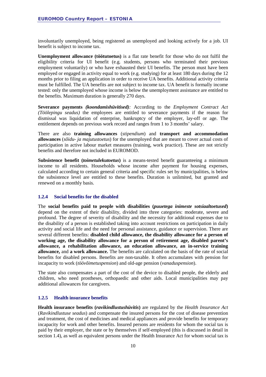involuntarily unemployed, being registered as unemployed and looking actively for a job. UI benefit is subject to income tax.

**Unemployment allowance (töötutoetus)** is a flat rate benefit for those who do not fulfil the eligibility criteria for UI benefit (e.g. students, persons who terminated their previous employment voluntarily) or who have exhausted their UI benefits. The person must have been employed or engaged in activity equal to work (e.g. studying) for at least 180 days during the 12 months prior to filing an application in order to receive UA benefits. Additional activity criteria must be fulfilled. The UA benefits are not subject to income tax. UA benefit is formally income tested: only the unemployed whose income is below the unemployment assistance are entitled to the benefits. Maximum duration is generally 270 days.

**Severance payments** *(koondamishüvitised):* According to the *Employment Contract Act (Töölepingu seadus)* the employees are entitled to severance payments if the reason for dismissal was liquidation of enterprise, bankruptcy of the employer, lay-off or age. The entitlement depends on previous work record and ranges from 1 to 3 months' salary.

There are also **training allowances** (*stipendium*) and **transport and accommodation allowances** (*sõidu- ja majutustoetus*) for the unemployed that are meant to cover actual costs of participation in active labour market measures (training, work practice). These are not strictly benefits and therefore not included in EUROMOD.

**Subsistence benefit (***toimetulekutoetus***)** is a means-tested benefit guaranteeing a minimum income to all residents. Households whose income after payment for housing expenses, calculated according to certain general criteria and specific rules set by municipalities, is below the subsistence level are entitled to these benefits. Duration is unlimited, but granted and renewed on a monthly basis.

#### <span id="page-9-0"></span>**1.2.4 Social benefits for the disabled**

The **social benefits paid to people with disabilities (***puuetega inimeste sotsiaaltoetused***)** depend on the extent of their disability, divided into three categories: moderate, severe and profound. The degree of severity of disability and the necessity for additional expenses due to the disability of a person is established taking into account restrictions on participation in daily activity and social life and the need for personal assistance, guidance or supervision. There are several different benefits: **disabled child allowance, the disability allowance for a person of working age, the disability allowance for a person of retirement age, disabled parent's allowance, a rehabilitation allowance, an education allowance, an in-service training allowance,** and **a work allowance.** The benefits are calculated on the basis of the rate of social benefits for disabled persons. Benefits are non-taxable. It often accumulates with pension for incapacity to work (*töövõimetuspension*) and old-age pension (*vanaduspension*).

The state also compensates a part of the cost of the device to disabled people, the elderly and children, who need prostheses, orthopaedic and other aids. Local municipalities may pay additional allowances for caregivers.

#### <span id="page-9-1"></span>**1.2.5 Health insurance benefits**

**Health insurance benefits (***ravikindlustushüvitis***)** are regulated by the *Health Insurance Act*  (*Ravikindlustuse seadus*) and compensate the insured persons for the cost of disease prevention and treatment, the cost of medicines and medical appliances and provide benefits for temporary incapacity for work and other benefits. Insured persons are residents for whom the social tax is paid by their employer, the state or by themselves if self-employed (this is discussed in detail in section 1.4), as well as equivalent persons under the Health Insurance Act for whom social tax is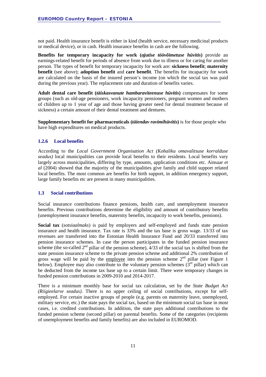not paid. Health insurance benefit is either in kind (health service, necessary medicinal products or medical device), or in cash. Health insurance benefits in cash are the following.

**Benefits for temporary incapacity for work (***ajutise töövõimetuse hüvitis***)** provide an earnings-related benefit for periods of absence from work due to illness or for caring for another person. The types of benefit for temporary incapacity for work are: **sickness benefit**; **maternity benefit** (see above); **adoption benefit** and **care benefit**. The benefits for incapacity for work are calculated on the basis of the insured person's income (on which the social tax was paid during the previous year). The replacement rate and duration of benefits varies.

**Adult dental care benefit (***täiskasvanute hambaraviteenuse hüvitis***)** compensates for some groups (such as old-age pensioners, work incapacity pensioners, pregnant women and mothers of children up to 1 year of age and those having greater need for dental treatment because of sickness) a certain amount of their dental treatment and dentures.

**Supplementary benefit for pharmaceuticals (***täiendav ravimihüvitis***)** is for those people who have high expenditures on medical products.

#### <span id="page-10-0"></span>**1.2.6 Local benefits**

According to the *Local Government Organisation Act (Kohaliku omavalitsuse korralduse seadus)* local municipalities can provide local benefits to their residents. Local benefits vary largely across municipalities, differing by type, amounts, application conditions etc. Ainsaar *et al* (2004) showed that the majority of the municipalities give family and child support related local benefits. The most common are benefits for birth support, in addition emergency support, large family benefits etc are present in many municipalities.

#### <span id="page-10-1"></span>**1.3 Social contributions**

Social insurance contributions finance pensions, health care, and unemployment insurance benefits. Previous contributions determine the eligibility and amount of contributory benefits (unemployment insurance benefits, maternity benefits, incapacity to work benefits, pensions).

**Social tax** (*sotsiaalmaks*) is paid by employers and self-employed and funds state pension insurance and health insurance. Tax rate is 33% and the tax base is gross wage. 13/33 of tax revenues are transferred into the Estonian Health Insurance Fund and 20/33 transferred into pension insurance schemes. In case the person participates in the funded pension insurance scheme (the so-called  $2<sup>nd</sup>$  pillar of the pension scheme),  $4/33$  of the social tax is shifted from the state pension insurance scheme to the private pension scheme and additional 2% contribution of gross wage will be paid by the employee into the pension scheme  $2<sup>nd</sup>$  pillar (see Figure 1) below). Employee may also contribute to the voluntary pension schemes  $(\hat{3}^{rd}$  pillar) which can be deducted from the income tax base up to a certain limit. There were temporary changes in funded pension contributions in 2009-2010 and 2014-2017.

There is a minimum monthly base for social tax calculation, set by the *State Budget Act (Riigieelarve seadus)*. There is no upper ceiling of social contributions, except for selfemployed. For certain inactive groups of people (e.g. parents on maternity leave, unemployed, military service, etc.) the state pays the social tax, based on the minimum social tax base in most cases, i.e. credited contributions. In addition, the state pays additional contributions to the funded pension scheme (second pillar) on parental benefits. Some of the categories (recipients of unemployment benefits and family benefits) are also included in EUROMOD.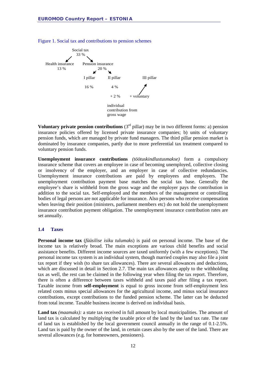

Figure 1. Social tax and contributions to pension schemes

**Voluntary private pension contributions**  $(3<sup>rd</sup> pillar)$  may be in two different forms: a) pension insurance policies offered by licensed private insurance companies; b) units of voluntary pension funds, which are managed by private fund managers. The third pillar pension market is dominated by insurance companies, partly due to more preferential tax treatment compared to voluntary pension funds.

**Unemployment insurance contributions** *(töötuskindlustusmakse)* form a compulsory insurance scheme that covers an employee in case of becoming unemployed, collective closing or insolvency of the employer, and an employer in case of collective redundancies. Unemployment insurance contributions are paid by employees and employers. The unemployment contribution payment base matches the social tax base. Generally the employee's share is withheld from the gross wage and the employer pays the contribution in addition to the social tax. Self-employed and the members of the management or controlling bodies of legal persons are not applicable for insurance. Also persons who receive compensation when leaving their position (ministers, parliament members etc) do not hold the unemployment insurance contribution payment obligation. The unemployment insurance contribution rates are set annually.

#### <span id="page-11-0"></span>**1.4 Taxes**

**Personal income tax** (*füüsilise isiku tulumaks*) is paid on personal income. The base of the income tax is relatively broad. The main exceptions are various child benefits and social assistance benefits. Different income sources are taxed uniformly (with a few exceptions). The personal income tax system is an individual system, though married couples may also file a joint tax report if they wish (to share tax allowances). There are several allowances and deductions, which are discussed in detail in Section 2.7. The main tax allowances apply to the withholding tax as well, the rest can be claimed in the following year when filing the tax report. Therefore, there is often a difference between taxes withheld and taxes paid after filing a tax report. Taxable income from **self-employment** is equal to gross income from self-employment less related costs minus special allowances for the agricultural income, and minus social insurance contributions, except contributions to the funded pension scheme. The latter can be deducted from total income. Taxable business income is derived on individual basis.

**Land tax** *(maamaks):* a state tax received in full amount by local municipalities. The amount of land tax is calculated by multiplying the taxable price of the land by the land tax rate. The rate of land tax is established by the local government council annually in the range of 0.1-2.5%. Land tax is paid by the owner of the land, in certain cases also by the user of the land. There are several allowances (e.g. for homeowners, pensioners).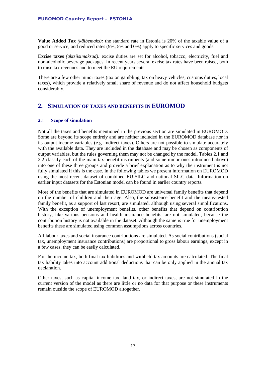**Value Added Tax** *(käibemaks):* the standard rate in Estonia is 20% of the taxable value of a good or service, and reduced rates (9%, 5% and 0%) apply to specific services and goods.

**Excise taxes** *(aktsiisimaksud):* excise duties are set for alcohol, tobacco, electricity, fuel and non-alcoholic beverage packages. In recent years several excise tax rates have been raised, both to raise tax revenues and to meet the EU requirements.

There are a few other minor taxes (tax on gambling, tax on heavy vehicles, customs duties, local taxes), which provide a relatively small share of revenue and do not affect household budgets considerably.

#### <span id="page-12-0"></span>**2. SIMULATION OF TAXES AND BENEFITS IN EUROMOD**

#### <span id="page-12-1"></span>**2.1 Scope of simulation**

Not all the taxes and benefits mentioned in the previous section are simulated in EUROMOD. Some are beyond its scope entirely and are neither included in the EUROMOD database nor in its output income variables (e.g. indirect taxes). Others are not possible to simulate accurately with the available data. They are included in the database and may be chosen as components of output variables, but the rules governing them may not be changed by the model. Tables 2.1 and 2.2 classify each of the main tax-benefit instruments (and some minor ones introduced above) into one of these three groups and provide a brief explanation as to why the instrument is not fully simulated if this is the case. In the following tables we present information on EUROMOD using the most recent dataset of combined EU-SILC and national SILC data. Information on earlier input datasets for the Estonian model can be found in earlier country reports.

Most of the benefits that are simulated in EUROMOD are universal family benefits that depend on the number of children and their age. Also, the subsistence benefit and the means-tested family benefit, as a support of last resort, are simulated, although using several simplifications. With the exception of unemployment benefits, other benefits that depend on contribution history, like various pensions and health insurance benefits, are not simulated, because the contribution history is not available in the dataset. Although the same is true for unemployment benefits these are simulated using common assumptions across countries.

All labour taxes and social insurance contributions are simulated. As social contributions (social tax, unemployment insurance contributions) are proportional to gross labour earnings, except in a few cases, they can be easily calculated.

For the income tax, both final tax liabilities and withheld tax amounts are calculated. The final tax liability takes into account additional deductions that can be only applied in the annual tax declaration.

Other taxes, such as capital income tax, land tax, or indirect taxes, are not simulated in the current version of the model as there are little or no data for that purpose or these instruments remain outside the scope of EUROMOD altogether.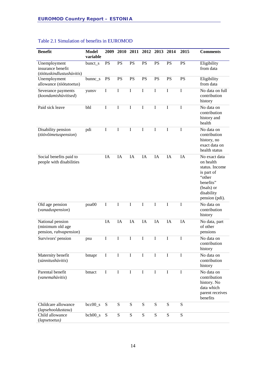| <b>Benefit</b>                                                 | <b>Model</b><br>variable | 2009        |             |             |             | 2010 2011 2012 2013 2014 |             | 2015        | <b>Comments</b>                                                                                                                 |
|----------------------------------------------------------------|--------------------------|-------------|-------------|-------------|-------------|--------------------------|-------------|-------------|---------------------------------------------------------------------------------------------------------------------------------|
| Unemployment<br>insurance benefit<br>(töötuskindlustushüvitis) | bunct_s                  | <b>PS</b>   | PS          | <b>PS</b>   | PS          | PS                       | <b>PS</b>   | <b>PS</b>   | Eligibility<br>from data                                                                                                        |
| Unemployment<br>allowance (töötutoetus)                        | $b$ unnc_s               | PS          | PS          | PS          | PS          | PS                       | <b>PS</b>   | <b>PS</b>   | Eligibility<br>from data                                                                                                        |
| Severance payments<br>(koondamishüvitised)                     | yunsv                    | I           | $\bf I$     | I           | $\bf I$     | $\mathbf I$              | I           | I           | No data on full<br>contribution<br>history                                                                                      |
| Paid sick leave                                                | bhl                      | I           | I           | $\bf I$     | I           | $\mathbf I$              | I           | $\mathbf I$ | No data on<br>contribution<br>history and<br>health                                                                             |
| Disability pension<br>(töövõimetuspension)                     | pdi                      | I           | $\bf I$     | I           | $\bf I$     | I                        | I           | $\mathbf I$ | No data on<br>contribution<br>history, no<br>exact data on<br>health status                                                     |
| Social benefits paid to<br>people with disabilities            |                          | IA          | IA          | IA          | IA          | IA                       | IA          | IA          | No exact data<br>on health<br>status. Income<br>is part of<br>"other<br>benefits"<br>(bsals) or<br>disability<br>pension (pdi). |
| Old age pension<br>(vanaduspension)                            | poa00                    | $\mathbf I$ | $\mathbf I$ | $\bf I$     | $\bf I$     | $\bf I$                  | I           | $\mathbf I$ | No data on<br>contribution<br>history                                                                                           |
| National pension<br>(minimum old age<br>pension, rahvapension) |                          | IA          | IA          | IA          | IA          | IA                       | IA          | IA          | No data, part<br>of other<br>pensions                                                                                           |
| Survivors' pension                                             | psu                      | I           | $\bf{I}$    | I           | I           | I                        | T           | I           | No data on<br>contribution<br>history                                                                                           |
| Maternity benefit<br>(sünnitushüvitis)                         | bmapr                    | I           | $\mathbf I$ | $\mathbf I$ | $\mathbf I$ | $\bf{I}$                 | $\bf I$     | $\mathbf I$ | No data on<br>contribution<br>history                                                                                           |
| Parental benefit<br>(vanemahüvitis)                            | bmact                    | $\mathbf I$ | $\bf I$     | $\mathbf I$ | $\bf I$     | I                        | $\mathbf I$ | $\mathbf I$ | No data on<br>contribution<br>history. No<br>data which<br>parent receives<br>benefits                                          |
| Childcare allowance<br>(lapsehooldustasu)                      | $bcc00$ <sub>s</sub>     | ${\bf S}$   | ${\bf S}$   | ${\bf S}$   | ${\bf S}$   | S                        | ${\bf S}$   | ${\bf S}$   |                                                                                                                                 |
| Child allowance<br>(lapsetoetus)                               | $beh00_s$                | S           | ${\bf S}$   | ${\bf S}$   | ${\bf S}$   | S                        | ${\bf S}$   | ${\bf S}$   |                                                                                                                                 |

#### Table 2.1 Simulation of benefits in EUROMOD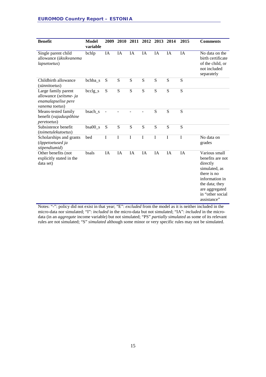| <b>Benefit</b>                                                                         | <b>Model</b><br>variable | 2009 | <b>2010</b> |    | 2011 2012 2013 2014 |           |           | 2015 | <b>Comments</b>                                                                                                                                                        |
|----------------------------------------------------------------------------------------|--------------------------|------|-------------|----|---------------------|-----------|-----------|------|------------------------------------------------------------------------------------------------------------------------------------------------------------------------|
| Single parent child<br>allowance (üksikvanema<br>lapsetoetus)                          | bchlp                    | IA   | IA          | IA | IA                  | IA        | <b>IA</b> | IA   | No data on the<br>birth certificate<br>of the child, or<br>not included<br>separately                                                                                  |
| Childbirth allowance<br>(sünnitoetus)                                                  | bchba_s                  | S    | S           | S  | ${\bf S}$           | ${\bf S}$ | S         | S    |                                                                                                                                                                        |
| Large family parent<br>allowance (seitsme- ja<br>enamalapselise pere<br>vanema toetus) | $bcclg_s$                | S    | S           | S  | ${\bf S}$           | S         | S         | S    |                                                                                                                                                                        |
| Means-tested family<br>benefit (vajaduspõhine<br>peretoetus)                           | bsach_s                  |      |             |    |                     | ${\bf S}$ | S         | S    |                                                                                                                                                                        |
| Subsistence benefit<br>(toimetulekutoetus)                                             | $bsa00_s$                | S    | S           | S  | S                   | S         | S         | S    |                                                                                                                                                                        |
| Scholarships and grants<br>(õppetoetused ja<br>stipendiumid)                           | bed                      | I    | I           | I  | $\mathbf I$         | I         | I         | I    | No data on<br>grades                                                                                                                                                   |
| Other benefits (not<br>explicitly stated in the<br>data set)                           | bsals                    | IA   | IA          | IA | IA                  | IA        | IA        | IA   | Various small<br>benefits are not<br>directly<br>simulated, as<br>there is no<br>information in<br>the data; they<br>are aggregated<br>in "other social<br>assistance" |

Notes: "-": policy did not exist in that year; "E": *excluded* from the model as it is neither included in the micro-data nor simulated; "I": *included* in the micro-data but not simulated; "IA": *included* in the microdata (in an *aggregate* income variable) but not simulated; "PS" *partially simulated* as some of its relevant rules are not simulated; "S" *simulated* although some minor or very specific rules may not be simulated.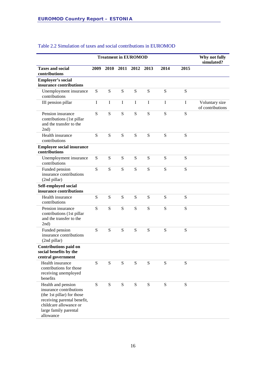|                                                                                                                                                                            | <b>Treatment in EUROMOD</b> |           |           |           |           |           |           |                                    |  |  |  |  |
|----------------------------------------------------------------------------------------------------------------------------------------------------------------------------|-----------------------------|-----------|-----------|-----------|-----------|-----------|-----------|------------------------------------|--|--|--|--|
| <b>Taxes and social</b><br>contributions                                                                                                                                   | 2009                        | 2010      | 2011 2012 |           | 2013      | 2014      | 2015      |                                    |  |  |  |  |
| <b>Employer's social</b><br>insurance contributions                                                                                                                        |                             |           |           |           |           |           |           |                                    |  |  |  |  |
| Unemployment insurance<br>contributions                                                                                                                                    | S                           | S         | ${\bf S}$ | ${\bf S}$ | S         | S         | S         |                                    |  |  |  |  |
| III pension pillar                                                                                                                                                         | I                           | $\bf{I}$  | $\bf{I}$  | I         | I         | I         | $\bf{I}$  | Voluntary size<br>of contributions |  |  |  |  |
| Pension insurance<br>contributions (1st pillar<br>and the transfer to the<br>2nd)                                                                                          | S                           | S         | S         | ${\bf S}$ | S         | S         | S         |                                    |  |  |  |  |
| Health insurance<br>contributions                                                                                                                                          | S                           | S         | S         | ${\bf S}$ | S         | S         | S         |                                    |  |  |  |  |
| <b>Employee social insurance</b><br>contributions                                                                                                                          |                             |           |           |           |           |           |           |                                    |  |  |  |  |
| Unemployment insurance<br>contributions                                                                                                                                    | S                           | S         | S         | S         | S         | S         | S         |                                    |  |  |  |  |
| Funded pension<br>insurance contributions<br>(2nd pillar)                                                                                                                  | S                           | S         | S         | ${\bf S}$ | S         | ${\bf S}$ | S         |                                    |  |  |  |  |
| Self-employed social<br>insurance contributions                                                                                                                            |                             |           |           |           |           |           |           |                                    |  |  |  |  |
| Health insurance<br>contributions                                                                                                                                          | S                           | S         | S         | S         | S         | S         | S         |                                    |  |  |  |  |
| Pension insurance<br>contributions (1st pillar<br>and the transfer to the<br>2nd)                                                                                          | S                           | S         | S         | ${\bf S}$ | S         | S         | S         |                                    |  |  |  |  |
| Funded pension<br>insurance contributions<br>(2nd pillar)                                                                                                                  | S                           | S         | S         | S         | S         | S         | S         |                                    |  |  |  |  |
| <b>Contributions paid on</b><br>social benefits by the<br>central government                                                                                               |                             |           |           |           |           |           |           |                                    |  |  |  |  |
| Health insurance<br>contributions for those<br>receiving unemployed<br>benefits                                                                                            | S                           | S         | S         | ${\bf S}$ | S         | ${\bf S}$ | S         |                                    |  |  |  |  |
| Health and pension<br>insurance contributions<br>(the 1st pillar) for those<br>receiving parental benefit,<br>childcare allowance or<br>large family parental<br>allowance | ${\bf S}$                   | ${\bf S}$ | S         | ${\bf S}$ | ${\bf S}$ | ${\bf S}$ | ${\bf S}$ |                                    |  |  |  |  |

#### Table 2.2 Simulation of taxes and social contributions in EUROMOD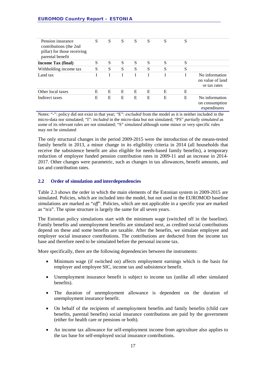| Pension insurance<br>contributions (the 2nd<br>pillar) for those receiving<br>parental benefit | S | S | S | S | S | S | S |                                                    |
|------------------------------------------------------------------------------------------------|---|---|---|---|---|---|---|----------------------------------------------------|
| Income Tax (final)                                                                             | S | S | S | S | S | S | S |                                                    |
| Withholding income tax                                                                         | S | S | S | S | S | S | S |                                                    |
| Land tax                                                                                       |   |   |   |   |   |   |   | No information<br>on value of land<br>or tax rates |
| Other local taxes                                                                              | E | E | E | E | E | E | E |                                                    |
| Indirect taxes                                                                                 | Е | E | E | E | E | E | E | No information<br>on consumption<br>expenditures   |

Notes: "-": policy did not exist in that year; "E": *excluded* from the model as it is neither included in the micro-data nor simulated; "I": *included* in the micro-data but not simulated; "PS" *partially simulated* as some of its relevant rules are not simulated; "S" *simulated* although some minor or very specific rules may not be simulated

The only structural changes in the period 2009-2015 were the introduction of the means-tested family benefit in 2013, a minor change in its eligibility criteria in 2014 (all households that receive the subsistence benefit are also eligible for needs-based family benefits), a temporary reduction of employee funded pension contribution rates in 2009-11 and an increase in 2014- 2017. Other changes were parametric, such as changes in tax allowances, benefit amounts, and tax and contribution rates.

#### <span id="page-16-0"></span>**2.2 Order of simulation and interdependencies**

Table 2.3 shows the order in which the main elements of the Estonian system in 2009-2015 are simulated. Policies, which are included into the model, but not used in the EUROMOD baseline simulations are marked as "*off*". Policies, which are not applicable in a specific year are marked as "n/a". The spine structure is largely the same for all seven years.

The Estonian policy simulations start with the minimum wage (switched off in the baseline). Family benefits and unemployment benefits are simulated next, as credited social contributions depend on these and some benefits are taxable. After the benefits, we simulate employee and employer social insurance contributions. The contributions are deducted from the income tax base and therefore need to be simulated before the personal income tax.

More specifically, there are the following dependencies between the instruments:

- Minimum wage (if switched on) affects employment earnings which is the basis for employer and employee SIC, income tax and subsistence benefit.
- Unemployment insurance benefit is subject to income tax (unlike all other simulated benefits).
- The duration of unemployment allowance is dependent on the duration of unemployment insurance benefit.
- On behalf of the recipients of unemployment benefits and family benefits (child care benefits, parental benefits) social insurance contributions are paid by the government (either for health care or pensions or both).
- An income tax allowance for self-employment income from agriculture also applies to the tax base for self-employed social insurance contributions.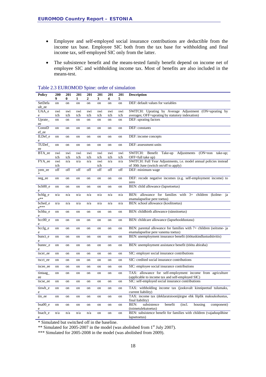- Employee and self-employed social insurance contributions are deductible from the income tax base. Employee SIC both from the tax base for withholding and final income tax, self-employed SIC only from the latter.
- The subsistence benefit and the means-tested family benefit depend on income net of employee SIC and withholding income tax. Most of benefits are also included in the means-test.

| <b>Policy</b> | 200<br>9 | 201<br>$\bf{0}$ | 201<br>1 | 201<br>2 | 201<br>3 | 201<br>4 | 201<br>5 | <b>Description</b>                                                                                  |
|---------------|----------|-----------------|----------|----------|----------|----------|----------|-----------------------------------------------------------------------------------------------------|
| SetDefa       | on       | on              | on       | on       | on       | on       | on       | DEF: default values for variables                                                                   |
| ult_ee        |          |                 |          |          |          |          |          |                                                                                                     |
| UAA_e         | swi      | swi             | swi      | swi      | swi      | swi      | swi      | SWITCH: Uprating by Average Adjustment (ON=uprating by                                              |
| e             | tch      | tch             | tch      | tch      | tch      | tch      | tch      | averages; OFF=uprating by statutory indexation)                                                     |
| Uprate_<br>ee | on       | on              | on       | on       | on       | on       | on       | DEF: uprating factors                                                                               |
| ConstD        | on       | on              | on       | on       | on       | on       | on       | DEF: constants                                                                                      |
| ef_ee         |          |                 |          |          |          |          |          |                                                                                                     |
| ILDef_e       | on       | on              | on       | on       | on       | on       | on       | DEF: income concepts                                                                                |
| e             |          |                 |          |          |          |          |          |                                                                                                     |
| TUDef         | on       | on              | on       | on       | on       | on       | on       | DEF: assessment units                                                                               |
| ee            |          |                 |          |          |          |          |          |                                                                                                     |
| BTA_ee        | swi      | swi             | swi      | swi      | swi      | swi      | swi      | SWITCH: Benefit Take-up Adjustments (ON=non take-up;                                                |
|               | tch      | tch             | tch      | tch      | tch      | tch      | tch      | OFF=full take up)                                                                                   |
| FYA_ee        | swi      | n/a             | n/a      | n/a      | swi      | n/a      | n/a      | SWITCH: Full Year Adjustments, i.e. model annual policies instead                                   |
|               | tch      |                 |          |          | tch      |          |          | of 30th June (switch on/off to apply)                                                               |
| yem_ee        | off      | off             | off      | off      | off      | off      | off      | DEF: minimum wage                                                                                   |
| *.            |          |                 |          |          |          |          |          |                                                                                                     |
| neg_ee        | on       | on              | on       | on       | on       | on       | on       | DEF: recode negative incomes (e.g. self-employment income) to                                       |
|               |          |                 |          |          |          |          |          | zero                                                                                                |
| bch00 e       | on       | on              | on       | on       | on       | on       | on       | BEN: child allowance (lapsetoetus)                                                                  |
| $\rm e$       |          |                 |          |          |          |          |          |                                                                                                     |
| bchlg_e       | n/a      | n/a             | n/a      | n/a      | n/a      | n/a      | n/a      | BEN: allowance for families with 3+ children (kolme- ja                                             |
| $e^{**}$      |          |                 |          |          |          |          |          | enamalapselise pere toetus)                                                                         |
| bched_e       | n/a      | n/a             | n/a      | n/a      | n/a      | n/a      | n/a      | BEN: school allowance (koolitoetus)                                                                 |
| $e^{***}$     |          |                 |          |          |          |          |          |                                                                                                     |
| bchba_e       | on       | on              | on       | on       | on       | on       | on       | BEN: childbirth allowance (sünnitoetus)                                                             |
| e             |          |                 |          |          |          |          |          |                                                                                                     |
| $bcc00_e$     | on       | on              | on       | on       | on       | on       | on       | BEN: childcare allowance (lapsehooldustasu)                                                         |
| e             |          |                 |          |          |          |          |          |                                                                                                     |
| bcclg_e       | on       | on              | on       | on       | on       | on       | on       | BEN: parental allowance for families with 7+ children (seitsme- ja                                  |
| e<br>bunct_e  | on       | on              | on       | on       | on       | on       | on       | enamalapselise pere vanema toetus)<br>BEN: unemployment insurance benefit (töötuskindlustushüvitis) |
| e             |          |                 |          |          |          |          |          |                                                                                                     |
| bunnc_e       | on       | on              | on       | on       | on       | on       | on       | BEN: unemployment assistance benefit (töötu abiraha)                                                |
| e             |          |                 |          |          |          |          |          |                                                                                                     |
| tscer_ee      | on       | on              | on       | on       | on       | on       | on       | SIC: employer social insurance contributions                                                        |
|               |          |                 |          |          |          |          |          |                                                                                                     |
| tscct_ee      | on       | on              | on       | on       | on       | on       | on       | SIC: credited social insurance contributions                                                        |
| tscee_ee      | on       | on              | on       | on       | on       | on       | on       | SIC: employee social insurance contributions                                                        |
| tintaag       | on       | on              | on       | on       | on       | on       | on       | TAX: allowance for self-employment income from agriculture                                          |
| ee            |          |                 |          |          |          |          |          | (applicable to income tax and self-employed SIC)                                                    |
| tscse_ee      | on       | on              | on       | on       | on       | on       | on       | SIC: self-employed social insurance contributions                                                   |
|               |          |                 |          |          |          |          |          |                                                                                                     |
| tinwh e<br>e  | on       | on              | on       | on       | on       | on       | on       | TAX: withholding income tax (jooksvalt kinnipeetud tulumaks,<br>current liability)                  |
| tin_ee        | on       | on              | on       | on       | on       | on       | on       | TAX: income tax (deklaratsioonijärgne ehk lõplik maksukohustus,                                     |
|               |          |                 |          |          |          |          |          | final liability)<br>subsistence<br>benefit<br>BEN:                                                  |
| bsa00_e       | on       | on              | on       | on       | on       | on       | on       | (incl.<br>housing<br>component)<br>(toimetulekutoetus)                                              |
| e<br>bsach e  | n/a      | n/a             | n/a      | n/a      | on       | on       | on       | BEN: subsistence benefit for families with children (vajaduspõhine                                  |
| e             |          |                 |          |          |          |          |          | lapsetoetus)                                                                                        |
|               |          |                 |          |          |          |          |          |                                                                                                     |

#### Table 2.3 EUROMOD Spine: order of simulation

\* Simulated but switched off in the baseline.

\*\* Simulated for 2005-2007 in the model (was abolished from 1<sup>st</sup> July 2007).

\*\*\* Simulated for 2005-2008 in the model (was abolished from 2009).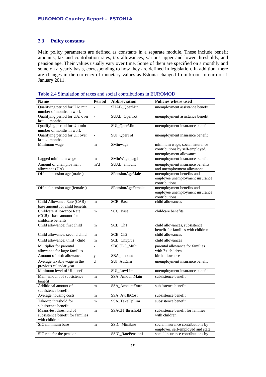#### <span id="page-18-0"></span>**2.3 Policy constants**

Main policy parameters are defined as constants in a separate module. These include benefit amounts, tax and contribution rates, tax allowances, various upper and lower thresholds, and pension age. Their values usually vary over time. Some of them are specified on a monthly and some on a yearly basis, corresponding to how they are defined in legislation. In addition, there are changes in the currency of monetary values as Estonia changed from kroon to euro on 1 January 2011.

| Table 2.4 Simulation of taxes and social contributions in EUROMOD |  |  |  |
|-------------------------------------------------------------------|--|--|--|
|-------------------------------------------------------------------|--|--|--|

| <b>Name</b>                                               | <b>Period</b>            | <b>Abbreviation</b> | Policies where used                              |
|-----------------------------------------------------------|--------------------------|---------------------|--------------------------------------------------|
| Qualifying period for UA: min                             |                          | \$UAB_QperMin       | unemployment assistance benefit                  |
| number of months in work                                  |                          |                     |                                                  |
| Qualifying period for UA: over                            | $\overline{\phantom{a}}$ | \$UAB_QperTot       | unemployment assistance benefit                  |
| last  months                                              |                          |                     |                                                  |
| Qualifying period for UI: min<br>number of months in work | $\overline{\phantom{0}}$ | \$UI_QperMin        | unemployment insurance benefit                   |
| Qualifying period for UI: over                            | $\overline{a}$           | \$UI_QperTot        | unemployment insurance benefit                   |
| last  months                                              |                          |                     |                                                  |
| Minimum wage                                              | m                        | <b>\$Minwage</b>    | minimum wage, social insurance                   |
|                                                           |                          |                     | contributions by self-employed,                  |
|                                                           |                          |                     | unemployment allowance                           |
| Lagged minimum wage                                       | m                        | \$MinWage_lag1      | unemployment insurance benefit                   |
| Amount of unemployment                                    | m/d                      | \$UAB_amount        | unemployment insurance benefits                  |
| allowance (UA)                                            |                          |                     | and unemployment allowance                       |
| Official pension age (males)                              | $\overline{\phantom{0}}$ | \$PensionAgeMale    | unemployment benefits and                        |
|                                                           |                          |                     | employee unemployment insurance                  |
|                                                           |                          |                     | contributions                                    |
| Official pension age (females)                            | $\qquad \qquad -$        | \$PensionAgeFemale  | unemployment benefits and                        |
|                                                           |                          |                     | employee unemployment insurance<br>contributions |
| Child Allowance Rate (CAR) -                              | m                        | \$CB_Base           | child allowances                                 |
| base amount for child benefits                            |                          |                     |                                                  |
| Childcare Allowance Rate                                  | m                        | \$CC_Base           | childcare benefits                               |
| (CCR) - base amount for                                   |                          |                     |                                                  |
| childcare benefits                                        |                          |                     |                                                  |
| Child allowance: first child                              | m                        | $$CB\_Ch1$          | child allowances, subsistence                    |
|                                                           |                          |                     | benefit for families with children               |
| Child allowance: second child                             | m                        | \$CB_Ch2            | child allowances                                 |
| Child allowance: third+ child                             | m                        | \$CB_Ch3plus        | child allowances                                 |
| Multiplier for parental                                   | $\overline{a}$           | \$BCCLG_Mult        | parental allowance for families                  |
| allowance for large families                              |                          |                     | with $7+$ children                               |
| Amount of birth allowance                                 | y                        | \$BA_amount         | birth allowance                                  |
| Average taxable wage in the                               | d                        | \$UI_AvEarn         | unemployment insurance benefit                   |
| previous calendar year                                    |                          |                     |                                                  |
| Minimum level of UI benefit                               |                          | \$UI_LowLim         | unemployment insurance benefit                   |
| Main amount of subsistence                                | m                        | \$SA_AmountMain     | subsistence benefit                              |
| benefit<br>Additional amount of                           |                          | \$SA_AmountExtra    | subsistence benefit                              |
| subsistence benefit                                       | m                        |                     |                                                  |
| Average housing costs                                     | m                        | \$SA_AvHhCost       | subsistence benefit                              |
| Take-up threshold for                                     | m                        | \$SA_TakeUpLim      | subsistence benefit                              |
| subsistence benefit                                       |                          |                     |                                                  |
| Means-test threshold of                                   | m                        | \$SACH_threshold    | subsistence benefit for families                 |
| subsistence benefit for families                          |                          |                     | with children                                    |
| with children                                             |                          |                     |                                                  |
| SIC minimum base                                          | m                        | \$SIC_MinBase       | social insurance contributions by                |
|                                                           |                          |                     | employer, self-employed and state                |
| SIC rate for the pension                                  | $\overline{\phantom{0}}$ | \$SIC_RatePension1  | social insurance contributions by                |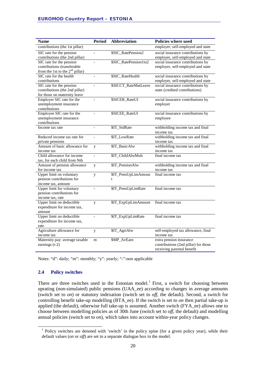| <b>Name</b>                                       | <b>Period</b>            | <b>Abbreviation</b>   | <b>Policies where used</b>                     |
|---------------------------------------------------|--------------------------|-----------------------|------------------------------------------------|
| contributions (the 1st pillar)                    |                          |                       | employer, self-employed and state              |
| SIC rate for the pension                          |                          | \$SIC_RatePension2    | social insurance contributions by              |
| contributions (the 2nd pillar)                    |                          |                       | employer, self-employed and state              |
| SIC rate for the pension                          |                          | \$SIC_RatePension1to2 | social insurance contributions by              |
| contributions (transferable                       |                          |                       | employer, self-employed and state              |
| from the 1st to the $2nd$ pillar)                 |                          |                       |                                                |
| SIC rate for the health                           | $\overline{a}$           | \$SIC_RateHealth      | social insurance contributions by              |
| contributions                                     |                          |                       | employer, self-employed and state              |
| SIC rate for the pension                          | $\overline{a}$           | \$SICCT_RateMatLeave  | social insurance contributions by              |
| contributions (the 2nd pillar)                    |                          |                       | state (credited contributions)                 |
| for those on maternity leave                      |                          |                       |                                                |
| Employer SIC rate for the                         | $\overline{\phantom{0}}$ | \$SICER_RateUI        | social insurance contributions by              |
| unemployment insurance                            |                          |                       | employer                                       |
| contributions                                     |                          |                       |                                                |
| Employee SIC rate for the                         | $\qquad \qquad -$        | \$SICEE_RateUI        | social insurance contributions by              |
| unemployment insurance                            |                          |                       | employee                                       |
| contributions                                     |                          |                       |                                                |
| Income tax rate                                   | $\overline{\phantom{a}}$ | \$IT_StdRate          | withholding income tax and final               |
|                                                   |                          |                       | income tax                                     |
| Reduced income tax rate for                       | $\overline{a}$           | \$IT_LowRate          | withholding income tax and final               |
| private pensions<br>Amount of basic allowance for |                          |                       | income tax                                     |
| income tax                                        | y                        | \$IT_BasicAlw         | withholding income tax and final<br>income tax |
| Child allowance for income                        | $\overline{a}$           | \$IT_ChildAlwMult     | final income tax                               |
| tax, for each child from Nth                      |                          |                       |                                                |
| Amount of pension allowance                       |                          | \$IT_PensionAlw       | withholding income tax and final               |
| for income tax                                    | y                        |                       | income tax                                     |
| Upper limit on voluntary                          | y                        | \$IT_PensUpLimAmoun   | final income tax                               |
| pension contributions for                         |                          | t                     |                                                |
| income tax, amount                                |                          |                       |                                                |
| Upper limit for voluntary                         |                          | \$IT_PensUpLimRate    | final income tax                               |
| pension contributions for                         |                          |                       |                                                |
| income tax, rate                                  |                          |                       |                                                |
| Upper limit on deductible                         | y                        | \$IT_ExpUpLimAmount   | final income tax                               |
| expenditure for income tax,                       |                          |                       |                                                |
| amount                                            |                          |                       |                                                |
| Upper limit on deductible                         | $\overline{a}$           | \$IT_ExpUpLimRate     | final income tax                               |
| expenditure for income tax,                       |                          |                       |                                                |
| rate                                              |                          |                       |                                                |
| Agriculture allowance for                         | y                        | \$IT_AgriAlw          | self-employed tax allowance, final             |
| income tax                                        |                          |                       | income tax                                     |
| Maternity pay: average taxable                    | m                        | \$MP_AvEarn           | extra pension insurance                        |
| earnings $(t-2)$                                  |                          |                       | contributions (2nd pillar) for those           |
|                                                   |                          |                       | receiving parental benefit                     |

Notes: "d": daily; "m": monthly; "y": yearly; "-":non applicable

#### <span id="page-19-0"></span>**2.4 Policy switches**

There are three switches used in the Estonian model.<sup>[1](#page-19-1)</sup> First, a switch for choosing between uprating (non-simulated) public pensions (UAA\_ee) according to changes in average amounts (switch set to *on*) or statutory indexation (switch set to *off*, the default). Second, a switch for controlling benefit take-up modelling (BTA\_ee). If the switch is set to *on* then partial take-up is applied (the default), otherwise full take-up is assumed. Another switch (FYA\_ee) allows one to choose between modelling policies as of 30th June (switch set to *off*, the default) and modelling annual policies (switch set to *on*), which takes into account within-year policy changes.

<span id="page-19-1"></span><sup>&</sup>lt;sup>1</sup> Policy switches are denoted with 'switch' in the policy spine (for a given policy year), while their default values (*on* or *off*) are set in a separate dialogue box in the model.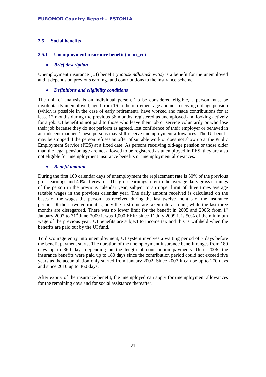#### <span id="page-20-0"></span>**2.5 Social benefits**

#### <span id="page-20-1"></span>**2.5.1 Unemployment insurance benefit (**bunct\_ee)

#### • *Brief description*

Unemployment insurance (UI) benefit (*töötuskindlustushüvitis*) is a benefit for the unemployed and it depends on previous earnings and contributions to the insurance scheme.

#### • *Definitions and eligibility conditions*

The unit of analysis is an individual person. To be considered eligible, a person must be involuntarily unemployed, aged from 16 to the retirement age and not receiving old age pension (which is possible in the case of early retirement), have worked and made contributions for at least 12 months during the previous 36 months, registered as unemployed and looking actively for a job. UI benefit is not paid to those who leave their job or service voluntarily or who lose their job because they do not perform as agreed, lost confidence of their employer or behaved in an indecent manner. These persons may still receive unemployment allowances. The UI benefit may be stopped if the person refuses an offer of suitable work or does not show up at the Public Employment Service (PES) at a fixed date. As persons receiving old-age pension or those older than the legal pension age are not allowed to be registered as unemployed in PES, they are also not eligible for unemployment insurance benefits or unemployment allowances.

#### • *Benefit amount*

During the first 100 calendar days of unemployment the replacement rate is 50% of the previous gross earnings and 40% afterwards. The gross earnings refer to the average daily gross earnings of the person in the previous calendar year, subject to an upper limit of three times average taxable wages in the previous calendar year. The daily amount received is calculated on the bases of the wages the person has received during the last twelve months of the insurance period. Of those twelve months, only the first nine are taken into account, while the last three months are disregarded. There was no lower limit for the benefit in 2005 and 2006; from  $1<sup>st</sup>$ January 2007 to  $31<sup>st</sup>$  June 2009 it was 1,000 EEK; since  $1<sup>st</sup>$  July 2009 it is 50% of the minimum wage of the previous year. UI benefits are subject to income tax and this is withheld when the benefits are paid out by the UI fund.

To discourage entry into unemployment, UI system involves a waiting period of 7 days before the benefit payment starts. The duration of the unemployment insurance benefit ranges from 180 days up to 360 days depending on the length of contribution payments. Until 2006, the insurance benefits were paid up to 180 days since the contribution period could not exceed five years as the accumulation only started from January 2002. Since 2007 it can be up to 270 days and since 2010 up to 360 days.

After expiry of the insurance benefit, the unemployed can apply for unemployment allowances for the remaining days and for social assistance thereafter.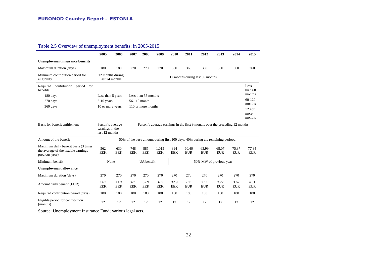#### Table 2.5 Overview of unemployment benefits; in 2005-2015

|                                                                                               | 2005                                                  | 2006               | 2007                                                                         | 2008                            | 2009                | 2010                    | 2011                | 2012                                                                           | 2013                | 2014                | 2015                        |  |
|-----------------------------------------------------------------------------------------------|-------------------------------------------------------|--------------------|------------------------------------------------------------------------------|---------------------------------|---------------------|-------------------------|---------------------|--------------------------------------------------------------------------------|---------------------|---------------------|-----------------------------|--|
| <b>Unemployment insurance benefits</b>                                                        |                                                       |                    |                                                                              |                                 |                     |                         |                     |                                                                                |                     |                     |                             |  |
| Maximum duration (days)                                                                       | 180                                                   | 180                | 270                                                                          | 270                             | 270                 | 360                     | 360                 | 360                                                                            | 360                 | 360                 | 360                         |  |
| Minimum contribution period for<br>eligibility                                                | 12 months during<br>last 24 months                    |                    |                                                                              | 12 months during last 36 months |                     |                         |                     |                                                                                |                     |                     |                             |  |
| Required<br>contribution period for<br>benefits                                               |                                                       |                    |                                                                              |                                 |                     |                         |                     |                                                                                |                     |                     | Less<br>than $60$<br>months |  |
| 180 days                                                                                      | Less than 5 years                                     |                    |                                                                              | Less than 55 months             |                     |                         |                     |                                                                                |                     |                     |                             |  |
| 270 days                                                                                      | $5-10$ years                                          |                    | 56-110 month                                                                 |                                 |                     |                         |                     |                                                                                |                     |                     | $60-120$<br>months          |  |
| 360 days                                                                                      | 10 or more years                                      |                    | 110 or more months                                                           |                                 |                     |                         |                     |                                                                                |                     | $120$ or<br>more    |                             |  |
|                                                                                               |                                                       |                    |                                                                              |                                 |                     |                         |                     |                                                                                |                     |                     | months                      |  |
| Basis for benefit entitlement                                                                 | Person's average<br>earnings in the<br>last 12 months |                    | Person's average earnings in the first 9 months over the preceding 12 months |                                 |                     |                         |                     |                                                                                |                     |                     |                             |  |
| Amount of the benefit                                                                         |                                                       |                    |                                                                              |                                 |                     |                         |                     | 50% of the base amount during first 100 days, 40% during the remaining periood |                     |                     |                             |  |
| Maximum daily benefit basis (3 times<br>the average of the taxable earnings<br>previous year) | 562<br><b>EEK</b>                                     | 630<br><b>EEK</b>  | 748<br><b>EEK</b>                                                            | 885<br><b>EEK</b>               | 1.015<br><b>EEK</b> | 894<br><b>EEK</b>       | 60.46<br><b>EUR</b> | 63.99<br><b>EUR</b>                                                            | 68.07<br><b>EUR</b> | 75.87<br><b>EUR</b> | 77.34<br><b>EUR</b>         |  |
| Minimum benefit                                                                               | None                                                  |                    | UA benefit                                                                   |                                 |                     | 50% MW of previous year |                     |                                                                                |                     |                     |                             |  |
| <b>Unemployment allowance</b>                                                                 |                                                       |                    |                                                                              |                                 |                     |                         |                     |                                                                                |                     |                     |                             |  |
| Maximum duration (days)                                                                       | 270                                                   | 270                | 270                                                                          | 270                             | 270                 | 270                     | 270                 | 270                                                                            | 270                 | 270                 | 270                         |  |
| Amount daily benefit (EUR)                                                                    | 14.3<br><b>EEK</b>                                    | 14.3<br><b>EEK</b> | 32.9<br><b>EEK</b>                                                           | 32.9<br><b>EEK</b>              | 32.9<br><b>EEK</b>  | 32.9<br><b>EEK</b>      | 2.11<br><b>EUR</b>  | 2.11<br><b>EUR</b>                                                             | 3.27<br><b>EUR</b>  | 3.62<br><b>EUR</b>  | 4.01<br><b>EUR</b>          |  |
| Required contribution period (days)                                                           | 180                                                   | 180                | 180                                                                          | 180                             | 180                 | 180                     | 180                 | 180                                                                            | 180                 | 180                 | 180                         |  |
| Eligible period for contribution<br>(months)                                                  | 12                                                    | 12                 | 12                                                                           | 12                              | 12                  | 12                      | 12                  | 12                                                                             | 12                  | 12                  | 12                          |  |

Source: Unemployment Insurance Fund; various legal acts.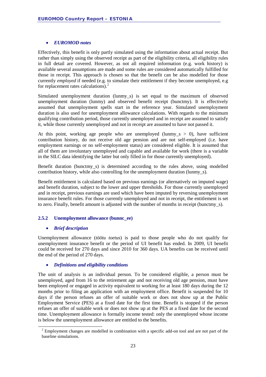#### • *EUROMOD notes*

Effectively, this benefit is only partly simulated using the information about actual receipt. But rather than simply using the observed receipt as part of the eligibility criteria, all eligibility rules in full detail are covered. However, as not all required information (e.g. work history) is available several assumptions are made and some rules are considered automatically fulfilled for those in receipt. This approach is chosen so that the benefit can be also modelled for those currently *employed* if needed (e.g. to simulate their entitlement if they become unemployed, e.g for replacement rates calculations).<sup>[2](#page-22-1)</sup>

Simulated unemployment duration (lunmy\_s) is set equal to the maximum of observed unemployment duration (lunmy) and observed benefit receipt (bunctmy). It is effectively assumed that unemployment spells start in the reference year. Simulated unemployment duration is also used for unemployment allowance calculations. With regards to the minimum qualifying contribution period, those currently unemployed and in receipt are assumed to satisfy it, while those currently unemployed and not in receipt are assumed to have not passed it.

At this point, working age people who are unemployed (lunmy\_s  $> 0$ ), have sufficient contribution history, do not receive old age pension and are not self-employed (i.e. have employment earnings or no self-employment status) are considered eligible. It is assumed that all of them are involuntary unemployed and capable and available for work (there is a variable in the SILC data identifying the latter but only filled in for those currently unemployed).

Benefit duration (bunctmy s) is determined according to the rules above, using modelled contribution history, while also controlling for the unemployment duration (lunmy\_s).

Benefit entitlement is calculated based on previous earnings (or alternatively on imputed wage) and benefit duration, subject to the lower and upper thresholds. For those currently unemployed and in receipt, previous earnings are used which have been imputed by reversing unemployment insurance benefit rules. For those currently unemployed and not in receipt, the entitlement is set to zero. Finally, benefit amount is adjusted with the number of months in receipt (bunctmy\_s).

#### <span id="page-22-0"></span>**2.5.2 Unemployment allowance (bunnc\_ee)**

#### • *Brief description*

Unemployment allowance (*töötu toetus*) is paid to those people who do not qualify for unemployment insurance benefit or the period of UI benefit has ended. In 2009, UI benefit could be received for 270 days and since 2010 for 360 days. UA benefits can be received until the end of the period of 270 days.

#### • *Definitions and eligibility conditions*

The unit of analysis is an individual person. To be considered eligible, a person must be unemployed, aged from 16 to the retirement age and not receiving old age pension, must have been employed or engaged in activity equivalent to working for at least 180 days during the 12 months prior to filing an application with an employment office. Benefit is suspended for 10 days if the person refuses an offer of suitable work or does not show up at the Public Employment Service (PES) at a fixed date for the first time. Benefit is stopped if the person refuses an offer of suitable work or does not show up at the PES at a fixed date for the second time. Unemployment allowance is formally income tested: only the unemployed whose income is below the unemployment allowance are entitled to the benefits.

<span id="page-22-1"></span><sup>&</sup>lt;sup>2</sup> Employment changes are modelled in combination with a specific add-on tool and are not part of the baseline simulations.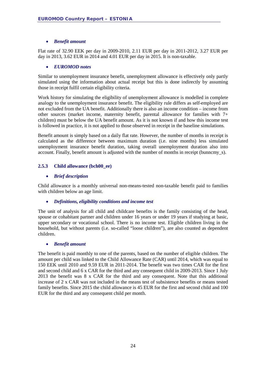#### • *Benefit amount*

Flat rate of 32.90 EEK per day in 2009-2010, 2.11 EUR per day in 2011-2012, 3.27 EUR per day in 2013, 3.62 EUR in 2014 and 4.01 EUR per day in 2015. It is non-taxable.

#### • *EUROMOD notes*

Similar to unemployment insurance benefit, unemployment allowance is effectively only partly simulated using the information about actual receipt but this is done indirectly by assuming those in receipt fulfil certain eligibility criteria.

Work history for simulating the eligibility of unemployment allowance is modelled in complete analogy to the unemployment insurance benefit. The eligibility rule differs as self-employed are not excluded from the UA benefit. Additionally there is also an income condition – income from other sources (market income, maternity benefit, parental allowance for families with 7+ children) must be below the UA benefit amount. As it is not known if and how this income test is followed in practice, it is not applied to those observed in receipt in the baseline simulations.

Benefit amount is simply based on a daily flat rate. However, the number of months in receipt is calculated as the difference between maximum duration (i.e. nine months) less simulated unemployment insurance benefit duration, taking overall unemployment duration also into account. Finally, benefit amount is adjusted with the number of months in receipt (bunncmy\_s).

#### <span id="page-23-0"></span>**2.5.3 Child allowance (bch00\_ee)**

#### • *Brief description*

Child allowance is a monthly universal non-means-tested non-taxable benefit paid to families with children below an age limit.

#### • *Definitions, eligibility conditions and income test*

The unit of analysis for all child and childcare benefits is the family consisting of the head, spouse or cohabitant partner and children under 16 years or under 19 years if studying at basic, upper secondary or vocational school. There is no income test. Eligible children living in the household, but without parents (i.e. so-called "loose children"), are also counted as dependent children.

#### • *Benefit amount*

The benefit is paid monthly to one of the parents, based on the number of eligible children. The amount per child was linked to the Child Allowance Rate (CAR) until 2014, which was equal to 150 EEK until 2010 and 9.59 EUR in 2011-2014. The benefit was two times CAR for the first and second child and 6 x CAR for the third and any consequent child in 2009-2013. Since 1 July 2013 the benefit was 8 x CAR for the third and any consequent. Note that this additional increase of 2 x CAR was not included in the means test of subsistence benefits or means tested family benefits. Since 2015 the child allowance is 45 EUR for the first and second child and 100 EUR for the third and any consequent child per month.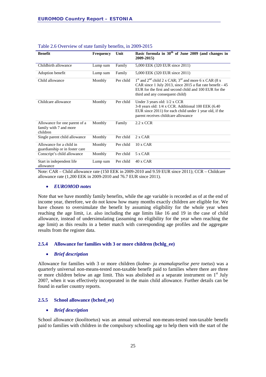| <b>Benefit</b>                                                      | <b>Frequency</b> | Unit      | Basic formula in $30th$ of June 2009 (and changes in<br>2009-2015)                                                                                                                                                    |
|---------------------------------------------------------------------|------------------|-----------|-----------------------------------------------------------------------------------------------------------------------------------------------------------------------------------------------------------------------|
| Childbirth allowance                                                | Lump sum         | Family    | 5,000 EEK (320 EUR since 2011)                                                                                                                                                                                        |
| Adoption benefit                                                    | Lump sum         | Family    | 5,000 EEK (320 EUR since 2011)                                                                                                                                                                                        |
| Child allowance                                                     | Monthly          | Per child | $1st$ and $2nd$ child 2 x CAR; $3rd$ and more 6 x CAR (8 x<br>CAR since 1 July 2013, since 2015 a flat rate benefit - 45<br>EUR for the first and second child and 100 EUR for the<br>third and any consequent child) |
| Childcare allowance                                                 | Monthly          | Per child | Under 3 years old: $1/2$ x CCR<br>3-8 years old: 1/4 x CCR. Additional 100 EEK (6.40)<br>EUR since 2011) for each child under 1 year old, if the<br>parent receives childcare allowance                               |
| Allowance for one parent of a<br>family with 7 and more<br>children | Monthly          | Family    | $2.2$ x CCR                                                                                                                                                                                                           |
| Single parent child allowance                                       | Monthly          | Per child | $2 \times CAR$                                                                                                                                                                                                        |
| Allowance for a child in<br>guardianship or in foster care          | Monthly          | Per child | $10 \times CAR$                                                                                                                                                                                                       |
| Conscript's child allowance                                         | Monthly          | Per child | 5 x CAR                                                                                                                                                                                                               |
| Start in independent life.<br>allowance                             | Lump sum         | Per child | $40x$ CAR                                                                                                                                                                                                             |

#### Table 2.6 Overview of state family benefits, in 2009-2015

Note: CAR – Child allowance rate (150 EEK in 2009-2010 and 9.59 EUR since 2011); CCR – Childcare allowance rate (1,200 EEK in 2009-2010 and 76.7 EUR since 2011).

#### • *EUROMOD notes*

Note that we have monthly family benefits, while the age variable is recorded as of at the end of income year, therefore, we do not know how many months exactly children are eligible for. We have chosen to oversimulate the benefit by assuming eligibility for the whole year when reaching the age limit, i.e. also including the age limits like 16 and 19 in the case of child allowance, instead of undersimulating (assuming no eligibility for the year when reaching the age limit) as this results in a better match with corresponding age profiles and the aggregate results from the register data.

#### <span id="page-24-0"></span>**2.5.4 Allowance for families with 3 or more children (bchlg\_ee)**

#### • *Brief description*

Allowance for families with 3 or more children (*kolme- ja enamalapselise pere toetus*) was a quarterly universal non-means-tested non-taxable benefit paid to families where there are three or more children below an age limit. This was abolished as a separate instrument on  $1<sup>st</sup>$  July 2007, when it was effectively incorporated in the main child allowance. Further details can be found in earlier country reports.

#### <span id="page-24-1"></span>**2.5.5 School allowance (bched\_ee)**

#### • *Brief description*

School allowance (*koolitoetus*) was an annual universal non-means-tested non-taxable benefit paid to families with children in the compulsory schooling age to help them with the start of the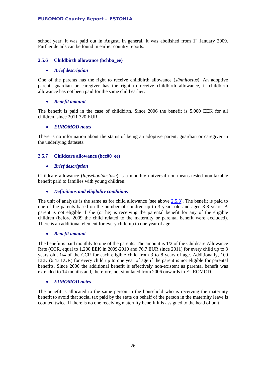school year. It was paid out in August, in general. It was abolished from  $1<sup>st</sup>$  January 2009. Further details can be found in earlier country reports.

#### <span id="page-25-0"></span>**2.5.6 Childbirth allowance (bchba\_ee)**

#### • *Brief description*

One of the parents has the right to receive childbirth allowance (*sünnitoetus*). An adoptive parent, guardian or caregiver has the right to receive childbirth allowance, if childbirth allowance has not been paid for the same child earlier.

#### • *Benefit amount*

The benefit is paid in the case of childbirth. Since 2006 the benefit is 5,000 EEK for all children, since 2011 320 EUR.

#### • *EUROMOD notes*

There is no information about the status of being an adoptive parent, guardian or caregiver in the underlying datasets.

#### <span id="page-25-1"></span>**2.5.7 Childcare allowance (bcc00\_ee)**

#### • *Brief description*

Childcare allowance (*lapsehooldustasu*) is a monthly universal non-means-tested non-taxable benefit paid to families with young children.

#### • *Definitions and eligibility conditions*

The unit of analysis is the same as for child allowance (see above [2.5.3\)](#page-23-0). The benefit is paid to one of the parents based on the number of children up to 3 years old and aged 3-8 years. A parent is not eligible if she (or he) is receiving the parental benefit for any of the eligible children (before 2009 the child related to the maternity or parental benefit were excluded). There is an additional element for every child up to one year of age.

#### • *Benefit amount*

The benefit is paid monthly to one of the parents. The amount is 1/2 of the Childcare Allowance Rate (CCR, equal to 1,200 EEK in 2009-2010 and 76.7 EUR since 2011) for every child up to 3 years old, 1/4 of the CCR for each eligible child from 3 to 8 years of age. Additionally, 100 EEK (6.43 EUR) for every child up to one year of age if the parent is not eligible for parental benefits. Since 2006 the additional benefit is effectively non-existent as parental benefit was extended to 14 months and, therefore, not simulated from 2006 onwards in EUROMOD.

#### • *EUROMOD notes*

The benefit is allocated to the same person in the household who is receiving the maternity benefit to avoid that social tax paid by the state on behalf of the person in the maternity leave is counted twice. If there is no one receiving maternity benefit it is assigned to the head of unit.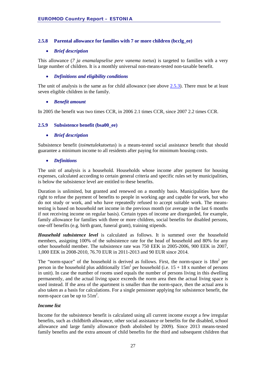#### <span id="page-26-0"></span>**2.5.8 Parental allowance for families with 7 or more children (bcclg\_ee)**

#### • *Brief description*

This allowance (*7 ja enamalapselise pere vanema toetus*) is targeted to families with a very large number of children. It is a monthly universal non-means-tested non-taxable benefit.

#### • *Definitions and eligibility conditions*

The unit of analysis is the same as for child allowance (see above [2.5.3\)](#page-23-0). There must be at least seven eligible children in the family.

#### • *Benefit amount*

In 2005 the benefit was two times CCR, in 2006 2.1 times CCR, since 2007 2.2 times CCR.

#### <span id="page-26-1"></span>**2.5.9 Subsistence benefit (bsa00\_ee)**

#### • *Brief description*

Subsistence benefit (*toimetulekutoetus*) is a means-tested social assistance benefit that should guarantee a minimum income to all residents after paying for minimum housing costs.

#### • *Definitions*

The unit of analysis is a household. Households whose income after payment for housing expenses, calculated according to certain general criteria and specific rules set by municipalities, is below the subsistence level are entitled to these benefits.

Duration is unlimited, but granted and renewed on a monthly basis. Municipalities have the right to refuse the payment of benefits to people in working age and capable for work, but who do not study or work, and who have repeatedly refused to accept suitable work. The meanstesting is based on household net income in the previous month (or average in the last 6 months if not receiving income on regular basis). Certain types of income are disregarded, for example, family allowance for families with three or more children, social benefits for disabled persons, one-off benefits (e.g. birth grant, funeral grant), training stipends.

*Household subsistence level* is calculated as follows. It is summed over the household members, assigning 100% of the subsistence rate for the head of household and 80% for any other household member. The subsistence rate was 750 EEK in 2005-2006, 900 EEK in 2007, 1,000 EEK in 2008-2010, 76.70 EUR in 2011-2013 and 90 EUR since 2014.

The "norm-space" of the household is derived as follows. First, the norm-space is  $18m<sup>2</sup>$  per person in the household plus additionally  $15m^2$  per household (i.e.  $15 + 18x$  number of persons in unit). In case the number of rooms used equals the number of persons living in this dwelling permanently, and the actual living space exceeds the norm area then the actual living space is used instead. If the area of the apartment is smaller than the norm-space, then the actual area is also taken as a basis for calculations. For a single pensioner applying for subsistence benefit, the norm-space can be up to  $51m^2$ .

#### *Income list*

Income for the subsistence benefit is calculated using all current income except a few irregular benefits, such as childbirth allowance, other social assistance or benefits for the disabled, school allowance and large family allowance (both abolished by 2009). Since 2013 means-tested family benefits and the extra amount of child benefits for the third and subsequent children that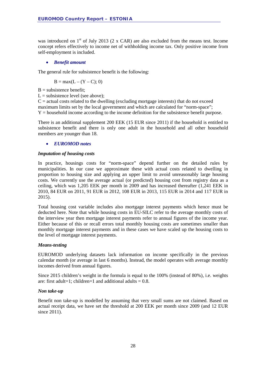was introduced on  $1<sup>st</sup>$  of July 2013 (2 x CAR) are also excluded from the means test. Income concept refers effectively to income net of withholding income tax. Only positive income from self-employment is included.

#### • *Benefit amount*

The general rule for subsistence benefit is the following:

$$
B = max(L - (Y - C); 0)
$$

 $B =$  subsistence benefit;

 $L =$  subsistence level (see above);

 $C =$  actual costs related to the dwelling (excluding mortgage interests) that do not exceed maximum limits set by the local government and which are calculated for "norm-space"; Y = household income according to the income definition for the subsistence benefit purpose.

There is an additional supplement 200 EEK (15 EUR since 2011) if the household is entitled to subsistence benefit and there is only one adult in the household and all other household members are younger than 18.

#### • *EUROMOD notes*

#### *Imputation of housing costs*

In practice, housings costs for "norm-space" depend further on the detailed rules by municipalities. In our case we approximate these with actual costs related to dwelling in proportion to housing size and applying an upper limit to avoid unreasonably large housing costs. We currently use the average actual (or predicted) housing cost from registry data as a ceiling, which was 1,205 EEK per month in 2009 and has increased thereafter (1,241 EEK in 2010, 84 EUR on 2011, 91 EUR in 2012, 108 EUR in 2013, 115 EUR in 2014 and 117 EUR in 2015).

Total housing cost variable includes also mortgage interest payments which hence must be deducted here. Note that while housing costs in EU-SILC refer to the average monthly costs of the interview year then mortgage interest payments refer to annual figures of the income year. Either because of this or recall errors total monthly housing costs are sometimes smaller than monthly mortgage interest payments and in these cases we have scaled up the housing costs to the level of mortgage interest payments.

#### *Means-testing*

EUROMOD underlying datasets lack information on income specifically in the previous calendar month (or average in last 6 months). Instead, the model operates with average monthly incomes derived from annual figures.

Since 2015 children's weight in the formula is equal to the 100% (instead of 80%), i.e. weights are: first adult=1; children=1 and additional adults =  $0.8$ .

#### *Non take-up*

Benefit non take-up is modelled by assuming that very small sums are not claimed. Based on actual receipt data, we have set the threshold at 200 EEK per month since 2009 (and 12 EUR since 2011).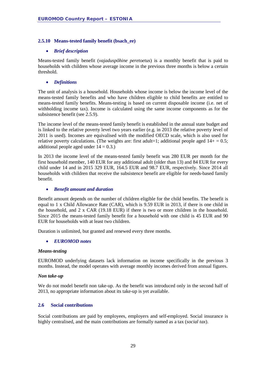#### <span id="page-28-0"></span>**2.5.10 Means-tested family benefit (bsach\_ee)**

#### • *Brief description*

Means-tested family benefit (*vajaduspõhine peretoetus*) is a monthly benefit that is paid to households with children whose average income in the previous three months is below a certain threshold.

#### • *Definitions*

The unit of analysis is a household. Households whose income is below the income level of the means-tested family benefits and who have children eligible to child benefits are entitled to means-tested family benefits. Means-testing is based on current disposable income (i.e. net of withholding income tax). Income is calculated using the same income components as for the subsistence benefit (see 2.5.9).

The income level of the means-tested family benefit is established in the annual state budget and is linked to the relative poverty level two years earlier (e.g. in 2013 the relative poverty level of 2011 is used). Incomes are equivalised with the modified OECD scale, which is also used for relative poverty calculations. (The weights are: first adult=1; additional people aged  $14+ = 0.5$ ; additional people aged under  $14 = 0.3$ .)

In 2013 the income level of the means-tested family benefit was 280 EUR per month for the first household member, 140 EUR for any additional adult (older than 13) and 84 EUR for every child under 14 and in 2015 329 EUR, 164.5 EUR and 98.7 EUR, respectively. Since 2014 all households with children that receive the subsistence benefit are eligible for needs-based family benefit.

#### • *Benefit amount and duration*

Benefit amount depends on the number of children eligible for the child benefits. The benefit is equal to 1 x Child Allowance Rate (CAR), which is 9.59 EUR in 2013, if there is one child in the household, and 2 x CAR (19.18 EUR) if there is two or more children in the household. Since 2015 the means-tested family benefit for a household with one child is 45 EUR and 90 EUR for households with at least two children.

Duration is unlimited, but granted and renewed every three months.

#### • *EUROMOD notes*

#### *Means-testing*

EUROMOD underlying datasets lack information on income specifically in the previous 3 months. Instead, the model operates with average monthly incomes derived from annual figures.

#### *Non take-up*

We do not model benefit non take-up. As the benefit was introduced only in the second half of 2013, no appropriate information about its take-up is yet available.

#### <span id="page-28-1"></span>**2.6 Social contributions**

Social contributions are paid by employees, employers and self-employed. Social insurance is highly centralised, and the main contributions are formally named as a tax (*social tax*).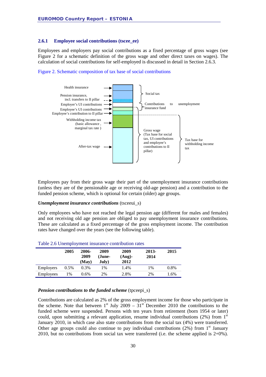#### <span id="page-29-0"></span>**2.6.1 Employee social contributions (tscee\_ee)**

Employees and employers pay social contributions as a fixed percentage of gross wages (see Figure 2 for a schematic definition of the gross wage and other direct taxes on wages). The calculation of social contributions for self-employed is discussed in detail in Section 2.6.3.





Employees pay from their gross wage their part of the unemployment insurance contributions (unless they are of the pensionable age or receiving old-age pension) and a contribution to the funded pension scheme, which is optional for certain (older) age groups.

#### *Unemployment insurance contributions* (tsceeui\_s)

Only employees who have not reached the legal pension age (different for males and females) and not receiving old age pension are obliged to pay unemployment insurance contributions. These are calculated as a fixed percentage of the gross employment income. The contribution rates have changed over the years (see the following table).

|           | 2005    | 2006-<br>2009<br>(May) | 2009<br>(June-<br>July) | 2009<br>$(Aug)$ -<br>2012 | 2013-<br>2014 | 2015 |
|-----------|---------|------------------------|-------------------------|---------------------------|---------------|------|
| Employers | $0.5\%$ | 0.3%                   | 1%                      | 1.4%                      | 1%            | 0.8% |
| Employees | $\%$    | 0.6%                   | 2%                      | 2.8%                      | 2%            | 1.6% |

#### Table 2.6 Unemployment insurance contribution rates

#### *Pension contributions to the funded scheme* (tpceepi s)

Contributions are calculated as 2% of the gross employment income for those who participate in the scheme. Note that between  $1<sup>st</sup>$  July 2009 –  $31<sup>st</sup>$  December 2010 the contributions to the funded scheme were suspended. Persons with ten years from retirement (born 1954 or later) could, upon submitting a relevant application, resume individual contributions  $(2%)$  from  $1<sup>st</sup>$ January 2010, in which case also state contributions from the social tax (4%) were transferred. Other age groups could also continue to pay individual contributions  $(2\%)$  from 1<sup>st</sup> January 2010, but no contributions from social tax were transferred (i.e. the scheme applied is 2+0%).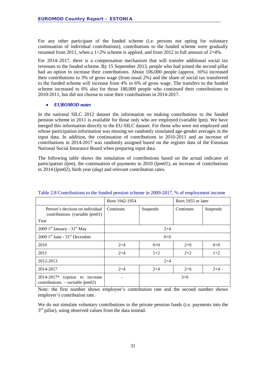For any other participant of the funded scheme (i.e. persons not opting for voluntary continuation of individual contributions), contributions to the funded scheme were gradually resumed from 2011, when a  $1+2\%$  scheme is applied, and from 2012 in full amount of  $2+4\%$ .

For 2014–2017, there is a compensation mechanism that will transfer additional social tax revenues to the funded scheme. By 15 September 2013, people who had joined the second pillar had an option to increase their contributions. About 106,000 people (approx. 16%) increased their contributions to 3% of gross wage (from usual 2%) and the share of social tax transferred to the funded scheme will increase from 4% to 6% of gross wage. The transfers to the funded scheme increased to 6% also for those 180,000 people who continued their contributions in 2010-2011, but did not choose to raise their contributions in 2014-2017.

#### • *EUROMOD notes*

In the national SILC 2012 dataset the information on making contributions to the funded pension scheme in 2011 is available for those only who are employed (variable lpm). We have merged this information directly to the EU-SILC dataset. For those who were not employed and whose participation information was missing we randomly simulated age-gender averages in the input data. In addition, the continuation of contributions in 2010-2011 and an increase of contributions in 2014-2017 was randomly assigned based on the register data of the Estonian National Social Insurance Board when preparing input data.

The following table shows the simulation of contributions based on the actual indicator of participation (*lpm*), the continuation of payments in 2010 (*lpm01*), an increase of contributions in 2014 (*lpm02*), birth year (*dag*) and relevant contribution rates.

|                                                                              | Born 1942-1954        |         | Born 1955 or later |          |  |  |  |
|------------------------------------------------------------------------------|-----------------------|---------|--------------------|----------|--|--|--|
| Person's decision on individual<br>contributions (variable $lpm01$ )         | Continues<br>Suspends |         | Continues          | Suspends |  |  |  |
| Year                                                                         |                       |         |                    |          |  |  |  |
| 2009 $1st$ January - 31 <sup>st</sup> May                                    |                       | $2+4$   |                    |          |  |  |  |
| $2009$ 1 <sup>st</sup> June - 31 <sup>st</sup> December                      |                       | $0 + 0$ |                    |          |  |  |  |
| 2010                                                                         | $2+4$                 | $0+0$   | $2+0$              | $0 + 0$  |  |  |  |
| 2011                                                                         | $2+4$                 | $1+2$   | $2 + 2$            | $1+2$    |  |  |  |
| 2012-2013                                                                    |                       | $2+4$   |                    |          |  |  |  |
| 2014-2017                                                                    | $2+4$                 | $2+4$   | $2+6$              | $2 + 4$  |  |  |  |
| 2014-2017*<br>(option to increase<br>contributions – <i>variable lpm02</i> ) |                       |         | $3+6$              |          |  |  |  |

#### Table 2.8 Contributions to the funded pension scheme in 2009-2017, % of employment income

Note: the first number shows employee's contribution rate and the second number shows employer's contribution rate.

We do not simulate voluntary contributions to the private pension funds (i.e. payments into the  $3<sup>rd</sup>$  pillar), using observed values from the data instead.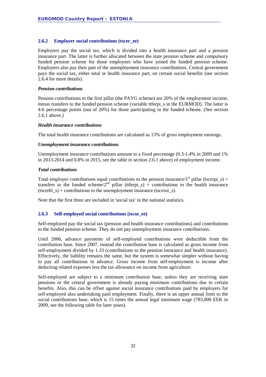#### <span id="page-31-0"></span>**2.6.2 Employer social contributions (tscer\_ee)**

Employers pay the social tax, which is divided into a health insurance part and a pension insurance part. The latter is further allocated between the state pension scheme and compulsory funded pension scheme for those employees who have joined the funded pension scheme. Employers also pay their part of the unemployment insurance contributions. Central government pays the social tax, either total or health insurance part, on certain social benefits (see section 2.6.4 for more details).

#### *Pension contributions*

Pension contributions to the first pillar (the PAYG scheme) are 20% of the employment income, minus transfers to the funded pension scheme (variable ttferpi s in the EURMOD). The latter is 4-6 percentage points (out of 20%) for those participating in the funded scheme. (See section 2.6.1 above.)

#### *Health insurance contributions*

The total health insurance contributions are calculated as 13% of gross employment earnings.

#### *Unemployment insurance contributions*

Unemployment insurance contributions amount to a fixed percentage (0.3-1.4% in 2009 and 1% in 2013-2014 and 0.8% in 2015, see the table in section 2.6.1 above) of employment income.

#### *Total contributions*

Total employer contributions equal contributions to the pension insurance/1<sup>st</sup> pillar (tscerpi s) + transfers to the funded scheme/2<sup>nd</sup> pillar (ttferpi s) + contributions to the health insurance (tscerhl  $s$ ) + contributions to the unemployment insurance (tscerui  $s$ ).

Note that the first three are included in 'social tax' in the national statistics.

#### <span id="page-31-1"></span>**2.6.3 Self-employed social contributions (tscse\_ee)**

Self-employed pay the social tax (pension and health insurance contributions) and contributions to the funded pension scheme. They do not pay unemployment insurance contributions.

Until 2006, advance payments of self-employed contributions were deductible from the contribution base. Since 2007, instead the contribution base is calculated as gross income from self-employment divided by 1.33 (contributions to the pension insurance and health insurance). Effectively, the liability remains the same, but the system is somewhat simpler without having to pay all contributions in advance. Gross income from self-employment is income after deducting related expenses less the tax allowance on income from agriculture.

Self-employed are subject to a minimum contribution base, unless they are receiving state pensions or the central government is already paying minimum contributions due to certain benefits. Also, this can be offset against social insurance contributions paid by employers for self-employed also undertaking paid employment. Finally, there is an upper annual limit to the social contributions base, which is 15 times the annual legal minimum wage (783,000 EEK in 2009, see the following table for later years).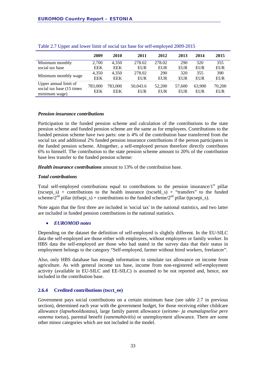|                                                                      | 2009           | 2010                  | 2011                   | 2012                 | 2013                 | 2014          | 2015                 |
|----------------------------------------------------------------------|----------------|-----------------------|------------------------|----------------------|----------------------|---------------|----------------------|
| Minimum monthly                                                      | 2,700          | 4,350                 | 278.02                 | 278.02               | 290                  | 320           | 355                  |
| social tax base                                                      | EEK            | <b>EEK</b>            | <b>EUR</b>             | <b>EUR</b>           | EUR                  | EUR           | <b>EUR</b>           |
| Minimum monthly wage                                                 | 4,350          | 4.350                 | 278.02                 | 290                  | 320                  | 355           | 390                  |
|                                                                      | <b>EEK</b>     | <b>EEK</b>            | EUR                    | EUR                  | EUR                  | EUR           | <b>EUR</b>           |
| Upper annual limit of<br>social tax base (15 times)<br>minimum wage) | 783,000<br>EEK | 783,000<br><b>EEK</b> | 50,043.6<br><b>EUR</b> | 52,200<br><b>EUR</b> | 57,600<br><b>EUR</b> | 63,900<br>EUR | 70,200<br><b>EUR</b> |

Table 2.7 Upper and lower limit of social tax base for self-employed 2009-2015

#### *Pension insurance contributions*

Participation in the funded pension scheme and calculation of the contributions to the state pension scheme and funded pension scheme are the same as for employees. Contributions to the funded pension scheme have two parts: one is 4% of the contribution base transferred from the social tax and additional 2% funded pension insurance contributions if the person participates in the funded pension scheme. Altogether, a self-employed person therefore directly contributes 6% to himself. The contribution to the state pension scheme amount to 20% of the contribution base less transfer to the funded pension scheme:

*Health insurance contributions* amount to 13% of the contribution base.

#### *Total contributions*

Total self-employed contributions equal to contributions to the pension insurance/ $1<sup>st</sup>$  pillar (tscsepi\_s) + contributions to the health insurance (tscsehl\_s) + "transfers" to the funded scheme/ $2<sup>nd</sup>$  pillar (ttfsepi\_s) + contributions to the funded scheme/ $2<sup>nd</sup>$  pillar (tpcsepi\_s).

Note again that the first three are included in 'social tax' in the national statistics, and two latter are included in funded pension contributions in the national statistics.

#### • *EUROMOD notes*

Depending on the dataset the definition of self-employed is slightly different. In the EU-SILC data the self-employed are those either with employees, without employees or family worker. In HBS data the self-employed are those who had stated in the survey data that their status in employment belongs to the category "Self-employed, farmer without hired workers, freelancer".

Also, only HBS database has enough information to simulate tax allowance on income from agriculture. As with general income tax base, income from non-registered self-employment activity (available in EU-SILC and EE-SILC) is assumed to be not reported and, hence, not included in the contribution base.

#### <span id="page-32-0"></span>**2.6.4 Credited contributions (tscct\_ee)**

Government pays social contributions on a certain minimum base (see table 2.7 in previous section), determined each year with the government budget, for those receiving either childcare allowance (*lapsehooldustasu*), large family parent allowance (*seitsme- ja enamalapselise pere vanema toetus*), parental benefit (*vanemahüvitis*) or unemployment allowance. There are some other minor categories which are not included in the model.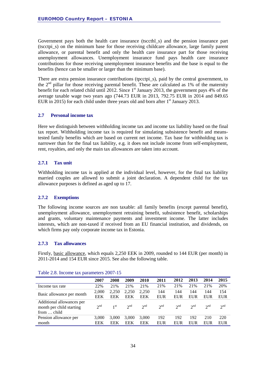Government pays both the health care insurance (tsccthl\_s) and the pension insurance part (tscctpi\_s) on the minimum base for those receiving childcare allowance, large family parent allowance, or parental benefit and only the health care insurance part for those receiving unemployment allowances. Unemployment insurance fund pays health care insurance contributions for those receiving unemployment insurance benefits and the base is equal to the benefits (hence can be smaller or larger than the minimum base).

There are extra pension insurance contributions (tpcctpi\_s), paid by the central government, to the  $2<sup>nd</sup>$  pillar for those receiving parental benefit. These are calculated as 1% of the maternity benefit for each related child until 2012. Since 1<sup>st</sup> January 2013, the government pays 4% of the average taxable wage two years ago (744.73 EUR in 2013, 792.75 EUR in 2014 and 849.65 EUR in 2015) for each child under three years old and born after  $1<sup>st</sup>$  January 2013.

#### <span id="page-33-0"></span>**2.7 Personal income tax**

Here we distinguish between withholding income tax and income tax liability based on the final tax report. Withholding income tax is required for simulating subsistence benefit and meanstested family benefits which are based on current net income. Tax base for withholding tax is narrower than for the final tax liability, e.g. it does not include income from self-employment, rent, royalties, and only the main tax allowances are taken into account.

#### <span id="page-33-1"></span>**2.7.1 Tax unit**

Withholding income tax is applied at the individual level, however, for the final tax liability married couples are allowed to submit a joint declaration. A dependent child for the tax allowance purposes is defined as aged up to 17.

#### <span id="page-33-2"></span>**2.7.2 Exemptions**

The following income sources are non taxable: all family benefits (except parental benefit), unemployment allowance, unemployment retraining benefit, subsistence benefit, scholarships and grants, voluntary maintenance payments and investment income. The latter includes interests, which are non-taxed if received from an EU financial institution, and dividends, on which firms pay only corporate income tax in Estonia.

#### <span id="page-33-3"></span>**2.7.3 Tax allowances**

Firstly, basic allowance, which equals 2,250 EEK in 2009, rounded to 144 EUR (per month) in 2011-2014 and 154 EUR since 2015. See also the following table.

|                                                                      | 2007         | 2008                | 2009                | 2010                | 2011       | 2012        | 2013              | 2014        | 2015              |
|----------------------------------------------------------------------|--------------|---------------------|---------------------|---------------------|------------|-------------|-------------------|-------------|-------------------|
| Income tax rate                                                      | 22%          | 21%                 | 21%                 | 21%                 | 21%        | 21%         | 21%               | 21%         | 20%               |
| Basic allowance per month                                            | 2,000<br>EEK | 2.250<br><b>EEK</b> | 2,250<br><b>EEK</b> | 2.250<br><b>EEK</b> | 144<br>EUR | 144<br>EUR  | 144<br><b>EUR</b> | 144<br>EUR  | 154<br><b>EUR</b> |
| Additional allowances per<br>month per child starting<br>from  child | $2^{nd}$     | 1 <sup>st</sup>     | $2^{nd}$            | 2 <sup>nd</sup>     | $2^{nd}$   | $\gamma$ nd | $2^{nd}$          | $\gamma$ nd | $2^{nd}$          |
| Pension allowance per                                                | 3,000        | 3.000               | 3,000               | 3,000               | 192        | 192         | 192               | 210         | 220               |
| month                                                                | EEK          | EEK                 | EEK                 | <b>EEK</b>          | EUR        | EUR         | EUR               | EUR         | EUR               |

|  | Table 2.8. Income tax parameters 2007-15 |  |  |
|--|------------------------------------------|--|--|
|--|------------------------------------------|--|--|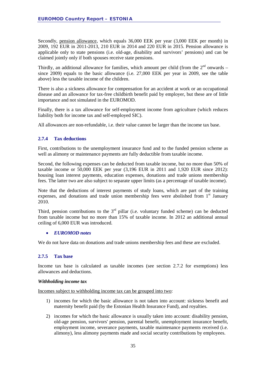Secondly, pension allowance, which equals 36,000 EEK per year (3,000 EEK per month) in 2009, 192 EUR in 2011-2013, 210 EUR in 2014 and 220 EUR in 2015. Pension allowance is applicable only to state pensions (i.e. old-age, disability and survivors' pensions) and can be claimed jointly only if both spouses receive state pensions.

Thirdly, an additional allowance for families, which amount per child (from the  $2<sup>nd</sup>$  onwards – since 2009) equals to the basic allowance (i.e. 27,000 EEK per year in 2009, see the table above) less the taxable income of the children.

There is also a sickness allowance for compensation for an accident at work or an occupational disease and an allowance for tax-free childbirth benefit paid by employer, but these are of little importance and not simulated in the EUROMOD.

Finally, there is a tax allowance for self-employment income from agriculture (which reduces liability both for income tax and self-employed SIC).

All allowances are non-refundable, i.e. their value cannot be larger than the income tax base.

#### <span id="page-34-0"></span>**2.7.4 Tax deductions**

First, contributions to the unemployment insurance fund and to the funded pension scheme as well as alimony or maintenance payments are fully deductible from taxable income.

Second, the following expenses can be deducted from taxable income, but no more than 50% of taxable income or 50,000 EEK per year (3,196 EUR in 2011 and 1,920 EUR since 2012): housing loan interest payments, education expenses, donations and trade unions membership fees. The latter two are also subject to separate upper limits (as a percentage of taxable income).

Note that the deductions of interest payments of study loans, which are part of the training expenses, and donations and trade union membership fees were abolished from  $1<sup>st</sup>$  January 2010.

Third, pension contributions to the  $3<sup>rd</sup>$  pillar (i.e. voluntary funded scheme) can be deducted from taxable income but no more than 15% of taxable income. In 2012 an additional annual ceiling of 6,000 EUR was introduced.

#### • *EUROMOD notes*

We do not have data on donations and trade unions membership fees and these are excluded.

#### <span id="page-34-1"></span>**2.7.5 Tax base**

Income tax base is calculated as taxable incomes (see section 2.7.2 for exemptions) less allowances and deductions.

#### *Withholding income tax*

Incomes subject to withholding income tax can be grouped into two:

- 1) incomes for which the basic allowance is not taken into account: sickness benefit and maternity benefit paid (by the Estonian Health Insurance Fund), and royalties.
- 2) incomes for which the basic allowance is usually taken into account: disability pension, old-age pension, survivors' pension, parental benefit, unemployment insurance benefit, employment income, severance payments, taxable maintenance payments received (i.e. alimony), less alimony payments made and social security contributions by employees.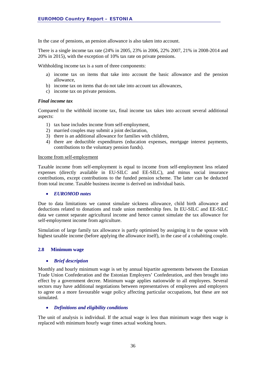In the case of pensions, an pension allowance is also taken into account.

There is a single income tax rate (24% in 2005, 23% in 2006, 22% 2007, 21% in 2008-2014 and 20% in 2015), with the exception of 10% tax rate on private pensions.

Withholding income tax is a sum of three components:

- a) income tax on items that take into account the basic allowance and the pension allowance,
- b) income tax on items that do not take into account tax allowances,
- c) income tax on private pensions.

#### *Final income tax*

Compared to the withhold income tax, final income tax takes into account several additional aspects:

- 1) tax base includes income from self-employment,
- 2) married couples may submit a joint declaration,
- 3) there is an additional allowance for families with children,
- 4) there are deductible expenditures (education expenses, mortgage interest payments, contributions to the voluntary pension funds).

#### Income from self-employment

Taxable income from self-employment is equal to income from self-employment less related expenses (directly available in EU-SILC and EE-SILC), and minus social insurance contributions, except contributions to the funded pension scheme. The latter can be deducted from total income. Taxable business income is derived on individual basis.

#### • *EUROMOD notes*

Due to data limitations we cannot simulate sickness allowance, child birth allowance and deductions related to donations and trade union membership fees. In EU-SILC and EE-SILC data we cannot separate agricultural income and hence cannot simulate the tax allowance for self-employment income from agriculture.

Simulation of large family tax allowance is partly optimised by assigning it to the spouse with highest taxable income (before applying the allowance itself), in the case of a cohabiting couple.

#### <span id="page-35-0"></span>**2.8 Minimum wage**

#### • *Brief description*

Monthly and hourly minimum wage is set by annual bipartite agreements between the Estonian Trade Union Confederation and the Estonian Employers' Confederation, and then brought into effect by a government decree. Minimum wage applies nationwide to all employees. Several sectors may have additional negotiations between representatives of employees and employers to agree on a more favourable wage policy affecting particular occupations, but these are not simulated.

#### • *Definitions and eligibility conditions*

The unit of analysis is individual. If the actual wage is less than minimum wage then wage is replaced with minimum hourly wage times actual working hours.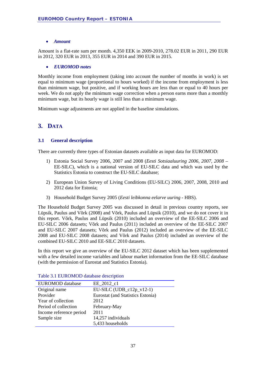#### • *Amount*

Amount is a flat-rate sum per month. 4,350 EEK in 2009-2010, 278.02 EUR in 2011, 290 EUR in 2012, 320 EUR in 2013, 355 EUR in 2014 and 390 EUR in 2015.

#### • *EUROMOD notes*

Monthly income from employment (taking into account the number of months in work) is set equal to minimum wage (proportional to hours worked) if the income from employment is less than minimum wage, but positive, and if working hours are less than or equal to 40 hours per week. We do not apply the minimum wage correction when a person earns more than a monthly minimum wage, but its hourly wage is still less than a minimum wage.

<span id="page-36-0"></span>Minimum wage adjustments are not applied in the baseline simulations.

### **3. DATA**

#### <span id="page-36-1"></span>**3.1 General description**

There are currently three types of Estonian datasets available as input data for EUROMOD:

- 1) Estonia Social Survey 2006, 2007 and 2008 (*Eesti Sotsiaaluuring 2006, 2007, 2008 –* EE-SILC), which is a national version of EU-SILC data and which was used by the Statistics Estonia to construct the EU-SILC database;
- 2) European Union Survey of Living Conditions (EU-SILC) 2006, 2007, 2008, 2010 and 2012 data for Estonia;
- 3) Household Budget Survey 2005 (*Eesti leibkonna eelarve uuring -* HBS).

The Household Budget Survey 2005 was discussed in detail in previous country reports, see Lüpsik, Paulus and Võrk (2008) and Võrk, Paulus and Lüpsik (2010), and we do not cover it in this report. Võrk, Paulus and Lüpsik (2010) included an overview of the EE-SILC 2006 and EU-SILC 2006 datasets; Võrk and Paulus (2011) included an overview of the EE-SILC 2007 and EU-SILC 2007 datasets; Võrk and Paulus (2012) included an overview of the EE-SILC 2008 and EU-SILC 2008 datasets; and Võrk and Paulus (2014) included an overview of the combined EU-SILC 2010 and EE-SILC 2010 datasets.

In this report we give an overview of the EU-SILC 2012 dataset which has been supplemented with a few detailed income variables and labour market information from the EE-SILC database (with the permission of Eurostat and Statistics Estonia).

| EUROMOD database        | EE 2012 c1                        |
|-------------------------|-----------------------------------|
| Original name           | $EU-SILC (UDB_c12p_v12-1)$        |
| Provider                | Eurostat (and Statistics Estonia) |
| Year of collection      | 2012                              |
| Period of collection    | February-May                      |
| Income reference period | 2011                              |
| Sample size             | 14,257 individuals                |
|                         | 5,433 households                  |

Table 3.1 EUROMOD database description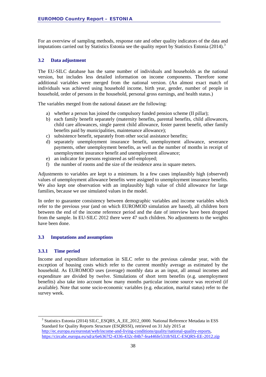For an overview of sampling methods, response rate and other quality indicators of the data and imputations carried out by Statistics Estonia see the quality report by Statistics Estonia (2014). [3](#page-37-3)

#### <span id="page-37-0"></span>**3.2 Data adjustment**

The EU-SILC database has the same number of individuals and households as the national version, but includes less detailed information on income components. Therefore some additional variables were merged from the national version. (An almost exact match of individuals was achieved using household income, birth year, gender, number of people in household, order of persons in the household, personal gross earnings, and health status.)

The variables merged from the national dataset are the following:

- a) whether a person has joined the compulsory funded pension scheme (II pillar);
- b) each family benefit separately (maternity benefits, parental benefits, child allowances, child care allowances, single parent child allowance, foster parent benefit, other family benefits paid by municipalities, maintenance allowance);
- c) subsistence benefit, separately from other social assistance benefits;
- d) separately unemployment insurance benefit, unemployment allowance, severance payments, other unemployment benefits, as well as the number of months in receipt of unemployment insurance benefit and unemployment allowance;
- e) an indicator for persons registered as self-employed;
- f) the number of rooms and the size of the residence area in square meters.

Adjustments to variables are kept to a minimum. In a few cases implausibly high (observed) values of unemployment allowance benefits were assigned to unemployment insurance benefits. We also kept one observation with an implausibly high value of child allowance for large families, because we use simulated values in the model.

In order to guarantee consistency between demographic variables and income variables which refer to the previous year (and on which EUROMOD simulation are based), all children born between the end of the income reference period and the date of interview have been dropped from the sample. In EU-SILC 2012 there were 47 such children. No adjustments to the weights have been done.

#### <span id="page-37-1"></span>**3.3 Imputations and assumptions**

#### <span id="page-37-2"></span>**3.3.1 Time period**

Income and expenditure information in SILC refer to the previous calendar year, with the exception of housing costs which refer to the current monthly average as estimated by the household. As EUROMOD uses (average) monthly data as an input, all annual incomes and expenditure are divided by twelve. Simulations of short term benefits (e.g. unemployment benefits) also take into account how many months particular income source was received (if available). Note that some socio-economic variables (e.g. education, marital status) refer to the survey week.

<span id="page-37-3"></span><sup>&</sup>lt;sup>3</sup> Statistics Estonia (2014) SILC\_ESQRS\_A\_EE\_2012\_0000. National Reference Metadata in ESS Standard for Quality Reports Structure (ESQRSSI), retrieved on 31 July 2015 at [http://ec.europa.eu/eurostat/web/income-and-living-conditions/quality/national-quality-reports,](http://ec.europa.eu/eurostat/web/income-and-living-conditions/quality/national-quality-reports) <https://circabc.europa.eu/sd/a/6e6367f2-4336-432c-84b7-fea446fe5318/SILC-ESQRS-EE-2012.zip>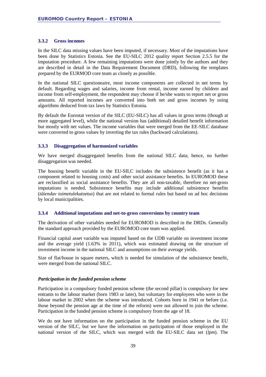#### <span id="page-38-0"></span>**3.3.2 Gross incomes**

In the SILC data missing values have been imputed, if necessary. Most of the imputations have been done by Statistics Estonia. See the EU-SILC 2012 quality report Section 2.5.5 for the imputation procedure. A few remaining imputations were done jointly by the authors and they are described in detail in the Data Requirement Document (DRD), following the templates prepared by the EURMOD core team as closely as possible.

In the national SILC questionnaire, most income components are collected in net terms by default. Regarding wages and salaries, income from rental, income earned by children and income from self-employment, the respondent may choose if he/she wants to report net or gross amounts. All reported incomes are converted into both net and gross incomes by using algorithms deduced from tax laws by Statistics Estonia.

By default the Eurostat version of the SILC (EU-SILC) has all values in gross terms (though at more aggregated level), while the national version has (additional) detailed benefit information but mostly with net values. The income variables that were merged from the EE-SILC database were converted to gross values by inverting the tax rules (backward calculations).

#### <span id="page-38-1"></span>**3.3.3 Disaggregation of harmonized variables**

We have merged disaggregated benefits from the national SILC data; hence, no further disaggregation was needed.

The housing benefit variable in the EU-SILC includes the subsistence benefit (as it has a component related to housing costs) and other social assistance benefits. In EUROMOD these are reclassified as social assistance benefits. They are all non-taxable, therefore no net-gross imputations is needed. Subsistence benefits may include additional subsistence benefits (*täiendav toimetulekutoetus*) that are not related to formal rules but based on ad hoc decisions by local municipalities.

#### <span id="page-38-2"></span>**3.3.4 Additional imputations and net-to-gross conversions by country team**

The derivation of other variables needed for EUROMOD is described in the DRDs. Generally the standard approach provided by the EUROMOD core team was applied.

Financial capital asset variable was imputed based on the UDB variable on investment income and the average yield (1.63% in 2011), which was estimated drawing on the structure of investment income in the national SILC and assumptions on their average yields.

Size of flat/house in square meters, which is needed for simulation of the subsistence benefit, were merged from the national SILC.

#### *Participation in the funded pension scheme*

Participation in a compulsory funded pension scheme (the second pillar) is compulsory for new entrants to the labour market (born 1983 or later), but voluntary for employees who were in the labour market in 2002 when the scheme was introduced. Cohorts born in 1941 or before (i.e. those beyond the pension age at the time of the reform) were not allowed to join the scheme. Participation in the funded pension scheme is compulsory from the age of 18.

We do not have information on the participation in the funded pension scheme in the EU version of the SILC, but we have the information on participation of those employed in the national version of the SILC, which was merged with the EU-SILC data set (*lpm*). The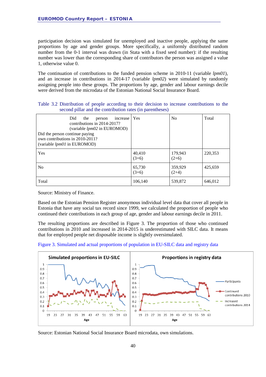participation decision was simulated for unemployed and inactive people, applying the same proportions by age and gender groups. More specifically, a uniformly distributed random number from the 0-1 interval was drawn (in Stata with a fixed seed number): if the resulting number was lower than the corresponding share of contributors the person was assigned a value 1, otherwise value 0.

The continuation of contributions to the funded pension scheme in 2010-11 (variable *lpm01*), and an increase in contributions in 2014-17 (variable *lpm02*) were simulated by randomly assigning people into these groups. The proportions by age, gender and labour earnings decile were derived from the microdata of the Estonian National Social Insurance Board.

|  |                                                           |  |  |  |  | Table 3.2 Distribution of people according to their decision to increase contributions to the |  |
|--|-----------------------------------------------------------|--|--|--|--|-----------------------------------------------------------------------------------------------|--|
|  | second pillar and the contribution rates (in parentheses) |  |  |  |  |                                                                                               |  |

| Did<br>the<br>increase<br>person<br>contributions in 2014-2017?<br>(variable <i>lpm02</i> in EUROMOD)<br>Did the person continue paying<br>own contributions in 2010-2011?<br>(variable <i>lpm01</i> in EUROMOD) | Yes               | N <sub>0</sub>     | Total   |
|------------------------------------------------------------------------------------------------------------------------------------------------------------------------------------------------------------------|-------------------|--------------------|---------|
| Yes                                                                                                                                                                                                              | 40,410<br>$(3+6)$ | 179,943<br>$(2+6)$ | 220,353 |
| N <sub>0</sub>                                                                                                                                                                                                   | 65,730<br>$(3+6)$ | 359,929<br>$(2+4)$ | 425,659 |
| Total                                                                                                                                                                                                            | 106,140           | 539,872            | 646,012 |

Source: Ministry of Finance.

Based on the Estonian Pension Register anonymous individual level data that cover all people in Estonia that have any social tax record since 1999, we calculated the proportion of people who continued their contributions in each group of age, gender and labour earnings decile in 2011.

The resulting proportions are described in Figure 3. The proportion of those who continued contributions in 2010 and increased in 2014-2015 is underestimated with SILC data. It means that for employed people net disposable income is slightly oversimulated.

Figure 3. Simulated and actual proportions of population in EU-SILC data and registry data



Source: Estonian National Social Insurance Board microdata, own simulations.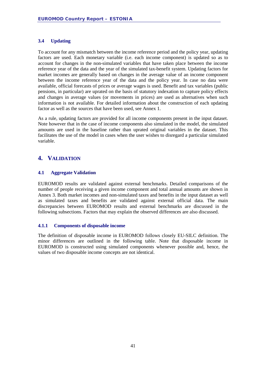#### <span id="page-40-0"></span>**3.4 Updating**

To account for any mismatch between the income reference period and the policy year, updating factors are used. Each monetary variable (i.e. each income component) is updated so as to account for changes in the non-simulated variables that have taken place between the income reference year of the data and the year of the simulated tax-benefit system. Updating factors for market incomes are generally based on changes in the average value of an income component between the income reference year of the data and the policy year. In case no data were available, official forecasts of prices or average wages is used. Benefit and tax variables (public pensions, in particular) are uprated on the basis of statutory indexation to capture policy effects and changes in average values (or movements in prices) are used as alternatives when such information is not available. For detailed information about the construction of each updating factor as well as the sources that have been used, see Annex 1.

As a rule, updating factors are provided for all income components present in the input dataset. Note however that in the case of income components also simulated in the model, the simulated amounts are used in the baseline rather than uprated original variables in the dataset. This facilitates the use of the model in cases when the user wishes to disregard a particular simulated variable.

### <span id="page-40-1"></span>**4. VALIDATION**

#### <span id="page-40-2"></span>**4.1 Aggregate Validation**

EUROMOD results are validated against external benchmarks. Detailed comparisons of the number of people receiving a given income component and total annual amounts are shown in Annex 3. Both market incomes and non-simulated taxes and benefits in the input dataset as well as simulated taxes and benefits are validated against external official data. The main discrepancies between EUROMOD results and external benchmarks are discussed in the following subsections. Factors that may explain the observed differences are also discussed.

#### <span id="page-40-3"></span>**4.1.1 Components of disposable income**

The definition of disposable income in EUROMOD follows closely EU-SILC definition. The minor differences are outlined in the following table. Note that disposable income in EUROMOD is constructed using simulated components whenever possible and, hence, the values of two disposable income concepts are not identical.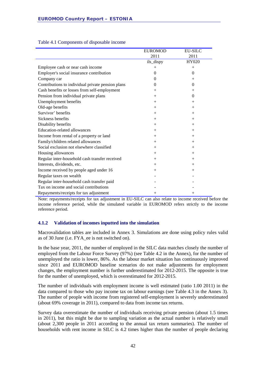|                                                   | <b>EUROMOD</b> | <b>EU-SILC</b> |
|---------------------------------------------------|----------------|----------------|
|                                                   | 2011           | 2011           |
|                                                   | ils_dispy      | HY020          |
| Employee cash or near cash income                 | $^{+}$         | $+$            |
| Employer's social insurance contribution          | $\Omega$       | $\Omega$       |
| Company car                                       | 0              |                |
| Contributions to individual private pension plans | $\Omega$       | $\theta$       |
| Cash benefits or losses from self-employment      | $^{+}$         | $^{+}$         |
| Pension from individual private plans             | $+$            | $\Omega$       |
| Unemployment benefits                             | $+$            | $^+$           |
| Old-age benefits                                  | $+$            | $+$            |
| Survivor' benefits                                | $^{+}$         | $^{+}$         |
| Sickness benefits                                 | $^{+}$         | $^{+}$         |
| Disability benefits                               | $+$            | $^{+}$         |
| <b>Education-related allowances</b>               | $+$            | $^{+}$         |
| Income from rental of a property or land          | $^{+}$         | $+$            |
| Family/children related allowances                | $+$            | $^{+}$         |
| Social exclusion not elsewhere classified         | $+$            | $^{+}$         |
| Housing allowances                                | $+$            | $^{+}$         |
| Regular inter-household cash transfer received    | $^{+}$         | $^{+}$         |
| Interests, dividends, etc.                        | $^{+}$         | $^{+}$         |
| Income received by people aged under 16           | $+$            | $^{+}$         |
| Regular taxes on wealth                           |                |                |
| Regular inter-household cash transfer paid        |                |                |
| Tax on income and social contributions            |                |                |
| Repayments/receipts for tax adjustment            | $^{+}$         | $^+$           |

#### Table 4.1 Components of disposable income

Note: repayments/receipts for tax adjustment in EU-SILC can also relate to income received before the income reference period, while the simulated variable in EUROMOD refers strictly to the income reference period.

#### <span id="page-41-0"></span>**4.1.2 Validation of incomes inputted into the simulation**

Macrovalidation tables are included in Annex 3. Simulations are done using policy rules valid as of 30 June (i.e. FYA\_ee is not switched on).

In the base year, 2011, the number of employed in the SILC data matches closely the number of employed from the Labour Force Survey (97%) (see Table 4.2 in the Annex), for the number of unemployed the ratio is lower, 86%. As the labour market situation has continuously improved since 2011 and EUROMOD baseline scenarios do not make adjustments for employment changes, the employment number is further underestimated for 2012-2015. The opposite is true for the number of unemployed, which is overestimated for 2012-2015.

The number of individuals with employment income is well estimated (ratio 1.00 2011) in the data compared to those who pay income tax on labour earnings (see Table 4.3 in the Annex 3). The number of people with income from registered self-employment is severely underestimated (about 69% coverage in 2011), compared to data from income tax returns.

Survey data overestimate the number of individuals receiving private pension (about 1.5 times in 2011), but this might be due to sampling variation as the actual number is relatively small (about 2,300 people in 2011 according to the annual tax return summaries). The number of households with rent income in SILC is 4.2 times higher than the number of people declaring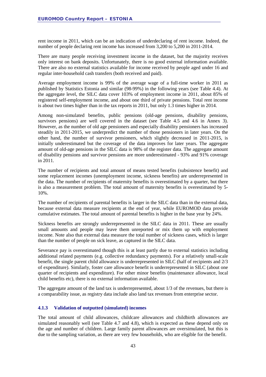rent income in 2011, which can be an indication of underdeclaring of rent income. Indeed, the number of people declaring rent income has increased from 3,200 to 5,200 in 2011-2014.

There are many people receiving investment income in the dataset, but the majority receives only interest on bank deposits. Unfortunately, there is no good external information available. There are also no external statistics available for income received by people aged under 16 and regular inter-household cash transfers (both received and paid).

Average employment income is 99% of the average wage of a full-time worker in 2011 as published by Statistics Estonia and similar (98-99%) in the following years (see Table 4.4). At the aggregate level, the SILC data cover 103% of employment income in 2011, about 85% of registered self-employment income, and about one third of private pensions. Total rent income is about two times higher than in the tax reports in 2011, but only 1.3 times higher in 2014.

Among non-simulated benefits, public pensions (old-age pensions, disability pensions, survivors pensions) are well covered in the dataset (see Table 4.5 and 4.6 in Annex 3). However, as the number of old age pensioners and especially disability pensioners has increased steadily in 2011-2015, we underpredict the number of those pensioners in later years. On the other hand, the number of survivor pensioners, which slightly decreased in 2011-2015, is initially underestimated but the coverage of the data improves for later years. The aggregate amount of old-age pensions in the SILC data is 98% of the register data. The aggregate amount of disability pensions and survivor pensions are more underestimated - 93% and 91% coverage in 2011.

The number of recipients and total amount of means tested benefits (subsistence benefit) and some replacement incomes (unemployment income, sickness benefits) are underrepresented in the data. The number of recipients of maternity benefits is overestimated by a quarter, but there is also a measurement problem. The total amount of maternity benefits is overestimated by 5- 10%.

The number of recipients of parental benefits is larger in the SILC data than in the external data, because external data measure recipients at the end of year, while EUROMOD data provide cumulative estimates. The total amount of parental benefits is higher in the base year by 24%.

Sickness benefits are strongly underrepresented in the SILC data in 2011. These are usually small amounts and people may leave them unreported or mix them up with employment income. Note also that external data measure the total number of sickness cases, which is larger than the number of people on sick leave, as captured in the SILC data.

Severance pay is overestimated though this is at least partly due to external statistics including additional related payments (e.g. collective redundancy payments). For a relatively small-scale benefit, the single parent child allowance is underrepresented in SILC (half of recipients and 2/3 of expenditure). Similarly, foster care allowance benefit is underrepresented in SILC (about one quarter of recipients and expenditure). For other minor benefits (maintenance allowance, local child benefits etc), there is no external information available.

The aggregate amount of the land tax is underrepresented, about 1/3 of the revenues, but there is a comparability issue, as registry data include also land tax revenues from enterprise sector.

#### <span id="page-42-0"></span>**4.1.3 Validation of outputted (simulated) incomes**

The total amount of child allowances, childcare allowances and childbirth allowances are simulated reasonably well (see Table 4.7 and 4.8), which is expected as these depend only on the age and number of children. Large family parent allowances are oversimulated, but this is due to the sampling variation, as there are very few households, who are eligible for the benefit.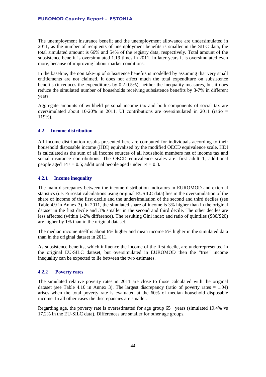The unemployment insurance benefit and the unemployment allowance are undersimulated in 2011, as the number of recipients of unemployment benefits is smaller in the SILC data, the total simulated amount is 66% and 54% of the registry data, respectively. Total amount of the subsistence benefit is oversimulated 1.19 times in 2011. In later years it is oversimulated even more, because of improving labour market conditions.

In the baseline, the non take-up of subsistence benefits is modelled by assuming that very small entitlements are not claimed. It does not affect much the total expenditure on subsistence benefits (it reduces the expenditures by 0.2-0.5%), neither the inequality measures, but it does reduce the simulated number of households receiving subsistence benefits by 3-7% in different years.

Aggregate amounts of withheld personal income tax and both components of social tax are oversimulated about 10-20% in 2011. UI contributions are oversimulated in 2011 (ratio  $=$ 119%).

#### <span id="page-43-0"></span>**4.2 Income distribution**

All income distribution results presented here are computed for individuals according to their household disposable income (HDI) equivalised by the modified OECD equivalence scale. HDI is calculated as the sum of all income sources of all household members net of income tax and social insurance contributions. The OECD equivalence scales are: first adult=1; additional people aged  $14+ = 0.5$ ; additional people aged under  $14 = 0.3$ .

#### <span id="page-43-1"></span>**4.2.1 Income inequality**

The main discrepancy between the income distribution indicators in EUROMOD and external statistics (i.e. Eurostat calculations using original EUSILC data) lies in the oversimulation of the share of income of the first decile and the undersimulation of the second and third deciles (see Table 4.9 in Annex 3). In 2011, the simulated share of income is 3% higher than in the original dataset in the first decile and 3% smaller in the second and third decile. The other deciles are less affected (within 1-2% difference). The resulting Gini index and ratio of quintiles (S80/S20) are higher by 1% than in the original dataset.

The median income itself is about 6% higher and mean income 5% higher in the simulated data than in the original dataset in 2011.

As subsistence benefits, which influence the income of the first decile, are underrepresented in the original EU-SILC dataset, but oversimulated in EUROMOD then the "true" income inequality can be expected to lie between the two estimates.

#### <span id="page-43-2"></span>**4.2.2 Poverty rates**

The simulated relative poverty rates in 2011 are close to those calculated with the original dataset (see Table 4.10 in Annex 3). The largest discrepancy (ratio of poverty rates  $= 1.04$ ) arises when the total poverty rate is evaluated at the 60% of median household disposable income. In all other cases the discrepancies are smaller.

Regarding age, the poverty rate is overestimated for age group 65+ years (simulated 19.4% vs 17.2% in the EU-SILC data). Differences are smaller for other age groups.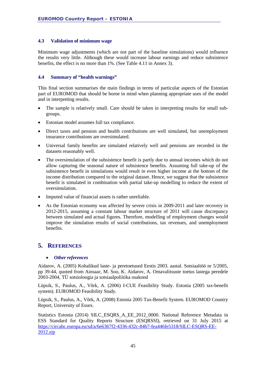#### <span id="page-44-0"></span>**4.3 Validation of minimum wage**

Minimum wage adjustments (which are not part of the baseline simulations) would influence the results very little. Although these would increase labour earnings and reduce subsistence benefits, the effect is no more than 1%. (See Table 4.11 in Annex 3).

#### <span id="page-44-1"></span>**4.4 Summary of "health warnings"**

This final section summarises the main findings in terms of particular aspects of the Estonian part of EUROMOD that should be borne in mind when planning appropriate uses of the model and in interpreting results.

- The sample is relatively small. Care should be taken in interpreting results for small subgroups.
- Estonian model assumes full tax compliance.
- Direct taxes and pension and health contributions are well simulated, but unemployment insurance contributions are oversimulated.
- Universal family benefits are simulated relatively well and pensions are recorded in the datasets reasonably well.
- The oversimulation of the subsistence benefit is partly due to annual incomes which do not allow capturing the seasonal nature of subsistence benefits. Assuming full take-up of the subsistence benefit in simulations would result in even higher income at the bottom of the income distribution compared to the original dataset. Hence, we suggest that the subsistence benefit is simulated in combination with partial take-up modelling to reduce the extent of oversimulation.
- Imputed value of financial assets is rather unreliable.
- As the Estonian economy was affected by severe crisis in 2009-2011 and later recovery in 2012-2015, assuming a constant labour market structure of 2011 will cause discrepancy between simulated and actual figures. Therefore, modelling of employment changes would improve the simulation results of social contributions, tax revenues, and unemployment benefits.

#### <span id="page-44-2"></span>**5. REFERENCES**

#### • *Other references*

Aidarov, A. (2005) Kohalikud laste- ja peretoetused Eestis 2003. aastal. Sotsiaaltöö nr 5/2005, pp 39-44, quoted from Ainsaar, M. Soo, K. Aidarov, A. Omavalitsuste toetus lastega peredele 2003-2004, TÜ sotsioloogia ja sotsiaalpoliitika osakond

Lüpsik, S., Paulus, A., Võrk, A. (2006) I-CUE Feasibility Study. Estonia (2005 tax-benefit system). EUROMOD Feasibility Study.

Lüpsik, S., Paulus, A., Võrk, A. (2008) Estonia 2005 Tax-Benefit System. EUROMOD Country Report, University of Essex.

Statistics Estonia (2014) SILC\_ESQRS\_A\_EE\_2012\_0000. National Reference Metadata in ESS Standard for Quality Reports Structure (ESQRSSI), retrieved on 31 July 2015 at [https://circabc.europa.eu/sd/a/6e6367f2-4336-432c-84b7-fea446fe5318/SILC-ESQRS-EE-](https://circabc.europa.eu/sd/a/6e6367f2-4336-432c-84b7-fea446fe5318/SILC-ESQRS-EE-2012.zip)[2012.zip](https://circabc.europa.eu/sd/a/6e6367f2-4336-432c-84b7-fea446fe5318/SILC-ESQRS-EE-2012.zip)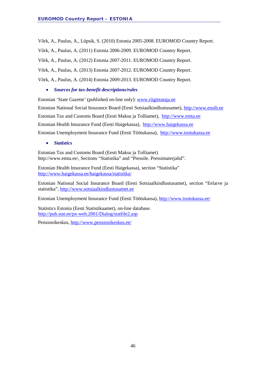Võrk, A., Paulus, A., Lüpsik, S. (2010) Estonia 2005-2008. EUROMOD Country Report.

Võrk, A., Paulus, A. (2011) Estonia 2006-2009. EUROMOD Country Report.

Võrk, A., Paulus, A. (2012) Estonia 2007-2011. EUROMOD Country Report.

Võrk, A., Paulus, A. (2013) Estonia 2007-2012. EUROMOD Country Report.

Võrk, A., Paulus, A. (2014) Estonia 2009-2013. EUROMOD Country Report.

#### • *Sources for tax-benefit descriptions/rules*

Estonian 'State Gazette' (published on-line only): www.riigiteataja.ee Estonian National Social Insurance Board (Eesti Sotsiaalkindlustusamet), [http://www.ensib.ee](http://www.ensib.ee/) Estonian Tax and Customs Board (Eesti Maksu ja Tolliamet), [http://www.emta.ee](http://www.emta.ee/) Estonian Health Insurance Fund (Eesti Haigekassa), [http://www.haigekassa.ee](http://www.haigekassa.ee/) Estonian Unemployment Insurance Fund (Eesti Töötukassa), [http://www.tootukassa.ee](http://www.tootukassa.ee/)

• *Statistics* 

Estonian Tax and Customs Board (Eesti Maksu ja Tolliamet) http://www.emta.ee/, Sections "Statistika" and "Pressile. Pressimaterjalid".

Estonian Health Insurance Fund (Eesti Haigekassa), section "Statistika" <http://www.haigekassa.ee/haigekassa/statistika/>

Estonian National Social Insurance Board (Eesti Sotsiaalkindlustusamet), section "Eelarve ja statistika", [http://www.sotsiaalkindlustusamet.ee](http://www.sotsiaalkindlustusamet.ee/)

Estonian Unemployment Insurance Fund (Eesti Töötukassa), <http://www.tootukassa.ee/>

Statistics Estonia (Eesti Statistikaamet), on-line database. <http://pub.stat.ee/px-web.2001/Dialog/statfile2.asp>

Pensionikeskus,<http://www.pensionikeskus.ee/>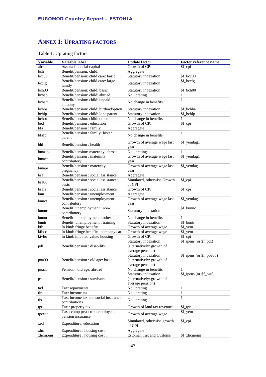### <span id="page-46-0"></span>**ANNEX 1: UPRATING FACTORS**

| <b>Variable</b> | Variable label                                                           | <b>Update factor</b>                                                  | <b>Factor reference name</b> |
|-----------------|--------------------------------------------------------------------------|-----------------------------------------------------------------------|------------------------------|
| afc             | Assets: financial capital                                                | Growth of CPI                                                         | \$f_cpi                      |
| bch             | Benefit/pension: child:                                                  | Aggregate                                                             |                              |
| bcc00           | Benefit/pension: child care: basic                                       | Statutory indexation                                                  | \$f_bcc00                    |
| bcclg           | Benefit/pension: child care: large<br>family                             | Statutory indexation                                                  | \$f_bcclg                    |
| bch00           | Benefit/pension: child: basic                                            | Statutory indexation                                                  | \$f_bch00                    |
| bchab           | Benefit/pension: child: abroad                                           | No uprating                                                           | 1                            |
| bcham           | Benefit/pension: child: unpaid<br>alimony                                | No change in benefits                                                 | 1                            |
| bchba           | Benefit/pension: child: birth/adoption                                   | Statutory indexation                                                  | \$f_bchba                    |
| bchlp           | Benefit/pension: child: lone parent                                      | Statutory indexation                                                  | \$f_bchlp                    |
| bchot           | Benefit/pension: child: other                                            | No change in benefits                                                 | 1                            |
| bed             | Benefit/pension : education                                              | Growth of CPI                                                         | \$f_cpi                      |
| bfa             | Benefit/pension: family                                                  | Aggregate                                                             |                              |
| bfafp           | Benefit/pension : family: foster<br>parent                               | No change in benefits                                                 | $\mathbf{1}$                 |
| bhl             | Benefit/pension : health                                                 | Growth of average wage last<br>year                                   | \$f_yemlag1                  |
| bmaab           | Benefit/pension: maternity: abroad                                       | No uprating                                                           | 1                            |
|                 | Benefit/pension : maternity:                                             | Growth of average wage last                                           | \$f_yemlag1                  |
| bmact           | contributory                                                             | year                                                                  |                              |
| bmapr           | Benefit/pension : maternity:<br>pregnancy                                | Growth of average wage last<br>year                                   | \$f_yemlag1                  |
| bsa             | Benefit/pension : social assistance                                      | Aggregate                                                             |                              |
| bsa00           | Benefit/pension : social assistance:<br>basic                            | Simulated, otherwise Growth<br>of CPI                                 | \$f_cpi                      |
| bsals           | Benefit/pension : social assistance                                      | Growth of CPI                                                         | \$f_cpi                      |
| bun             | Benefit/pension : unemployment                                           | Aggregate                                                             |                              |
| bunct           | Benefit/pension : unemployment:<br>contributory                          | Growth of average wage last<br>year                                   | \$f_yemlag1                  |
| bunnc           | Benefit: unemployment : non-<br>contributory                             | Statutory indexation                                                  | \$f_bunnc                    |
| bunot           | Benefit: unemployment : other                                            | No change in benefits                                                 | $\mathbf{1}$                 |
| buntr           | Benefit: unemployment : training                                         | Statutory indexation                                                  | \$f_buntr                    |
| kfb             | In kind: fringe benefits                                                 | Growth of average wage                                                | \$f_yem                      |
| kfbcc           | In kind: fringe benefits: company car                                    | Growth of average wage                                                | \$f_yem                      |
| kivho           | In kind: imputed value: housing                                          | Growth of CPI                                                         | \$f_cpi                      |
| pdi             | Benefit/pension : disability                                             | Statutory indexation<br>(alternatively: growth of<br>average pension) | \$f_ipens (or \$f_pdi)       |
| poa00           | Benefit/pension : old age: basic                                         | Statutory indexation<br>(alternatively: growth of<br>average pension) | \$f_ipens (or \$f_poa00)     |
| poaab           | Pension : old age: abroad                                                | No change in benefits                                                 |                              |
| psu             | Benefit/pension: survivors                                               | Statutory indexation<br>(alternatively: growth of                     | \$f_ipens (or \$f_psu)       |
|                 |                                                                          | average pension)                                                      |                              |
| tad             | Tax: repayments                                                          | No uprating                                                           | 1                            |
| tin             | Tax: income tax                                                          | No uprating                                                           | $\mathbf{1}$                 |
| tis             | Tax: income tax and social insurance<br>contributions                    | No uprating                                                           | 1                            |
| tpr<br>tpceepi  | Tax: property tax<br>Tax: comp prvt ctrb: employee:<br>pension insurance | Growth of land tax revenues<br>Growth of average wage                 | \$f_tpr<br>\$f_yem           |
| xed             | Expenditure: education                                                   | Simulated, otherwise growth<br>of CPI                                 | \$f_cpi                      |
| xhc             | Expenditure : housing cost                                               | Aggregate                                                             |                              |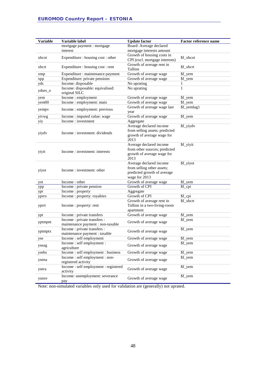| <b>Variable</b> | Variable label                                                    | <b>Update factor</b>                                  | <b>Factor reference name</b> |
|-----------------|-------------------------------------------------------------------|-------------------------------------------------------|------------------------------|
|                 | mortgage payment : mortgage                                       | Board: Average declared                               |                              |
|                 | interest                                                          | mortgage interests amount                             |                              |
|                 |                                                                   | Growth of housing costs in                            |                              |
| xhcot           | Expenditure : housing cost : other                                | CPI (excl. mortgage interests)                        | \$f xhcot                    |
| xhcrt           | Expenditure : housing cost : rent                                 | Growth of average rent in<br>Tallinn                  | \$f_xhcrt                    |
| xmp             | Expenditure : maintenance payment                                 | Growth of average wage                                | \$f_yem                      |
| xpp             | Expenditure: private pensions                                     | Growth of average wage                                | \$f_yem                      |
| yds             | Income: disposable                                                | No uprating                                           | 1                            |
| ydses_o         | Income: disposable: equivalised:                                  | No uprating                                           | $\mathbf{1}$                 |
|                 | original SILC                                                     |                                                       |                              |
| yem             | Income: employment                                                | Growth of average wage                                | \$f_yem                      |
| yem00           | Income : employment: main                                         | Growth of average wage<br>Growth of average wage last | \$f_yem<br>\$f_yemlag1       |
| yempy           | Income : employment: previous                                     | year                                                  |                              |
| yivwg           | Income : imputed value: wage                                      | Growth of average wage                                | \$f_yem                      |
| yiy             | Income: investment                                                | Aggregate                                             |                              |
|                 |                                                                   | Average declared income                               | \$f_yiydv                    |
| yiydv           | Income : investment: dividends                                    | from selling assets; predicted                        |                              |
|                 |                                                                   | growth of average wage for                            |                              |
|                 |                                                                   | 2013                                                  |                              |
|                 |                                                                   | Average declared income                               | \$f_yiyit                    |
| yiyit           | Income: investment: interests                                     | from other sources; predicted                         |                              |
|                 |                                                                   | growth of average wage for<br>2013                    |                              |
|                 |                                                                   | Average declared income                               | \$f_yiyot                    |
|                 |                                                                   | from selling other assets;                            |                              |
| yiyot           | Income: investment: other                                         | predicted growth of average                           |                              |
|                 |                                                                   | wage for 2013                                         |                              |
| yot             | Income: other                                                     | Growth of average wage                                | \$f_yem                      |
| ypp             | Income : private pension                                          | Growth of CPI                                         | \$f_cpi                      |
| ypr             | Income: property                                                  | Aggregate                                             |                              |
| yprro           | Income : property: royalties                                      | Growth of CPI                                         | \$f_cpi                      |
|                 |                                                                   | Growth of average rent in                             | \$f_xhcrt                    |
| yprrt           | Income: property: rent                                            | Tallinn in a two-living-room                          |                              |
|                 |                                                                   | apartment                                             |                              |
| ypt             | Income: private transfers                                         | Growth of average wage                                | \$f_yem                      |
| yptmpnt         | Income : private transfers :                                      | Growth of average wage                                | \$f_yem                      |
|                 | maintenance payment : non-taxable<br>Income : private transfers : |                                                       |                              |
| yptmptx         | maintenance payment : taxable                                     | Growth of average wage                                | \$f_yem                      |
| yse             | Income: self employment                                           | Growth of average wage                                | \$f_yem                      |
|                 | Income: self employment:                                          |                                                       | \$f_yem                      |
| yseag           | agriculture                                                       | Growth of average wage                                |                              |
| ysebs           | Income: self employment: business                                 | Growth of average wage                                | \$f_yem                      |
|                 | Income: self employment: non-                                     |                                                       | \$f_yem                      |
| ysena           | registered activity                                               | Growth of average wage                                |                              |
|                 | Income: self employment: registered                               | Growth of average wage                                | \$f_yem                      |
| ysera           | activity                                                          |                                                       |                              |
| yunsv           | Income: unemployment: severance                                   | Growth of average wage                                | \$f_yem                      |
|                 | pay                                                               |                                                       |                              |

Note: non-simulated variables only used for validation are (generally) not uprated.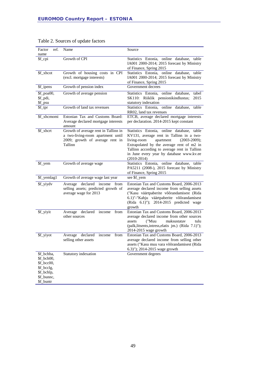| ref.<br>Factor<br>name                                                                         | Name                                                                                                                    | Source                                                                                                                                                                                                                                                                                          |
|------------------------------------------------------------------------------------------------|-------------------------------------------------------------------------------------------------------------------------|-------------------------------------------------------------------------------------------------------------------------------------------------------------------------------------------------------------------------------------------------------------------------------------------------|
| \$f_cpi                                                                                        | Growth of CPI                                                                                                           | Statistics Estonia, online database, table<br>IA001 2000-2014; 2015 forecast by Ministry<br>of Finance, Spring 2015                                                                                                                                                                             |
| \$f_xhcot                                                                                      | Growth of housing costs in CPI<br>(excl. mortgage interests)                                                            | Statistics Estonia, online database, table<br>IA001 2000-2014; 2015 forecast by Ministry<br>of Finance, Spring 2015                                                                                                                                                                             |
| \$f_ipens                                                                                      | Growth of pension index                                                                                                 | Government decrees                                                                                                                                                                                                                                                                              |
| \$f_poa00,<br>\$f_pdi,<br>\$f_psu                                                              | Growth of average pension                                                                                               | Statistics Estonia, online database,<br>tabel<br>SK110: Riiklik pensionikindlustus;<br>2015<br>statutory indexation                                                                                                                                                                             |
| \$f_tpr                                                                                        | Growth of land tax revenues                                                                                             | Statistics Estonia, online database,<br>table<br>RR02, land tax revenues                                                                                                                                                                                                                        |
| \$f_xhcmomi                                                                                    | Estonian Tax and Customs Board:<br>Average declared mortgage interests<br>amount                                        | ETCB, average declared mortgage interests<br>per declaration. 2014-2015 kept constant                                                                                                                                                                                                           |
| \$f_xhcrt                                                                                      | Growth of average rent in Tallinn in<br>a two-living-room apartment until<br>2009; growth of average rent in<br>Tallinn | Statistics Estonia, online database, table<br>KV131, average rent in Tallinn in a two-<br>living-room<br>apartment<br>$(2003-2009)$ ;<br>Extrapolated by the average rent of m2 in<br>Tallinn according to average rent in Tallinn<br>in June every year by database www.kv.ee<br>$(2010-2014)$ |
| \$f_yem                                                                                        | Growth of average wage                                                                                                  | Statistics Estonia, online database, table<br>PA5211 (2008-), 2015 forecast by Ministry<br>of Finance, Spring 2015                                                                                                                                                                              |
| \$f_yemlag1                                                                                    | Growth of average wage last year                                                                                        | see \$f_yem                                                                                                                                                                                                                                                                                     |
| \$f_yiydv                                                                                      | Average declared income from<br>selling assets; predicted growth of<br>average wage for 2013                            | Estonian Tax and Customs Board, 2006-2013<br>average declared income from selling assets<br>("Kasu väärtpaberite võõrandamisest (Rida<br>6.1)"-"Kahju väärtpaberite võõrandamisest<br>(Rida 6.1)"); 2014-2015 predicted wage<br>growth                                                          |
| \$f_yiyit                                                                                      | declared income<br>Average<br>from<br>other sources                                                                     | Estonian Tax and Customs Board, 2006-2013<br>average declared income from other sources<br>("Muu<br>maksustatav<br>tulu<br>assets<br>(palk, litsents, intress, elatis jm.) (Rida 7.1)");<br>2014-2015 wage growth                                                                               |
| \$f_yiyot                                                                                      | declared<br>income<br>from<br>Average<br>selling other assets                                                           | Estonian Tax and Customs Board, 2006-2013<br>average declared income from selling other<br>assets ("Kasu muu vara võõrandamisest (Rida<br>6.3)"); 2014-2015 wage growth                                                                                                                         |
| \$f_bchba,<br>$$f_bcho0,$<br>\$f_bcc00,<br>\$f_bcclg,<br>\$f_bchlp,<br>\$f_bunnc,<br>\$f_buntr | Statutory indexation                                                                                                    | Government degrees                                                                                                                                                                                                                                                                              |

| Table 2. Sources of update factors |  |  |  |
|------------------------------------|--|--|--|
|------------------------------------|--|--|--|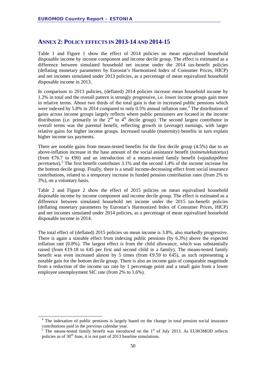#### <span id="page-49-0"></span>**ANNEX 2: POLICY EFFECTS IN 2013-14 AND 2014-15**

Table 1 and Figure 1 show the effect of 2014 policies on mean equivalised household disposable income by income component and income decile group. The effect is estimated as a difference between simulated household net income under the 2014 tax-benefit policies (deflating monetary parameters by Eurostat's Harmonized Index of Consumer Prices, HICP) and net incomes simulated under 2013 policies, as a percentage of mean equivalised household disposable income in 2013.

In comparison to 2013 policies, (deflated) 2014 policies increase mean household income by 1.2% in total and the overall pattern is strongly progressive, i.e. lower income groups gain more in relative terms. About two thirds of the total gain is due to increased public pensions which were indexed by 5.8% in 201[4](#page-49-1) compared to only  $0.5%$  annual inflation rate.<sup>4</sup> The distribution of gains across income groups largely reflects where public pensioners are located in the income distribution (i.e. primarily in the  $2<sup>nd</sup>$  to  $4<sup>th</sup>$  decile group). The second largest contributor in overall terms was the parental benefit, reflecting growth in (average) earnings, with larger relative gains for higher income groups. Increased taxable (maternity) benefits in turn explain higher income tax payments.

There are notable gains from means-tested benefits for the first decile group (4.5%) due to an above-inflation increase in the base amount of the social assistance benefit (*toimetulekutoetus*) (from €76.7 to €90) and an introduction of a means-tested family benefit (*vajaduspõhine peretoetus*). [5](#page-49-2) The first benefit contributes 3.1% and the second 1.4% of the income increase for the bottom decile group. Finally, there is a small income-decreasing effect from social insurance contributions, related to a temporary increase in funded pension contribution rates (from 2% to 3%), on a voluntary basis.

Table 2 and Figure 2 show the effect of 2015 policies on mean equivalised household disposable income by income component and income decile group. The effect is estimated as a difference between simulated household net income under the 2015 tax-benefit policies (deflating monetary parameters by Eurostat's Harmonized Index of Consumer Prices, HICP) and net incomes simulated under 2014 policies, as a percentage of mean equivalised household disposable income in 2014.

The total effect of (deflated) 2015 policies on mean income is 3.8%, also markedly progressive. There is again a sizeable effect from indexing public pensions (by 6.3%) above the expected inflation rate (0.8%). The largest effect is from the child allowance, which was substantially raised (from  $\epsilon$ 19.18 to  $\epsilon$ 45 per first and second child in a family). The means-tested family benefit was even increased almost by 5 times (from  $\Theta$ .59 to  $\Theta$ 45), as such representing a notable gain for the bottom decile group. There is also an income gain of comparable magnitude from a reduction of the income tax rate by 1 percentage point and a small gain from a lower employee unemployment SIC rate (from 2% to 1.6%).

<span id="page-49-1"></span><sup>&</sup>lt;sup>4</sup> The indexation of public pensions is largely based on the change in total pension social insurance contributions paid in the previous calendar year.

<span id="page-49-2"></span> $5$  The means-tested family benefit was introduced on the  $1<sup>st</sup>$  of July 2013. As EUROMOD reflects policies as of  $30<sup>th</sup>$  June, it is not part of 2013 baseline simulations.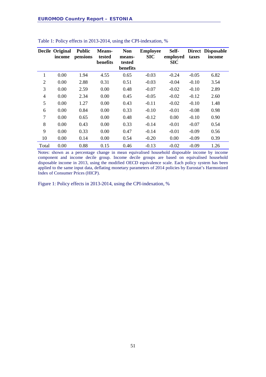|                | <b>Decile Original</b><br>income | <b>Public</b><br>pensions | <b>Means-</b><br>tested<br>benefits | <b>Non</b><br>means-<br>tested<br>benefits | <b>Employee</b><br><b>SIC</b> | Self-<br>employed<br><b>SIC</b> | taxes   | Direct Disposable<br>income |
|----------------|----------------------------------|---------------------------|-------------------------------------|--------------------------------------------|-------------------------------|---------------------------------|---------|-----------------------------|
| 1              | 0.00                             | 1.94                      | 4.55                                | 0.65                                       | $-0.03$                       | $-0.24$                         | $-0.05$ | 6.82                        |
| 2              | 0.00                             | 2.88                      | 0.31                                | 0.51                                       | $-0.03$                       | $-0.04$                         | $-0.10$ | 3.54                        |
| 3              | 0.00                             | 2.59                      | 0.00                                | 0.48                                       | $-0.07$                       | $-0.02$                         | $-0.10$ | 2.89                        |
| 4              | 0.00                             | 2.34                      | 0.00                                | 0.45                                       | $-0.05$                       | $-0.02$                         | $-0.12$ | 2.60                        |
| 5              | 0.00                             | 1.27                      | 0.00                                | 0.43                                       | $-0.11$                       | $-0.02$                         | $-0.10$ | 1.48                        |
| 6              | 0.00                             | 0.84                      | 0.00                                | 0.33                                       | $-0.10$                       | $-0.01$                         | $-0.08$ | 0.98                        |
| $\overline{7}$ | 0.00                             | 0.65                      | 0.00                                | 0.48                                       | $-0.12$                       | 0.00                            | $-0.10$ | 0.90                        |
| 8              | 0.00                             | 0.43                      | 0.00                                | 0.33                                       | $-0.14$                       | $-0.01$                         | $-0.07$ | 0.54                        |
| 9              | 0.00                             | 0.33                      | 0.00                                | 0.47                                       | $-0.14$                       | $-0.01$                         | $-0.09$ | 0.56                        |
| 10             | 0.00                             | 0.14                      | 0.00                                | 0.54                                       | $-0.20$                       | 0.00                            | $-0.09$ | 0.39                        |
| Total          | 0.00                             | 0.88                      | 0.15                                | 0.46                                       | $-0.13$                       | $-0.02$                         | $-0.09$ | 1.26                        |

#### Table 1: Policy effects in 2013-2014, using the CPI-indexation, %

Notes: shown as a percentage change in mean equivalised household disposable income by income component and income decile group. Income decile groups are based on equivalised household disposable income in 2013, using the modified OECD equivalence scale. Each policy system has been applied to the same input data, deflating monetary parameters of 2014 policies by Eurostat's Harmonized Index of Consumer Prices (HICP).

Figure 1: Policy effects in 2013-2014, using the CPI-indexation, %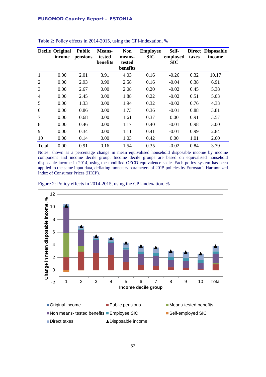|                | Decile Original<br>income | <b>Public</b><br>pensions | <b>Means-</b><br>tested<br>benefits | <b>Non</b><br>means-<br>tested<br>benefits | <b>Employee</b><br><b>SIC</b> | Self-<br>employed<br><b>SIC</b> | taxes | Direct Disposable<br>income |
|----------------|---------------------------|---------------------------|-------------------------------------|--------------------------------------------|-------------------------------|---------------------------------|-------|-----------------------------|
| $\mathbf{1}$   | 0.00                      | 2.01                      | 3.91                                | 4.03                                       | 0.16                          | $-0.26$                         | 0.32  | 10.17                       |
| 2              | 0.00                      | 2.93                      | 0.90                                | 2.58                                       | 0.16                          | $-0.04$                         | 0.38  | 6.91                        |
| 3              | 0.00                      | 2.67                      | 0.00                                | 2.08                                       | 0.20                          | $-0.02$                         | 0.45  | 5.38                        |
| $\overline{4}$ | 0.00                      | 2.45                      | 0.00                                | 1.88                                       | 0.22                          | $-0.02$                         | 0.51  | 5.03                        |
| 5              | 0.00                      | 1.33                      | 0.00                                | 1.94                                       | 0.32                          | $-0.02$                         | 0.76  | 4.33                        |
| 6              | 0.00                      | 0.86                      | 0.00                                | 1.73                                       | 0.36                          | $-0.01$                         | 0.88  | 3.81                        |
| $\overline{7}$ | 0.00                      | 0.68                      | 0.00                                | 1.61                                       | 0.37                          | 0.00                            | 0.91  | 3.57                        |
| 8              | 0.00                      | 0.46                      | 0.00                                | 1.17                                       | 0.40                          | $-0.01$                         | 0.98  | 3.00                        |
| 9              | 0.00                      | 0.34                      | 0.00                                | 1.11                                       | 0.41                          | $-0.01$                         | 0.99  | 2.84                        |
| 10             | 0.00                      | 0.14                      | 0.00                                | 1.03                                       | 0.42                          | 0.00                            | 1.01  | 2.60                        |
| Total          | 0.00                      | 0.91                      | 0.16                                | 1.54                                       | 0.35                          | $-0.02$                         | 0.84  | 3.79                        |

#### Table 2: Policy effects in 2014-2015, using the CPI-indexation, %

Notes: shown as a percentage change in mean equivalised household disposable income by income component and income decile group. Income decile groups are based on equivalised household disposable income in 2014, using the modified OECD equivalence scale. Each policy system has been applied to the same input data, deflating monetary parameters of 2015 policies by Eurostat's Harmonized Index of Consumer Prices (HICP).



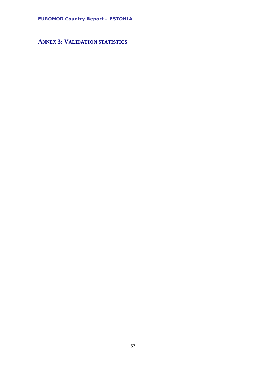<span id="page-52-0"></span>**ANNEX 3: VALIDATION STATISTICS**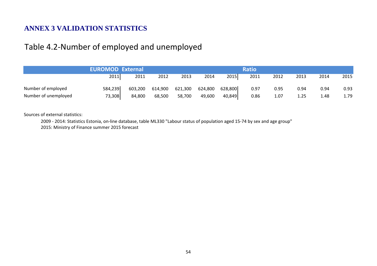### **ANNEX 3 VALIDATION STATISTICS**

### Table 4.2-Number of employed and unemployed

|                      | <b>EUROMOD External</b> |         |         |         |                 |        | <b>Ratio</b> |      |      |      |      |
|----------------------|-------------------------|---------|---------|---------|-----------------|--------|--------------|------|------|------|------|
|                      | 2011                    | 2011    | 2012    | 2013    | 2014            | 2015   | 2011         | 2012 | 2013 | 2014 | 2015 |
| Number of employed   | 584,239                 | 603,200 | 614,900 | 621,300 | 624,800 628,800 |        | 0.97         | 0.95 | 0.94 | 0.94 | 0.93 |
| Number of unemployed | 73,308                  | 84,800  | 68,500  | 58,700  | 49,600          | 40,849 | 0.86         | 1.07 | 1.25 | 1.48 | 1.79 |

Sources of external statistics:

2009 - 2014: Statistics Estonia, on-line database, table ML330 "Labour status of population aged 15-74 by sex and age group"

2015: Ministry of Finance summer 2015 forecast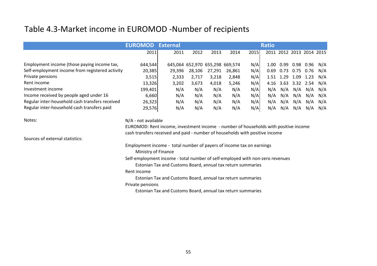# Table 4.3-Market income in EUROMOD -Number of recipients

|                                                 | <b>EUROMOD</b><br><b>External</b>                                                           |                                                             | <b>Ratio</b>                    |        |        |      |      |                |                |                          |     |  |  |  |  |
|-------------------------------------------------|---------------------------------------------------------------------------------------------|-------------------------------------------------------------|---------------------------------|--------|--------|------|------|----------------|----------------|--------------------------|-----|--|--|--|--|
|                                                 | 2011                                                                                        | 2011                                                        | 2012                            | 2013   | 2014   | 2015 |      |                |                | 2011 2012 2013 2014 2015 |     |  |  |  |  |
| Employment income (those paying income tax,     |                                                                                             |                                                             |                                 |        |        |      |      |                |                |                          |     |  |  |  |  |
|                                                 | 644,544                                                                                     |                                                             | 645,064 652,970 655,298 669,574 |        |        | N/A  |      |                |                | 1.00  0.99  0.98  0.96   | N/A |  |  |  |  |
| Self-employment income from registered activity | 20,385                                                                                      | 29,396                                                      | 28,106                          | 27,291 | 26,861 | N/A  | 0.69 |                | 0.73 0.75 0.76 |                          | N/A |  |  |  |  |
| Private pensions                                | 3,515                                                                                       | 2,333                                                       | 2,717                           | 3,218  | 2,848  | N/A  |      | 1.51 1.29 1.09 |                | 1.23                     | N/A |  |  |  |  |
| Rent income                                     | 13,326                                                                                      | 3,202                                                       | 3,673                           | 4,018  | 5,246  | N/A  | 4.16 |                | 3.63 3.32 2.54 |                          | N/A |  |  |  |  |
| Investment income                               | 199,401                                                                                     | N/A                                                         | N/A                             | N/A    | N/A    | N/A  | N/A  | N/A            | N/A            | N/A                      | N/A |  |  |  |  |
| Income received by people aged under 16         | 6,660                                                                                       | N/A                                                         | N/A                             | N/A    | N/A    | N/A  | N/A  | N/A            | N/A            | N/A                      | N/A |  |  |  |  |
| Regular inter-household cash transfers received | 26,323                                                                                      | N/A                                                         | N/A                             | N/A    | N/A    | N/A  | N/A  | N/A            | N/A            | N/A                      | N/A |  |  |  |  |
| Regular inter-household cash transfers paid     | 29,576                                                                                      | N/A                                                         | N/A                             | N/A    | N/A    | N/A  | N/A  | N/A            | N/A            | N/A                      | N/A |  |  |  |  |
| Notes:                                          | N/A - not available                                                                         |                                                             |                                 |        |        |      |      |                |                |                          |     |  |  |  |  |
|                                                 | EUROMOD: Rent income, investment income - number of households with positive income         |                                                             |                                 |        |        |      |      |                |                |                          |     |  |  |  |  |
|                                                 | cash transfers received and paid - number of households with positive income                |                                                             |                                 |        |        |      |      |                |                |                          |     |  |  |  |  |
| Sources of external statistics:                 |                                                                                             |                                                             |                                 |        |        |      |      |                |                |                          |     |  |  |  |  |
|                                                 |                                                                                             |                                                             |                                 |        |        |      |      |                |                |                          |     |  |  |  |  |
|                                                 | Employment income - total number of payers of income tax on earnings<br>Ministry of Finance |                                                             |                                 |        |        |      |      |                |                |                          |     |  |  |  |  |
|                                                 | Self-employment income - total number of self-employed with non-zero revenues               |                                                             |                                 |        |        |      |      |                |                |                          |     |  |  |  |  |
|                                                 |                                                                                             | Estonian Tax and Customs Board, annual tax return summaries |                                 |        |        |      |      |                |                |                          |     |  |  |  |  |
|                                                 | Rent income                                                                                 |                                                             |                                 |        |        |      |      |                |                |                          |     |  |  |  |  |
|                                                 | Estonian Tax and Customs Board, annual tax return summaries                                 |                                                             |                                 |        |        |      |      |                |                |                          |     |  |  |  |  |
|                                                 |                                                                                             |                                                             |                                 |        |        |      |      |                |                |                          |     |  |  |  |  |
|                                                 | Private pensions                                                                            |                                                             |                                 |        |        |      |      |                |                |                          |     |  |  |  |  |
|                                                 |                                                                                             | Estonian Tax and Customs Board, annual tax return summaries |                                 |        |        |      |      |                |                |                          |     |  |  |  |  |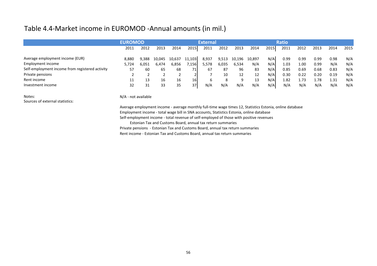### Table 4.4-Market income in EUROMOD -Annual amounts (in mil.)

| <b>EUROMOD</b><br><b>External</b>                                                                                            |      |              |      |      |      |  |  |
|------------------------------------------------------------------------------------------------------------------------------|------|--------------|------|------|------|--|--|
|                                                                                                                              |      | <b>Ratio</b> |      |      |      |  |  |
| 2015<br>2015<br>2014<br>2011<br>2012<br>2014<br>2012<br>2013<br>2011<br>2013                                                 | 2011 | 2012         | 2013 | 2014 | 2015 |  |  |
| Average employment income (EUR)<br>N/A<br>8,937<br>10,897<br>10,637<br>11,103<br>9,513<br>10,196<br>8,880<br>9.388<br>10.045 | 0.99 | 0.99         | 0.99 | 0.98 | N/A  |  |  |
| Employment income<br>N/A<br>N/A<br>6,035<br>6,534<br>6,856<br>5,578<br>5,724<br>6,051<br>7,156<br>6,474                      | 1.03 | 1.00         | 0.99 | N/A  | N/A  |  |  |
| Self-employment income from registered activity<br>N/A<br>83<br>96<br>67<br>57<br>68<br>87<br>65<br>60                       | 0.85 | 0.69         | 0.68 | 0.83 | N/A  |  |  |
| Private pensions<br>N/A<br>10<br>12<br>12                                                                                    | 0.30 | 0.22         | 0.20 | 0.19 | N/A  |  |  |
| Rent income<br>N/A<br>13<br>16<br>16 <sup>l</sup><br>13<br>11<br>16<br>$\circ$<br>a<br>b<br>Ō                                | 1.82 | 1.73         | 1.78 | 1.31 | N/A  |  |  |
| Investment income<br>N/A<br>N/A<br>N/A<br>32<br>37<br>N/A<br>N/A<br>35<br>31<br>33                                           | N/A  | N/A          | N/A  | N/A  | N/A  |  |  |

#### Notes:<br>
N/A - not available Sources of external statistics:

Average employment income - average monthly full-time wage times 12, Statistics Estonia, online database Employment income - total wage bill in SNA accounts, Statistics Estonia, online database Self-employment income - total revenue of self-employed of those with positive revenues

Estonian Tax and Customs Board, annual tax return summaries Private pensions - Estonian Tax and Customs Board, annual tax return summaries Rent income - Estonian Tax and Customs Board, annual tax return summaries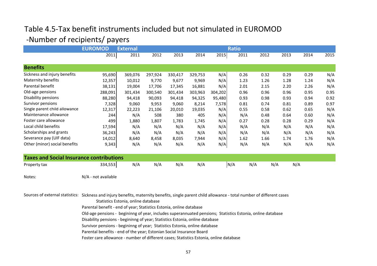## Table 4.5-Tax benefit instruments included but not simulated in EUROMOD -Number of recipients/ payers

|                                                 | <b>EUROMOD</b>      | <b>External</b> | <b>Ratio</b> |         |         |         |      |      |      |      |      |  |  |  |
|-------------------------------------------------|---------------------|-----------------|--------------|---------|---------|---------|------|------|------|------|------|--|--|--|
|                                                 | 2011                | 2011            | 2012         | 2013    | 2014    | 2015    | 2011 | 2012 | 2013 | 2014 | 2015 |  |  |  |
| <b>Benefits</b>                                 |                     |                 |              |         |         |         |      |      |      |      |      |  |  |  |
| Sickness and injury benefits                    | 95,690              | 369,076         | 297,924      | 330,417 | 329,753 | N/A     | 0.26 | 0.32 | 0.29 | 0.29 | N/A  |  |  |  |
| Maternity benefits                              | 12,357              | 10,012          | 9,770        | 9,677   | 9,969   | N/A     | 1.23 | 1.26 | 1.28 | 1.24 | N/A  |  |  |  |
| Parental benefit                                | 38,131              | 19,004          | 17,706       | 17,345  | 16,881  | N/A     | 2.01 | 2.15 | 2.20 | 2.26 | N/A  |  |  |  |
| Old-age pensions                                | 288,091             | 301,434         | 300,540      | 301,434 | 303,963 | 304,202 | 0.96 | 0.96 | 0.96 | 0.95 | 0.95 |  |  |  |
| Disability pensions                             | 88,280              | 94,418          | 90,093       | 94,418  | 94,325  | 95,480  | 0.93 | 0.98 | 0.93 | 0.94 | 0.92 |  |  |  |
| Survivor pensions                               | 7,328               | 9,060           | 9,953        | 9,060   | 8,214   | 7,578   | 0.81 | 0.74 | 0.81 | 0.89 | 0.97 |  |  |  |
| Single parent child allowance                   | 12,317              | 22,223          | 21,106       | 20,010  | 19,035  | N/A     | 0.55 | 0.58 | 0.62 | 0.65 | N/A  |  |  |  |
| Maintenance allowance                           | 244                 | N/A             | 508          | 380     | 405     | N/A     | N/A  | 0.48 | 0.64 | 0.60 | N/A  |  |  |  |
| Foster care allowance                           | 499                 | 1,880           | 1,807        | 1,783   | 1,745   | N/A     | 0.27 | 0.28 | 0.28 | 0.29 | N/A  |  |  |  |
| Local child benefits                            | 17,594              | N/A             | N/A          | N/A     | N/A     | N/A     | N/A  | N/A  | N/A  | N/A  | N/A  |  |  |  |
| Scholarships and grants                         | 36,243              | N/A             | N/A          | N/A     | N/A     | N/A     | N/A  | N/A  | N/A  | N/A  | N/A  |  |  |  |
| Severance pay (UIF data)                        | 14,012              | 8,640           | 8,458        | 8,035   | 7,944   | N/A     | 1.62 | 1.66 | 1.74 | 1.76 | N/A  |  |  |  |
| Other (minor) social benefits                   | 9,343               | N/A             | N/A          | N/A     | N/A     | N/A     | N/A  | N/A  | N/A  | N/A  | N/A  |  |  |  |
| <b>Taxes and Social Insurance contributions</b> |                     |                 |              |         |         |         |      |      |      |      |      |  |  |  |
| Property tax                                    | 334,553             | N/A             | N/A          | N/A     | N/A     |         | N/A  | N/A  | N/A  | N/A  |      |  |  |  |
| Notes:                                          | N/A - not available |                 |              |         |         |         |      |      |      |      |      |  |  |  |

Sources of external statistics: Sickness and injury benefits, maternity benefits, single parent child allowance - total number of different cases

Statistics Estonia, online database

Parental benefit - end of year; Statistics Estonia, online database

Old-age pensions - begininng of year, includes superannuated pensions; Statistics Estonia, online database

Disability pensions - begininng of year; Statistics Estonia, online database

Survivor pensions - begininng of year; Statistics Estonia, online database

Parental benefits - end of the year; Estonian Social Insurance Board

Foster care allowance - number of different cases; Statistics Estonia, online database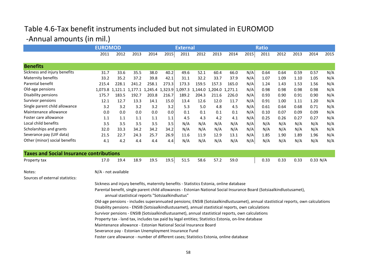## Table 4.6-Tax benefit instruments included but not simulated in EUROMOD -Annual amounts (in mil.)

|                                                 | <b>EUROMOD</b>                                                                                                                                                                                                                                                                                                                                                                                                                                                                                                                                                                                                                                                                                                                                                                                                                                                                                                                                   |       |                                                                         |       |       | <b>External</b> |       |       | <b>Ratio</b> |      |      |      |      |          |      |
|-------------------------------------------------|--------------------------------------------------------------------------------------------------------------------------------------------------------------------------------------------------------------------------------------------------------------------------------------------------------------------------------------------------------------------------------------------------------------------------------------------------------------------------------------------------------------------------------------------------------------------------------------------------------------------------------------------------------------------------------------------------------------------------------------------------------------------------------------------------------------------------------------------------------------------------------------------------------------------------------------------------|-------|-------------------------------------------------------------------------|-------|-------|-----------------|-------|-------|--------------|------|------|------|------|----------|------|
|                                                 | 2011                                                                                                                                                                                                                                                                                                                                                                                                                                                                                                                                                                                                                                                                                                                                                                                                                                                                                                                                             | 2012  | 2013                                                                    | 2014  | 2015  | 2011            | 2012  | 2013  | 2014         | 2015 | 2011 | 2012 | 2013 | 2014     | 2015 |
| <b>Benefits</b>                                 |                                                                                                                                                                                                                                                                                                                                                                                                                                                                                                                                                                                                                                                                                                                                                                                                                                                                                                                                                  |       |                                                                         |       |       |                 |       |       |              |      |      |      |      |          |      |
| Sickness and injury benefits                    | 31.7                                                                                                                                                                                                                                                                                                                                                                                                                                                                                                                                                                                                                                                                                                                                                                                                                                                                                                                                             | 33.6  | 35.5                                                                    | 38.0  | 40.2  | 49.6            | 52.1  | 60.4  | 66.0         | N/A  | 0.64 | 0.64 | 0.59 | 0.57     | N/A  |
| Maternity benefits                              | 33.2                                                                                                                                                                                                                                                                                                                                                                                                                                                                                                                                                                                                                                                                                                                                                                                                                                                                                                                                             | 35.2  | 37.2                                                                    | 39.8  | 42.1  | 31.1            | 32.2  | 33.7  | 37.9         | N/A  | 1.07 | 1.09 | 1.10 | 1.05     | N/A  |
| Parental benefit                                | 215.4                                                                                                                                                                                                                                                                                                                                                                                                                                                                                                                                                                                                                                                                                                                                                                                                                                                                                                                                            | 228.1 | 241.2                                                                   | 258.1 | 273.3 | 173.3           | 159.5 | 157.3 | 165.0        | N/A  | 1.24 | 1.43 | 1.53 | 1.56     | N/A  |
| Old-age pensions                                |                                                                                                                                                                                                                                                                                                                                                                                                                                                                                                                                                                                                                                                                                                                                                                                                                                                                                                                                                  |       | 1,073.8 1,121.1 1,177.1 1,245.4 1,323.9 1,097.3 1,144.0 1,204.0 1,271.1 |       |       |                 |       |       |              | N/A  | 0.98 | 0.98 | 0.98 | 0.98     | N/A  |
| Disability pensions                             | 175.7                                                                                                                                                                                                                                                                                                                                                                                                                                                                                                                                                                                                                                                                                                                                                                                                                                                                                                                                            | 183.5 | 192.7                                                                   | 203.8 | 216.7 | 189.2           | 204.3 | 211.6 | 226.0        | N/A  | 0.93 | 0.90 | 0.91 | 0.90     | N/A  |
| Survivor pensions                               | 12.1                                                                                                                                                                                                                                                                                                                                                                                                                                                                                                                                                                                                                                                                                                                                                                                                                                                                                                                                             | 12.7  | 13.3                                                                    | 14.1  | 15.0  | 13.4            | 12.6  | 12.0  | 11.7         | N/A  | 0.91 | 1.00 | 1.11 | 1.20     | N/A  |
| Single parent child allowance                   | 3.2                                                                                                                                                                                                                                                                                                                                                                                                                                                                                                                                                                                                                                                                                                                                                                                                                                                                                                                                              | 3.2   | 3.2                                                                     | 3.2   | 3.2   | 5.3             | 5.0   | 4.8   | 4.5          | N/A  | 0.61 | 0.64 | 0.68 | 0.71     | N/A  |
| Maintenance allowance                           | 0.0                                                                                                                                                                                                                                                                                                                                                                                                                                                                                                                                                                                                                                                                                                                                                                                                                                                                                                                                              | 0.0   | $0.0\,$                                                                 | 0.0   | 0.0   | 0.1             | 0.1   | 0.1   | 0.1          | N/A  | 0.10 | 0.07 | 0.09 | 0.09     | N/A  |
| Foster care allowance                           | 1.1                                                                                                                                                                                                                                                                                                                                                                                                                                                                                                                                                                                                                                                                                                                                                                                                                                                                                                                                              | 1.1   | 1.1                                                                     | 1.1   | 1.1   | 4.5             | 4.3   | 4.2   | 4.1          | N/A  | 0.25 | 0.26 | 0.27 | 0.27     | N/A  |
| Local child benefits                            | 3.5                                                                                                                                                                                                                                                                                                                                                                                                                                                                                                                                                                                                                                                                                                                                                                                                                                                                                                                                              | 3.5   | 3.5                                                                     | 3.5   | 3.5   | N/A             | N/A   | N/A   | N/A          | N/A  | N/A  | N/A  | N/A  | N/A      | N/A  |
| Scholarships and grants                         | 32.0                                                                                                                                                                                                                                                                                                                                                                                                                                                                                                                                                                                                                                                                                                                                                                                                                                                                                                                                             | 33.3  | 34.2                                                                    | 34.2  | 34.2  | N/A             | N/A   | N/A   | N/A          | N/A  | N/A  | N/A  | N/A  | N/A      | N/A  |
| Severance pay (UIF data)                        | 21.5                                                                                                                                                                                                                                                                                                                                                                                                                                                                                                                                                                                                                                                                                                                                                                                                                                                                                                                                             | 22.7  | 24.3                                                                    | 25.7  | 26.9  | 11.6            | 11.9  | 12.9  | 13.1         | N/A  | 1.85 | 1.90 | 1.89 | 1.96     | N/A  |
| Other (minor) social benefits                   | 4.1                                                                                                                                                                                                                                                                                                                                                                                                                                                                                                                                                                                                                                                                                                                                                                                                                                                                                                                                              | 4.2   | 4.4                                                                     | 4.4   | 4.4   | N/A             | N/A   | N/A   | N/A          | N/A  | N/A  | N/A  | N/A  | N/A      | N/A  |
| <b>Taxes and Social Insurance contributions</b> |                                                                                                                                                                                                                                                                                                                                                                                                                                                                                                                                                                                                                                                                                                                                                                                                                                                                                                                                                  |       |                                                                         |       |       |                 |       |       |              |      |      |      |      |          |      |
| Property tax                                    | 17.0                                                                                                                                                                                                                                                                                                                                                                                                                                                                                                                                                                                                                                                                                                                                                                                                                                                                                                                                             | 19.4  | 18.9                                                                    | 19.5  | 19.5  | 51.5            | 58.6  | 57.2  | 59.0         |      | 0.33 | 0.33 | 0.33 | 0.33 N/A |      |
| Notes:<br>Sources of external statistics:       | N/A - not available                                                                                                                                                                                                                                                                                                                                                                                                                                                                                                                                                                                                                                                                                                                                                                                                                                                                                                                              |       |                                                                         |       |       |                 |       |       |              |      |      |      |      |          |      |
|                                                 | Sickness and injury benefits, maternity benefits - Statistics Estonia, online database<br>Parental benefit, single parent child allowances - Estonian National Social Insurance Board (Sotsiaalkindlustusamet),<br>annual stastistical reports "Sotsiaalkindlustus"<br>Old-age pensions - includes superannuated pensions; ENSIB (Sotsiaalkindlustusamet), annual stastistical reports, own calculations<br>Disability pensions - ENSIB (Sotsiaalkindlustusamet), annual stastistical reports, own calculations<br>Survivor pensions - ENSIB (Sotsiaalkindlustusamet), annual stastistical reports, own calculations<br>Property tax - land tax, includes tax paid by legal entities; Statistics Estonia, on-line database<br>Maintenance allowance - Estonian National Social Insurance Board<br>Severance pay - Estonian Unemployment Insurance Fund<br>Foster care allowance - number of different cases; Statistics Estonia, online database |       |                                                                         |       |       |                 |       |       |              |      |      |      |      |          |      |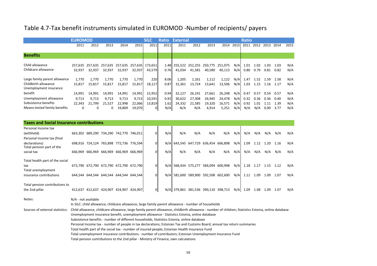### Table 4.7-Tax benefit instruments simulated in EUROMOD -Number of recipients/ payers

|                                                                                           | <b>EUROMOD</b>                 |                                |                           |                                     |                                     | <b>SILC</b>                                  | Ratio                       | <b>External</b>                           |                                   |                                     |                                     |                          | <b>Ratio</b>                |                             |                              |                              |                          |  |  |
|-------------------------------------------------------------------------------------------|--------------------------------|--------------------------------|---------------------------|-------------------------------------|-------------------------------------|----------------------------------------------|-----------------------------|-------------------------------------------|-----------------------------------|-------------------------------------|-------------------------------------|--------------------------|-----------------------------|-----------------------------|------------------------------|------------------------------|--------------------------|--|--|
|                                                                                           | 2011                           | 2012                           | 2013                      | 2014                                | 2015                                | 2011                                         | 2011                        | 2011                                      | 2012                              | 2013                                | 2014                                | 2015                     | 2011                        | 2012                        | 2013                         | 2014                         | 2015                     |  |  |
| <b>Benefits</b>                                                                           |                                |                                |                           |                                     |                                     |                                              |                             |                                           |                                   |                                     |                                     |                          |                             |                             |                              |                              |                          |  |  |
| Child allowance<br>Childcare allowance                                                    | 32,937                         | 257.635 257.635<br>32,937      | 257.635<br>32,937         | 257,635<br>32,937                   | 257,635<br>32,937                   | 173.651<br>43,579                            | 1.48<br>0.76                | 255,522 252,255 250,775 251,075<br>41,034 | 41,581                            | 40,580                              | 40,113                              | N/A<br>N/A               | 1.01<br>0.80                | 1.02<br>0.79                | 1.03<br>0.81                 | 1.03<br>0.82                 | N/A<br>N/A               |  |  |
| Large family parent allowance<br>Childbirth allowance<br>Unemployment insurance           | 1.770<br>15.817                | 1.770<br>15.817                | 1,770<br>15.817           | 1,770<br>15,817                     | 1,770<br>15,817                     | 220<br>18,117                                | 8.06<br>0.87                | 1,205<br>15,361                           | 1,161<br>13.724                   | 1,112<br>13.641                     | 1,122<br>13.506                     | N/A<br>N/A               | 1.47<br>1.03                | 1.52<br>1.15                | 1.59<br>1.16                 | 1.58<br>1.17                 | N/A<br>N/A               |  |  |
| benefit<br>Unemployment allowance<br>Subsistence benefits<br>Means-tested family benefits | 14.991<br>9.713<br>22,343<br>0 | 14,991<br>9.713<br>21,799<br>0 | 14,991<br>9.713<br>21,527 | 14,991<br>9.713<br>22,998<br>19,809 | 14,991<br>9,713<br>22,066<br>19,070 | 15,952<br>10,591<br>13,819<br>$\overline{0}$ | 0.94<br>0.92<br>1.62<br>N/A | 32,127<br>30.622<br>24,332<br>N/A         | 26,191<br>27.308<br>21,585<br>N/A | 27,661<br>26,945<br>19,320<br>4,914 | 26,248<br>24,478<br>16,571<br>5,251 | N/A<br>N/A<br>N/A<br>N/A | 0.47<br>0.32<br>0.92<br>N/A | 0.57<br>0.36<br>1.01<br>N/A | 0.54<br>0.36<br>1.11<br>0.00 | 0.57<br>0.40<br>1.39<br>3.77 | N/A<br>N/A<br>N/A<br>N/A |  |  |

| <b>Taxes and Social Insurance contributions</b> |         |                 |                                         |         |         |          |     |                                     |                         |                 |     |     |      |      |      |      |     |
|-------------------------------------------------|---------|-----------------|-----------------------------------------|---------|---------|----------|-----|-------------------------------------|-------------------------|-----------------|-----|-----|------|------|------|------|-----|
| Personal Income tax                             |         |                 |                                         |         |         |          |     |                                     |                         |                 |     |     |      |      |      |      |     |
| (withheld)                                      |         |                 | 663,302 689,290 734,290 742,770 746,011 |         |         | 0        | N/A | N/A                                 | N/A                     | N/A             | N/A | N/A | N/A  | N/A  | N/A  | N/A  | N/A |
| Personal Income tax (final                      |         |                 |                                         |         |         |          |     |                                     |                         |                 |     |     |      |      |      |      |     |
| declarations)<br>Total pension part of the      |         |                 | 698,916 724,124 765,898 772,736 776,594 |         |         | $\Omega$ |     | N/A 643,545 647,729 636,454 666,898 |                         |                 |     | N/A | 1.09 | 1.12 | 1.20 | 1.16 | N/A |
| social tax                                      |         | 666,969 666,969 | 666,969 666,969 666,969                 |         |         | $\Omega$ | N/A | N/A                                 | N/A                     | N/A             | N/A | N/A | N/A  | N/A  | N/A  | N/A  | N/A |
| Total health part of the social                 |         |                 |                                         |         |         |          |     |                                     |                         |                 |     |     |      |      |      |      |     |
| tax<br>Total unemployment                       |         |                 | 672,790 672,790 672,790 672,790 672,790 |         |         | $\Omega$ |     | N/A 568,434 575,277                 |                         | 584,094 600,998 |     | N/A | 1.18 | 1.17 | 1.15 | 1.12 | N/A |
| insurance contributions                         |         |                 | 644,544 644,544 644,544 644,544 644,544 |         |         | 0        | N/A | 581,600                             | 589,900 592,508 602,600 |                 |     | N/A | 1.11 | 1.09 | 1.09 | 1.07 | N/A |
| Total pension contributions to                  |         |                 |                                         |         |         |          |     |                                     |                         |                 |     |     |      |      |      |      |     |
| the 2nd pillar                                  | 412.637 | 412.637         | 424.907                                 | 424,907 | 424.907 | 0        |     | N/A 379,861                         | 381,536 390,110 398,713 |                 |     | N/A | 1.09 | 1.08 | 1.09 | 1.07 | N/A |

Notes: N/A - not available

In SILC: child allowance, childcare allowance, large family parent allowance - number of households

Sources of external statistics: Child allowance, childcare allowance, large family parent allowance, childbirth allowance - number of children; Statistics Estonia, online database

Unemployment insurance benefit, unemployment allowance - Statistics Estonia, online database

Subsistence benefits - number of different households, Statistics Estonia, online database

Personal Income tax - number of people in tax declarations; Estonian Tax and Customs Board, annual tax return summaries

Total health part of the social tax - number of insured people; Estonian Health Insurance Fund

Total unemployment insurance contributions - number of contributors; Estonian Unemployment Insurance Fund

Total pension contributions to the 2nd pillar - Ministry of Finance, own calculations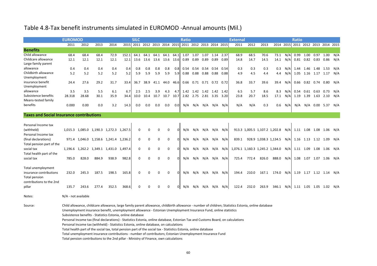#### Table 4.8-Tax benefit instruments simulated in EUROMOD -Annual amounts (Mil.)

|                                                 | <b>SILC</b><br><b>EUROMOD</b> |                                         |                         |       |         |          |          |          | <b>Ratio</b>                                      |      |      |           |                          |      | <b>External</b> |       |       |                                                    |       |     | <b>Ratio</b>                       |      |                         |            |     |
|-------------------------------------------------|-------------------------------|-----------------------------------------|-------------------------|-------|---------|----------|----------|----------|---------------------------------------------------|------|------|-----------|--------------------------|------|-----------------|-------|-------|----------------------------------------------------|-------|-----|------------------------------------|------|-------------------------|------------|-----|
|                                                 | 2011                          | 2012                                    | 2013                    | 2014  | 2015    |          |          |          | 2011 2012 2013 2014 2015 2011 2012 2013 2014 2015 |      |      |           |                          |      |                 | 2011  | 2012  | 2013                                               |       |     | 2014 2015 2011 2012 2013 2014 2015 |      |                         |            |     |
| <b>Benefits</b>                                 |                               |                                         |                         |       |         |          |          |          |                                                   |      |      |           |                          |      |                 |       |       |                                                    |       |     |                                    |      |                         |            |     |
| Child allowance                                 | 68.4                          | 68.4                                    | 68.4                    | 72.9  | 152.1   | 64.1     | 64.1     | 64.1     | 64.1                                              | 64.1 | 1.07 | 1.07      | 1.07                     | 1.14 | 2.37            | 68.9  | 68.5  | 70.6                                               | 73.1  | N/A | 0.99                               | 1.00 | 0.97                    | 1.00       | N/A |
| Childcare allowance                             | 12.1                          | 12.1                                    | 12.1                    | 12.1  | 12.1    | 13.6     | 13.6     |          | 13.6 13.6                                         | 13.6 | 0.89 | 0.89      | 0.89                     | 0.89 | 0.89            | 14.8  | 14.7  | 14.5                                               | 14.1  | N/A |                                    |      | $0.81$ $0.82$ $0.83$    | $0.86$ N/A |     |
| Large family parent                             |                               |                                         |                         |       |         |          |          |          |                                                   |      |      |           |                          |      |                 |       |       |                                                    |       |     |                                    |      |                         |            |     |
| allowance                                       | 0.4                           | 0.4                                     | 0.4                     | 0.4   | 0.4     | 0.8      | 0.8      | 0.8      | 0.8                                               | 0.8  | 0.54 | 0.54      | 0.54                     | 0.54 | 0.54            | 0.3   | 0.3   | 0.3                                                | 0.3   | N/A | 1.44                               |      | 1.46 1.48               | 1.53       | N/A |
| Childbirth allowance                            | 5.2                           | 5.2                                     | 5.2                     | 5.2   | 5.2     | 5.9      | 5.9      | 5.9      | 5.9                                               | 5.9  | 0.88 | 0.88      | 0.88                     | 0.88 | 0.88            | 4.9   | 4.5   | 4.4                                                | 4.4   | N/A |                                    |      | 1.05 1.16 1.17 1.17     |            | N/A |
| Unemployment                                    |                               |                                         |                         |       |         |          |          |          |                                                   |      |      |           |                          |      |                 |       |       |                                                    |       |     |                                    |      |                         |            |     |
| insurance benefit                               | 24.4                          | 27.6                                    | 29.2                    | 31.7  | 33.4    | 36.7     | 38.9     |          | 41.1 44.0                                         | 46.6 |      |           | 0.66 0.71 0.71 0.72 0.72 |      |                 | 36.8  | 33.7  | 39.6                                               | 39.4  | N/A |                                    |      | 0.66 0.82 0.74 0.80 N/A |            |     |
| Unemployment                                    |                               |                                         |                         |       |         |          |          |          |                                                   |      |      |           |                          |      |                 |       |       |                                                    |       |     |                                    |      |                         |            |     |
| allowance                                       | 3.5                           | 3.5                                     | 5.5                     | 6.1   | 6.7     | 2.5      | 2.5      | 3.9      | 4.3                                               | 4.7  |      |           | 1.42 1.42 1.42 1.42      |      | 1.42            | 6.5   | 5.7   | 8.6                                                | 8.3   | N/A | 0.54                               |      | 0.61 0.63               | 0.73       | N/A |
| Subsistence benefits                            | 28.318                        | 28.68                                   | 30.1                    | 35.9  | 34.4    | 10.0     | 10.4     | 10.7     | 10.7                                              | 10.7 |      | 2.82 2.75 | 2.81                     | 3.35 | 3.20            | 23.8  | 20.7  | 18.5                                               | 17.1  | N/A | 1.19                               | 1.39 | 1.63                    | 2.10       | N/A |
| Means-tested family                             |                               |                                         |                         |       |         |          |          |          |                                                   |      |      |           |                          |      |                 |       |       |                                                    |       |     |                                    |      |                         |            |     |
| benefits                                        | 0.000                         | 0.00                                    | 0.0                     | 3.2   | 14.3    | 0.0      | 0.0      | 0.0      | 0.0                                               | 0.0  | N/A  | N/A       | N/A                      | N/A  | N/A             | N/A   | N/A   | 0.3                                                | 0.6   | N/A | N/A                                | N/A  | 0.00                    | 5.37       | N/A |
|                                                 |                               |                                         |                         |       |         |          |          |          |                                                   |      |      |           |                          |      |                 |       |       |                                                    |       |     |                                    |      |                         |            |     |
| <b>Taxes and Social Insurance contributions</b> |                               |                                         |                         |       |         |          |          |          |                                                   |      |      |           |                          |      |                 |       |       |                                                    |       |     |                                    |      |                         |            |     |
|                                                 |                               |                                         |                         |       |         |          |          |          |                                                   |      |      |           |                          |      |                 |       |       |                                                    |       |     |                                    |      |                         |            |     |
| Personal Income tax                             |                               |                                         |                         |       |         |          |          |          |                                                   |      |      |           |                          |      |                 |       |       |                                                    |       |     |                                    |      |                         |            |     |
| (withheld)                                      |                               | 1,015.3 1,085.0 1,190.3 1,272.3 1,267.5 |                         |       |         | 0        |          |          | $\Omega$                                          |      | N/A  | N/A       | N/A                      |      | N/A N/A         |       |       | 913.3 1,005.5 1,107.2 1,202.8 N/A 1.11 1.08 1.08   |       |     |                                    |      |                         | 1.06 N/A   |     |
| Personal Income tax                             |                               |                                         |                         |       |         |          |          |          |                                                   |      |      |           |                          |      |                 |       |       |                                                    |       |     |                                    |      |                         |            |     |
| (final declarations)                            |                               | 971.4 1,046.0 1,158.6 1,241.4 1,236.2   |                         |       |         | 0        | $\Omega$ | $\Omega$ | $\Omega$                                          |      | N/A  | N/A       | N/A                      | N/A  | N/A             | 839.1 |       | 928.9 1,038.3 1,134.5 N/A 1.16 1.13 1.12 1.09      |       |     |                                    |      |                         |            | N/A |
| Total pension part of the                       |                               |                                         |                         |       |         |          |          |          |                                                   |      |      |           |                          |      |                 |       |       |                                                    |       |     |                                    |      |                         |            |     |
| social tax                                      | 1.196.6                       |                                         | 1,262.2 1,349.1 1,431.0 |       | 1,497.4 | 0        | $\Omega$ | 0        | 0                                                 |      | N/A  | N/A       | N/A                      | N/A  | N/A             |       |       | 1,076.1 1,160.3 1,245.2 1,344.0 N/A 1.11 1.09 1.08 |       |     |                                    |      |                         | 1.06       | N/A |
| Total health part of the                        |                               |                                         |                         |       |         |          |          |          |                                                   |      |      |           |                          |      |                 |       |       |                                                    |       |     |                                    |      |                         |            |     |
| social tax                                      | 785.0                         | 828.0                                   | 884.9                   | 938.9 | 982.8   | $\Omega$ | O        | $\Omega$ | $\Omega$                                          |      | N/A  | N/A       | N/A                      | N/A  | N/A             | 725.4 | 772.4 | 826.0                                              | 888.0 | N/A |                                    |      | 1.08 1.07 1.07 1.06 N/A |            |     |
|                                                 |                               |                                         |                         |       |         |          |          |          |                                                   |      |      |           |                          |      |                 |       |       |                                                    |       |     |                                    |      |                         |            |     |
| Total unemployment                              |                               |                                         |                         |       |         |          |          |          |                                                   |      |      |           |                          |      |                 |       |       |                                                    |       |     |                                    |      |                         |            |     |
| insurance contributions                         | 232.0                         | 245.3                                   | 187.5                   | 198.5 | 165.8   | $\Omega$ |          | U        | O                                                 |      | N/A  | N/A       | N/A                      | N/A  | N/A             | 194.4 | 210.0 | 167.1                                              | 174.0 |     | N/A 1.19 1.17 1.12 1.14 N/A        |      |                         |            |     |
| Total pension                                   |                               |                                         |                         |       |         |          |          |          |                                                   |      |      |           |                          |      |                 |       |       |                                                    |       |     |                                    |      |                         |            |     |
| contributions to the 2nd                        |                               |                                         |                         |       |         |          |          |          |                                                   |      |      |           |                          |      |                 |       |       |                                                    |       |     |                                    |      |                         |            |     |
| pillar                                          | 135.7                         | 243.6                                   | 277.4                   | 352.5 | 368.6   | O        |          |          | $\Omega$                                          |      | N/A  | N/A       | N/A                      | N/A  | N/A             | 122.4 | 232.0 | 263.9                                              | 346.1 |     | N/A 1.11 1.05 1.05 1.02 N/A        |      |                         |            |     |
|                                                 |                               |                                         |                         |       |         |          |          |          |                                                   |      |      |           |                          |      |                 |       |       |                                                    |       |     |                                    |      |                         |            |     |
| Notes:                                          | N/A - not available           |                                         |                         |       |         |          |          |          |                                                   |      |      |           |                          |      |                 |       |       |                                                    |       |     |                                    |      |                         |            |     |

Source: Child allowance, childcare allowance, large family parent allowance, childbirth allowance - number of children; Statistics Estonia, online database Unemployment insurance benefit, unemployment allowance - Estonian Unemployment Insurance Fund, online statistics

Subsistence benefits - Statistics Estonia, online database

Personal Income tax (final declarations) - Statistics Estonia, online database, Estonian Tax and Customs Board, on calculations

Personal Income tax (withheld) - Statistics Estonia, online database, on calculations

Total health part of the social tax, total pension part of the social tax - Statistics Estonia, online database

Total unemployment insurance contributions - number of contributors; Estonian Unemployment Insurance Fund

Total pension contributions to the 2nd pillar - Ministry of Finance, own calculations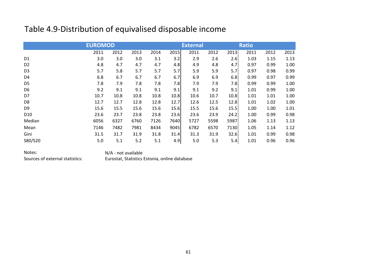# Table 4.9-Distribution of equivalised disposable income

|                 | <b>EUROMOD</b> |      |      |      |      | <b>External</b> |      |      | <b>Ratio</b> |      |      |  |
|-----------------|----------------|------|------|------|------|-----------------|------|------|--------------|------|------|--|
|                 | 2011           | 2012 | 2013 | 2014 | 2015 | 2011            | 2012 | 2013 | 2011         | 2012 | 2013 |  |
| D <sub>1</sub>  | 3.0            | 3.0  | 3.0  | 3.1  | 3.2  | 2.9             | 2.6  | 2.6  | 1.03         | 1.15 | 1.13 |  |
| D <sub>2</sub>  | 4.8            | 4.7  | 4.7  | 4.7  | 4.8  | 4.9             | 4.8  | 4.7  | 0.97         | 0.99 | 1.00 |  |
| D <sub>3</sub>  | 5.7            | 5.8  | 5.7  | 5.7  | 5.7  | 5.9             | 5.9  | 5.7  | 0.97         | 0.98 | 0.99 |  |
| D <sub>4</sub>  | 6.8            | 6.7  | 6.7  | 6.7  | 6.7  | 6.9             | 6.9  | 6.8  | 0.99         | 0.97 | 0.99 |  |
| D <sub>5</sub>  | 7.8            | 7.9  | 7.8  | 7.8  | 7.8  | 7.9             | 7.9  | 7.8  | 0.99         | 0.99 | 1.00 |  |
| D <sub>6</sub>  | 9.2            | 9.1  | 9.1  | 9.1  | 9.1  | 9.1             | 9.2  | 9.1  | 1.01         | 0.99 | 1.00 |  |
| D7              | 10.7           | 10.8 | 10.8 | 10.8 | 10.8 | 10.6            | 10.7 | 10.8 | 1.01         | 1.01 | 1.00 |  |
| D <sub>8</sub>  | 12.7           | 12.7 | 12.8 | 12.8 | 12.7 | 12.6            | 12.5 | 12.8 | 1.01         | 1.02 | 1.00 |  |
| D <sub>9</sub>  | 15.6           | 15.5 | 15.6 | 15.6 | 15.6 | 15.5            | 15.6 | 15.5 | 1.00         | 1.00 | 1.01 |  |
| D <sub>10</sub> | 23.6           | 23.7 | 23.8 | 23.8 | 23.6 | 23.6            | 23.9 | 24.2 | 1.00         | 0.99 | 0.98 |  |
| Median          | 6056           | 6327 | 6760 | 7126 | 7640 | 5727            | 5598 | 5987 | 1.06         | 1.13 | 1.13 |  |
| Mean            | 7146           | 7482 | 7981 | 8434 | 9045 | 6782            | 6570 | 7130 | 1.05         | 1.14 | 1.12 |  |
| Gini            | 31.5           | 31.7 | 31.9 | 31.8 | 31.4 | 31.3            | 31.9 | 32.6 | 1.01         | 0.99 | 0.98 |  |
| S80/S20         | 5.0            | 5.1  | 5.2  | 5.1  | 4.9  | 5.0             | 5.3  | 5.4  | 1.01         | 0.96 | 0.96 |  |

Notes:<br>Sources of external statistics:<br>Eurostat. Statistics

Eurostat, Statistics Estonia, online database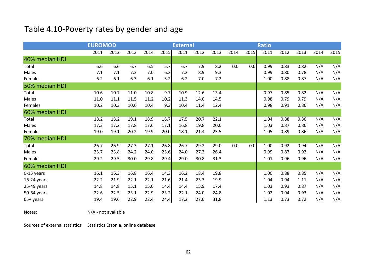# Table 4.10-Poverty rates by gender and age

|                | <b>EUROMOD</b> |      |      |      | <b>External</b> |      |      |      |      |      | <b>Ratio</b> |      |      |      |      |
|----------------|----------------|------|------|------|-----------------|------|------|------|------|------|--------------|------|------|------|------|
|                | 2011           | 2012 | 2013 | 2014 | 2015            | 2011 | 2012 | 2013 | 2014 | 2015 | 2011         | 2012 | 2013 | 2014 | 2015 |
| 40% median HDI |                |      |      |      |                 |      |      |      |      |      |              |      |      |      |      |
| Total          | 6.6            | 6.6  | 6.7  | 6.5  | 5.7             | 6.7  | 7.9  | 8.2  | 0.0  | 0.0  | 0.99         | 0.83 | 0.82 | N/A  | N/A  |
| Males          | 7.1            | 7.1  | 7.3  | 7.0  | 6.2             | 7.2  | 8.9  | 9.3  |      |      | 0.99         | 0.80 | 0.78 | N/A  | N/A  |
| Females        | 6.2            | 6.1  | 6.3  | 6.1  | 5.2             | 6.2  | 7.0  | 7.2  |      |      | 1.00         | 0.88 | 0.87 | N/A  | N/A  |
| 50% median HDI |                |      |      |      |                 |      |      |      |      |      |              |      |      |      |      |
| Total          | 10.6           | 10.7 | 11.0 | 10.8 | 9.7             | 10.9 | 12.6 | 13.4 |      |      | 0.97         | 0.85 | 0.82 | N/A  | N/A  |
| Males          | 11.0           | 11.1 | 11.5 | 11.2 | 10.2            | 11.3 | 14.0 | 14.5 |      |      | 0.98         | 0.79 | 0.79 | N/A  | N/A  |
| Females        | 10.2           | 10.3 | 10.6 | 10.4 | 9.3             | 10.4 | 11.4 | 12.4 |      |      | 0.98         | 0.91 | 0.86 | N/A  | N/A  |
| 60% median HDI |                |      |      |      |                 |      |      |      |      |      |              |      |      |      |      |
| Total          | 18.2           | 18.2 | 19.1 | 18.9 | 18.7            | 17.5 | 20.7 | 22.1 |      |      | 1.04         | 0.88 | 0.86 | N/A  | N/A  |
| Males          | 17.3           | 17.2 | 17.8 | 17.6 | 17.1            | 16.8 | 19.8 | 20.6 |      |      | 1.03         | 0.87 | 0.86 | N/A  | N/A  |
| Females        | 19.0           | 19.1 | 20.2 | 19.9 | 20.0            | 18.1 | 21.4 | 23.5 |      |      | 1.05         | 0.89 | 0.86 | N/A  | N/A  |
| 70% median HDI |                |      |      |      |                 |      |      |      |      |      |              |      |      |      |      |
| Total          | 26.7           | 26.9 | 27.3 | 27.1 | 26.8            | 26.7 | 29.2 | 29.0 | 0.0  | 0.0  | 1.00         | 0.92 | 0.94 | N/A  | N/A  |
| Males          | 23.7           | 23.8 | 24.2 | 24.0 | 23.6            | 24.0 | 27.3 | 26.4 |      |      | 0.99         | 0.87 | 0.92 | N/A  | N/A  |
| Females        | 29.2           | 29.5 | 30.0 | 29.8 | 29.4            | 29.0 | 30.8 | 31.3 |      |      | 1.01         | 0.96 | 0.96 | N/A  | N/A  |
| 60% median HDI |                |      |      |      |                 |      |      |      |      |      |              |      |      |      |      |
| $0-15$ years   | 16.1           | 16.3 | 16.8 | 16.4 | 14.3            | 16.2 | 18.4 | 19.8 |      |      | 1.00         | 0.88 | 0.85 | N/A  | N/A  |
| $16-24$ years  | 22.2           | 21.9 | 22.1 | 22.1 | 21.6            | 21.4 | 23.3 | 19.9 |      |      | 1.04         | 0.94 | 1.11 | N/A  | N/A  |
| 25-49 years    | 14.8           | 14.8 | 15.1 | 15.0 | 14.4            | 14.4 | 15.9 | 17.4 |      |      | 1.03         | 0.93 | 0.87 | N/A  | N/A  |
| 50-64 years    | 22.6           | 22.5 | 23.1 | 22.9 | 23.2            | 22.1 | 24.0 | 24.8 |      |      | 1.02         | 0.94 | 0.93 | N/A  | N/A  |
| 65+ years      | 19.4           | 19.6 | 22.9 | 22.4 | 24.4            | 17.2 | 27.0 | 31.8 |      |      | 1.13         | 0.73 | 0.72 | N/A  | N/A  |

Notes: N/A - not available

Sources of external statistics: Statistics Estonia, online database